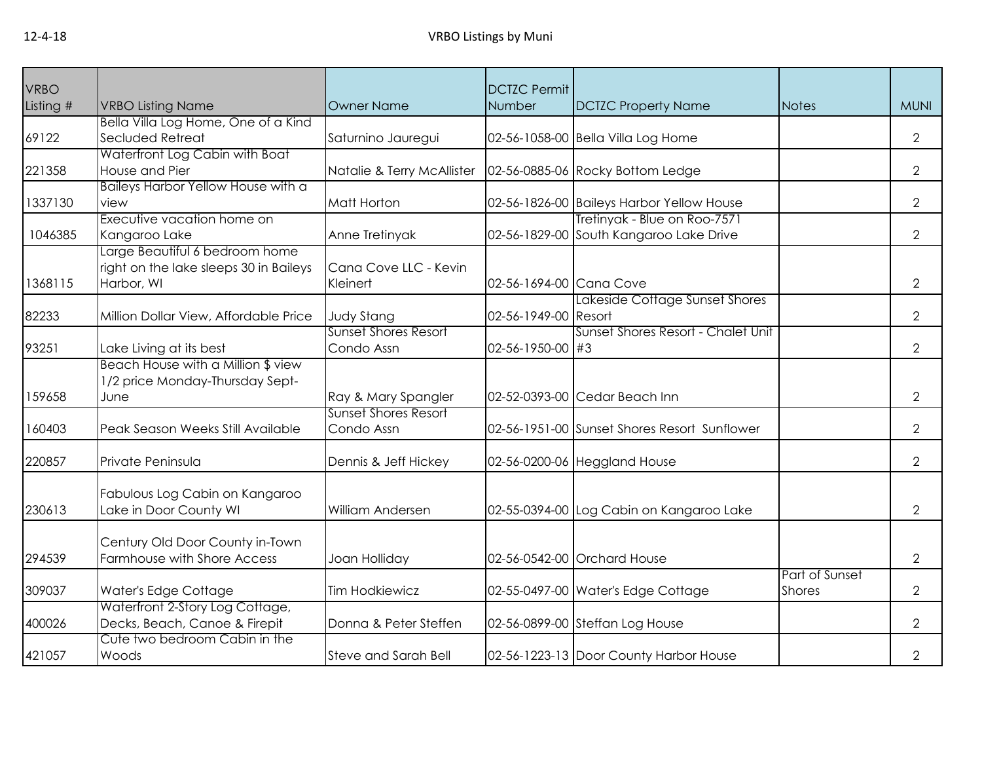| <b>VRBO</b> |                                        |                             | <b>DCTZC Permit</b>     |                                              |                |                |
|-------------|----------------------------------------|-----------------------------|-------------------------|----------------------------------------------|----------------|----------------|
| Listing #   | <b>VRBO Listing Name</b>               | <b>Owner Name</b>           | Number                  | <b>DCTZC Property Name</b>                   | <b>Notes</b>   | <b>MUNI</b>    |
|             | Bella Villa Log Home, One of a Kind    |                             |                         |                                              |                |                |
| 69122       | Secluded Retreat                       | Saturnino Jauregui          |                         | 02-56-1058-00 Bella Villa Log Home           |                | $\overline{2}$ |
|             | Waterfront Log Cabin with Boat         |                             |                         |                                              |                |                |
| 221358      | House and Pier                         | Natalie & Terry McAllister  |                         | 02-56-0885-06 Rocky Bottom Ledge             |                | 2              |
|             | Baileys Harbor Yellow House with a     |                             |                         |                                              |                |                |
| 1337130     | view                                   | Matt Horton                 |                         | 02-56-1826-00 Baileys Harbor Yellow House    |                | $\overline{2}$ |
|             | Executive vacation home on             |                             |                         | Tretinyak - Blue on Roo-7571                 |                |                |
| 1046385     | Kangaroo Lake                          | Anne Tretinyak              |                         | 02-56-1829-00 South Kangaroo Lake Drive      |                | $\overline{2}$ |
|             | Large Beautiful 6 bedroom home         |                             |                         |                                              |                |                |
|             | right on the lake sleeps 30 in Baileys | Cana Cove LLC - Kevin       |                         |                                              |                |                |
| 1368115     | Harbor, WI                             | Kleinert                    | 02-56-1694-00 Cana Cove |                                              |                | $\overline{2}$ |
|             |                                        |                             |                         | Lakeside Cottage Sunset Shores               |                |                |
| 82233       | Million Dollar View, Affordable Price  | <b>Judy Stang</b>           | 02-56-1949-00 Resort    |                                              |                | $\overline{2}$ |
|             |                                        | <b>Sunset Shores Resort</b> |                         | Sunset Shores Resort - Chalet Unit           |                |                |
| 93251       | Lake Living at its best                | Condo Assn                  | 02-56-1950-00 #3        |                                              |                | $\overline{2}$ |
|             | Beach House with a Million \$ view     |                             |                         |                                              |                |                |
|             | 1/2 price Monday-Thursday Sept-        |                             |                         |                                              |                |                |
| 159658      | June                                   | Ray & Mary Spangler         |                         | 02-52-0393-00 Cedar Beach Inn                |                | $\overline{2}$ |
|             |                                        | <b>Sunset Shores Resort</b> |                         |                                              |                |                |
| 160403      | Peak Season Weeks Still Available      | Condo Assn                  |                         | 02-56-1951-00 Sunset Shores Resort Sunflower |                | 2              |
| 220857      | Private Peninsula                      | Dennis & Jeff Hickey        |                         | 02-56-0200-06 Heggland House                 |                | $\overline{2}$ |
|             |                                        |                             |                         |                                              |                |                |
|             | Fabulous Log Cabin on Kangaroo         |                             |                         |                                              |                |                |
| 230613      | Lake in Door County WI                 | William Andersen            |                         | 02-55-0394-00 Log Cabin on Kangaroo Lake     |                | $\overline{2}$ |
|             |                                        |                             |                         |                                              |                |                |
|             | Century Old Door County in-Town        |                             |                         |                                              |                |                |
| 294539      | Farmhouse with Shore Access            | Joan Holliday               |                         | 02-56-0542-00 Orchard House                  |                | $\overline{2}$ |
|             |                                        |                             |                         |                                              | Part of Sunset |                |
| 309037      | Water's Edge Cottage                   | <b>Tim Hodkiewicz</b>       |                         | 02-55-0497-00 Water's Edge Cottage           | <b>Shores</b>  | $\overline{2}$ |
|             | Waterfront 2-Story Log Cottage,        |                             |                         |                                              |                |                |
| 400026      | Decks, Beach, Canoe & Firepit          | Donna & Peter Steffen       |                         | 02-56-0899-00 Steffan Log House              |                | $\overline{2}$ |
|             | Cute two bedroom Cabin in the          |                             |                         |                                              |                |                |
| 421057      | Woods                                  | <b>Steve and Sarah Bell</b> |                         | 02-56-1223-13 Door County Harbor House       |                | $\overline{2}$ |
|             |                                        |                             |                         |                                              |                |                |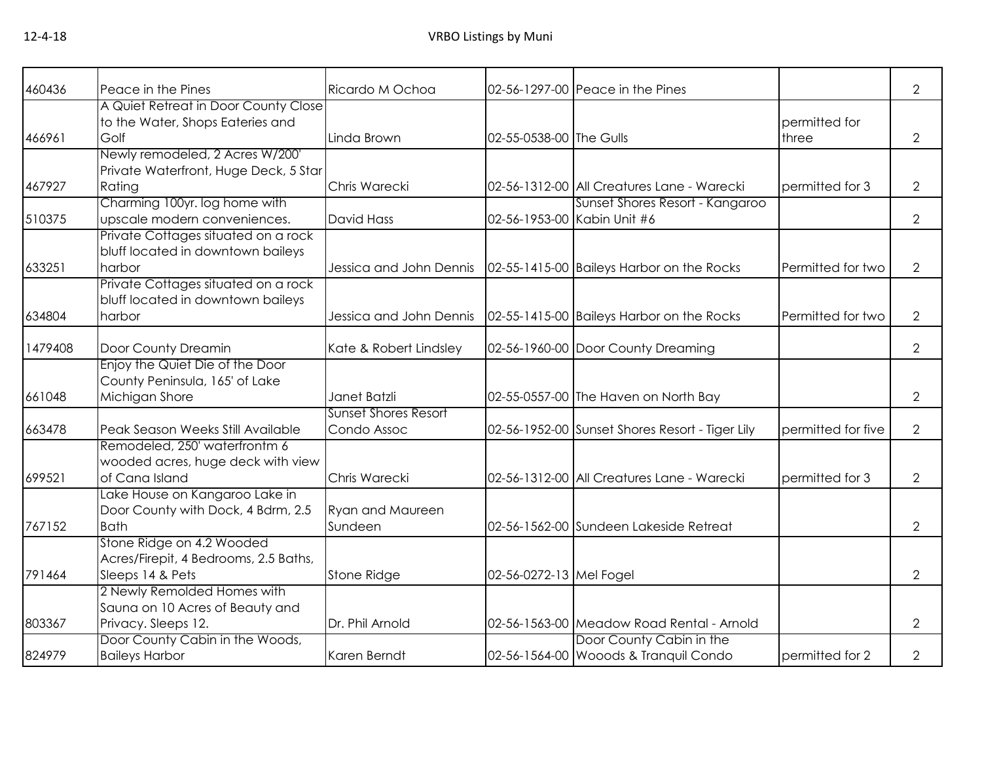| 460436  | Peace in the Pines<br>A Quiet Retreat in Door County Close           | Ricardo M Ochoa             |                         | 02-56-1297-00 Peace in the Pines                |                    | $\overline{2}$ |
|---------|----------------------------------------------------------------------|-----------------------------|-------------------------|-------------------------------------------------|--------------------|----------------|
|         | to the Water, Shops Eateries and                                     |                             |                         |                                                 | permitted for      |                |
| 466961  | Golf                                                                 | Linda Brown                 | 02-55-0538-00 The Gulls |                                                 | three              | $\overline{2}$ |
|         | Newly remodeled, 2 Acres W/200'                                      |                             |                         |                                                 |                    |                |
|         | Private Waterfront, Huge Deck, 5 Star                                |                             |                         |                                                 |                    |                |
| 467927  | Rating                                                               | Chris Warecki               |                         | 02-56-1312-00 All Creatures Lane - Warecki      | permitted for 3    | $\overline{2}$ |
|         | Charming 100yr. log home with                                        |                             |                         | Sunset Shores Resort - Kangaroo                 |                    |                |
| 510375  | upscale modern conveniences.                                         | <b>David Hass</b>           |                         | 02-56-1953-00 Kabin Unit #6                     |                    | 2              |
|         | Private Cottages situated on a rock                                  |                             |                         |                                                 |                    |                |
|         | bluff located in downtown baileys                                    |                             |                         |                                                 |                    |                |
| 633251  | harbor                                                               | Jessica and John Dennis     |                         | 02-55-1415-00 Baileys Harbor on the Rocks       | Permitted for two  | $\overline{2}$ |
|         | Private Cottages situated on a rock                                  |                             |                         |                                                 |                    |                |
|         | bluff located in downtown baileys                                    |                             |                         |                                                 |                    |                |
| 634804  | harbor                                                               | Jessica and John Dennis     |                         | 02-55-1415-00 Baileys Harbor on the Rocks       | Permitted for two  | 2              |
| 1479408 | Door County Dreamin                                                  | Kate & Robert Lindsley      |                         | 02-56-1960-00 Door County Dreaming              |                    | $\overline{2}$ |
|         | Enjoy the Quiet Die of the Door                                      |                             |                         |                                                 |                    |                |
|         | County Peninsula, 165' of Lake                                       |                             |                         |                                                 |                    |                |
| 661048  | Michigan Shore                                                       | Janet Batzli                |                         | 02-55-0557-00 The Haven on North Bay            |                    | $\overline{2}$ |
|         |                                                                      | <b>Sunset Shores Resort</b> |                         |                                                 |                    |                |
| 663478  | Peak Season Weeks Still Available                                    | Condo Assoc                 |                         | 02-56-1952-00 Sunset Shores Resort - Tiger Lily | permitted for five | $\overline{2}$ |
|         | Remodeled, 250' waterfrontm 6                                        |                             |                         |                                                 |                    |                |
|         | wooded acres, huge deck with view                                    |                             |                         |                                                 |                    |                |
| 699521  | of Cana Island                                                       | Chris Warecki               |                         | 02-56-1312-00 All Creatures Lane - Warecki      | permitted for 3    | $\overline{2}$ |
|         | Lake House on Kangaroo Lake in<br>Door County with Dock, 4 Bdrm, 2.5 | <b>Ryan and Maureen</b>     |                         |                                                 |                    |                |
| 767152  | <b>Bath</b>                                                          | Sundeen                     |                         | 02-56-1562-00 Sundeen Lakeside Retreat          |                    | 2              |
|         | Stone Ridge on 4.2 Wooded                                            |                             |                         |                                                 |                    |                |
|         | Acres/Firepit, 4 Bedrooms, 2.5 Baths,                                |                             |                         |                                                 |                    |                |
| 791464  | Sleeps 14 & Pets                                                     | Stone Ridge                 | 02-56-0272-13 Mel Fogel |                                                 |                    | 2              |
|         | 2 Newly Remolded Homes with                                          |                             |                         |                                                 |                    |                |
|         | Sauna on 10 Acres of Beauty and                                      |                             |                         |                                                 |                    |                |
| 803367  | Privacy. Sleeps 12.                                                  | Dr. Phil Arnold             |                         | 02-56-1563-00 Meadow Road Rental - Arnold       |                    | 2              |
|         | Door County Cabin in the Woods,                                      |                             |                         | Door County Cabin in the                        |                    |                |
| 824979  | <b>Baileys Harbor</b>                                                | Karen Berndt                |                         | 02-56-1564-00 Wooods & Tranquil Condo           | permitted for 2    | $\overline{2}$ |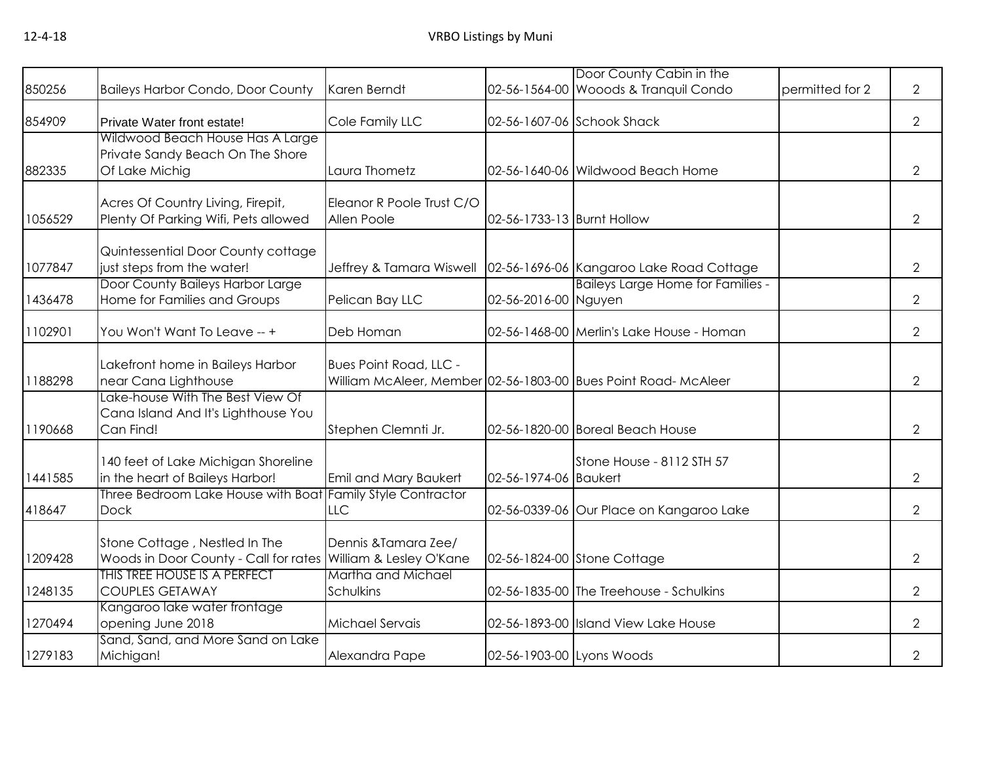|         |                                                                                        |                                                 |                            | Door County Cabin in the                                       |                 |                |
|---------|----------------------------------------------------------------------------------------|-------------------------------------------------|----------------------------|----------------------------------------------------------------|-----------------|----------------|
| 850256  | <b>Baileys Harbor Condo, Door County</b>                                               | Karen Berndt                                    |                            | 02-56-1564-00 Wooods & Tranquil Condo                          | permitted for 2 | $\overline{2}$ |
| 854909  | Private Water front estate!                                                            | Cole Family LLC                                 |                            | 02-56-1607-06 Schook Shack                                     |                 | $\overline{2}$ |
| 882335  | Wildwood Beach House Has A Large<br>Private Sandy Beach On The Shore<br>Of Lake Michig | Laura Thometz                                   |                            | 02-56-1640-06 Wildwood Beach Home                              |                 | $\overline{2}$ |
| 1056529 | Acres Of Country Living, Firepit,<br>Plenty Of Parking Wifi, Pets allowed              | Eleanor R Poole Trust C/O<br>Allen Poole        | 02-56-1733-13 Burnt Hollow |                                                                |                 | $\overline{2}$ |
| 1077847 | Quintessential Door County cottage<br>just steps from the water!                       | Jeffrey & Tamara Wiswell                        |                            | 02-56-1696-06 Kangaroo Lake Road Cottage                       |                 | 2              |
| 1436478 | Door County Baileys Harbor Large<br>Home for Families and Groups                       | Pelican Bay LLC                                 | 02-56-2016-00 Nguyen       | <b>Baileys Large Home for Families -</b>                       |                 | $\overline{2}$ |
| 1102901 | You Won't Want To Leave -- +                                                           | Deb Homan                                       |                            | 02-56-1468-00 Merlin's Lake House - Homan                      |                 | $\overline{2}$ |
| 1188298 | Lakefront home in Baileys Harbor<br>near Cana Lighthouse                               | <b>Bues Point Road, LLC -</b>                   |                            | William McAleer, Member 02-56-1803-00 Bues Point Road- McAleer |                 | $\overline{2}$ |
| 1190668 | Lake-house With The Best View Of<br>Cana Island And It's Lighthouse You<br>Can Find!   | Stephen Clemnti Jr.                             |                            | 02-56-1820-00 Boreal Beach House                               |                 | $\overline{2}$ |
| 1441585 | 140 feet of Lake Michigan Shoreline<br>in the heart of Baileys Harbor!                 | Emil and Mary Baukert                           | 02-56-1974-06 Baukert      | Stone House - 8112 STH 57                                      |                 | $\overline{2}$ |
| 418647  | Three Bedroom Lake House with Boat<br><b>Dock</b>                                      | <b>Family Style Contractor</b><br><b>LLC</b>    |                            | 02-56-0339-06 Our Place on Kangaroo Lake                       |                 | $\overline{2}$ |
| 1209428 | Stone Cottage, Nestled In The<br>Woods in Door County - Call for rates                 | Dennis & Tamara Zee/<br>William & Lesley O'Kane |                            | 02-56-1824-00 Stone Cottage                                    |                 | $\overline{2}$ |
| 1248135 | THIS TREE HOUSE IS A PERFECT<br><b>COUPLES GETAWAY</b>                                 | Martha and Michael<br>Schulkins                 |                            | 02-56-1835-00 The Treehouse - Schulkins                        |                 | $\overline{2}$ |
| 1270494 | Kangaroo lake water frontage<br>opening June 2018                                      | Michael Servais                                 |                            | 02-56-1893-00 Island View Lake House                           |                 | $\overline{2}$ |
| 1279183 | Sand, Sand, and More Sand on Lake<br>Michigan!                                         | Alexandra Pape                                  | 02-56-1903-00 Lyons Woods  |                                                                |                 | $\overline{2}$ |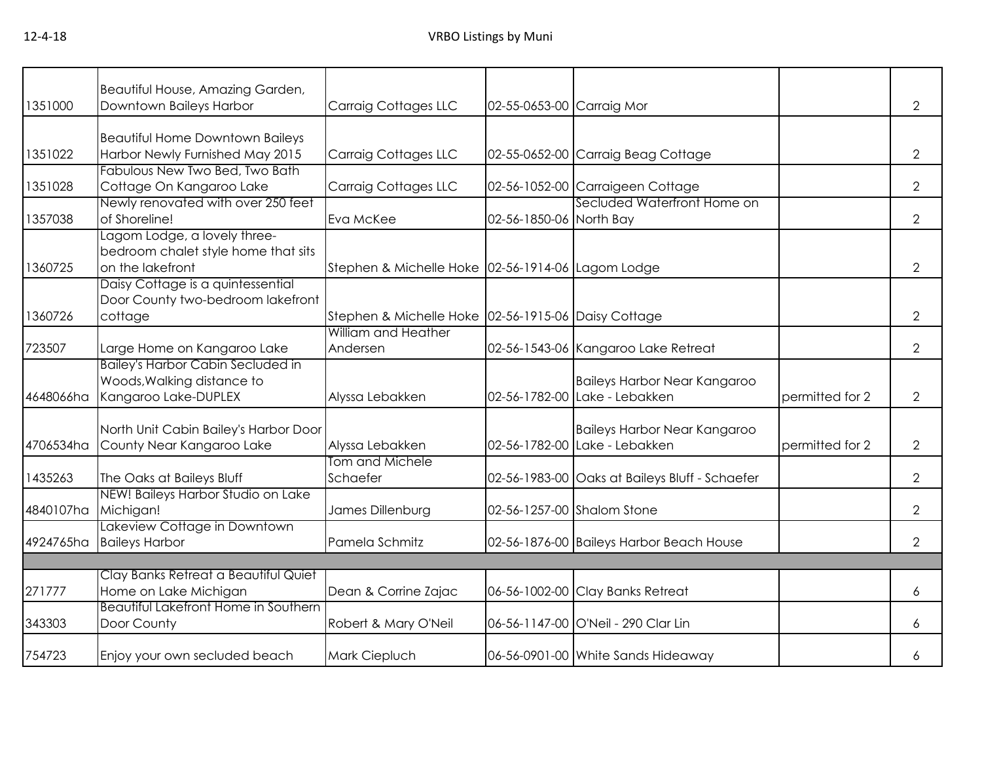| 1351000   | Beautiful House, Amazing Garden,<br>Downtown Baileys Harbor | <b>Carraig Cottages LLC</b>                         | 02-55-0653-00 Carraig Mor |                                                |                 | $\overline{2}$ |
|-----------|-------------------------------------------------------------|-----------------------------------------------------|---------------------------|------------------------------------------------|-----------------|----------------|
|           |                                                             |                                                     |                           |                                                |                 |                |
|           | <b>Beautiful Home Downtown Baileys</b>                      |                                                     |                           |                                                |                 |                |
| 1351022   | Harbor Newly Furnished May 2015                             | <b>Carraig Cottages LLC</b>                         |                           | 02-55-0652-00 Carraig Beag Cottage             |                 | $\overline{2}$ |
|           | Fabulous New Two Bed, Two Bath                              |                                                     |                           |                                                |                 |                |
| 1351028   | Cottage On Kangaroo Lake                                    | <b>Carraig Cottages LLC</b>                         |                           | 02-56-1052-00 Carraigeen Cottage               |                 | $\overline{2}$ |
|           | Newly renovated with over 250 feet                          |                                                     |                           | Secluded Waterfront Home on                    |                 |                |
| 1357038   | of Shoreline!                                               | Eva McKee                                           | 02-56-1850-06 North Bay   |                                                |                 | $\overline{2}$ |
|           | Lagom Lodge, a lovely three-                                |                                                     |                           |                                                |                 |                |
|           | bedroom chalet style home that sits                         |                                                     |                           |                                                |                 |                |
| 1360725   | on the lakefront                                            | Stephen & Michelle Hoke 02-56-1914-06 Lagom Lodge   |                           |                                                |                 | $\overline{2}$ |
|           | Daisy Cottage is a quintessential                           |                                                     |                           |                                                |                 |                |
|           | Door County two-bedroom lakefront                           |                                                     |                           |                                                |                 |                |
| 1360726   | cottage                                                     | Stephen & Michelle Hoke 02-56-1915-06 Daisy Cottage |                           |                                                |                 | $\overline{2}$ |
|           |                                                             | William and Heather                                 |                           |                                                |                 |                |
| 723507    | Large Home on Kangaroo Lake                                 | Andersen                                            |                           | 02-56-1543-06 Kangaroo Lake Retreat            |                 | $\overline{2}$ |
|           | <b>Bailey's Harbor Cabin Secluded in</b>                    |                                                     |                           |                                                |                 |                |
|           | Woods, Walking distance to                                  |                                                     |                           | <b>Baileys Harbor Near Kangaroo</b>            |                 |                |
| 4648066ha | Kangaroo Lake-DUPLEX                                        | Alyssa Lebakken                                     |                           | 02-56-1782-00 Lake - Lebakken                  | permitted for 2 | $\overline{2}$ |
|           |                                                             |                                                     |                           |                                                |                 |                |
|           | North Unit Cabin Bailey's Harbor Door                       |                                                     |                           | <b>Baileys Harbor Near Kangaroo</b>            |                 |                |
| 4706534ha | County Near Kangaroo Lake                                   | Alyssa Lebakken                                     |                           | 02-56-1782-00 Lake - Lebakken                  | permitted for 2 | $\overline{2}$ |
|           |                                                             | Tom and Michele                                     |                           |                                                |                 |                |
| 1435263   | The Oaks at Baileys Bluff                                   | Schaefer                                            |                           | 02-56-1983-00 Oaks at Baileys Bluff - Schaefer |                 | $\overline{2}$ |
|           | NEW! Baileys Harbor Studio on Lake                          |                                                     |                           |                                                |                 |                |
| 4840107ha | Michigan!                                                   | James Dillenburg                                    |                           | 02-56-1257-00 Shalom Stone                     |                 | $\overline{2}$ |
|           | Lakeview Cottage in Downtown                                |                                                     |                           |                                                |                 |                |
|           | 4924765ha Baileys Harbor                                    | Pamela Schmitz                                      |                           | 02-56-1876-00 Baileys Harbor Beach House       |                 | $\overline{2}$ |
|           |                                                             |                                                     |                           |                                                |                 |                |
|           | Clay Banks Retreat a Beautiful Quiet                        |                                                     |                           |                                                |                 |                |
| 271777    | Home on Lake Michigan                                       | Dean & Corrine Zajac                                |                           | 06-56-1002-00 Clay Banks Retreat               |                 | 6              |
|           | <b>Beautiful Lakefront Home in Southern</b>                 |                                                     |                           |                                                |                 |                |
| 343303    | Door County                                                 | Robert & Mary O'Neil                                |                           | 06-56-1147-00 O'Neil - 290 Clar Lin            |                 | 6              |
| 754723    | Enjoy your own secluded beach                               | Mark Ciepluch                                       |                           | 06-56-0901-00 White Sands Hideaway             |                 | 6              |
|           |                                                             |                                                     |                           |                                                |                 |                |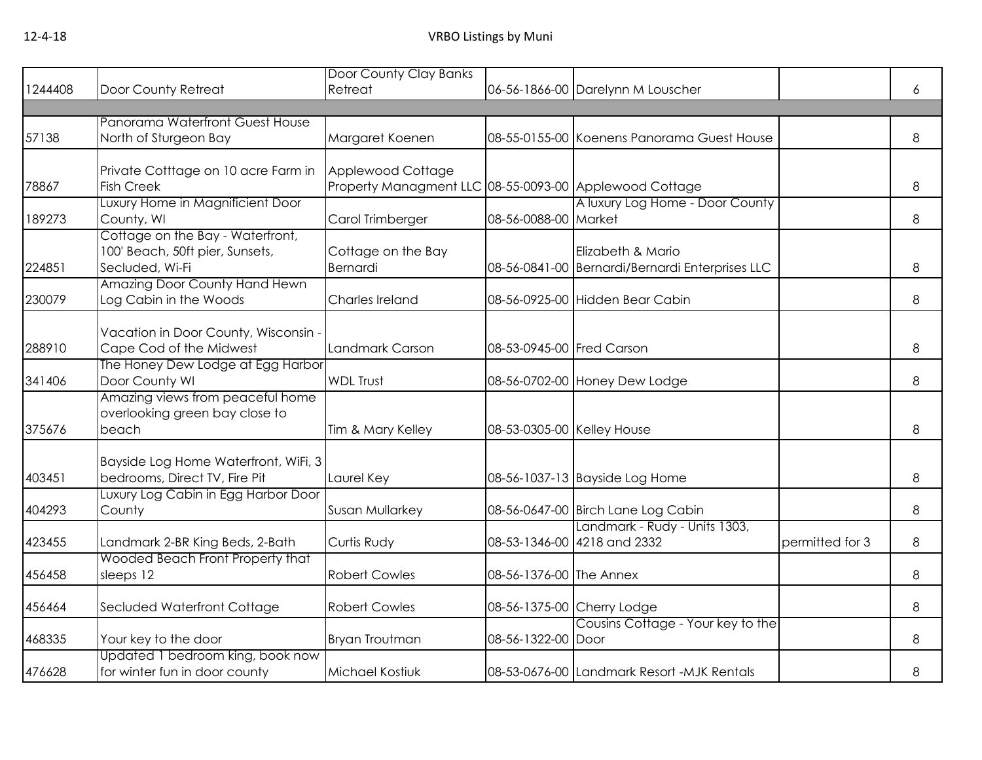|         |                                      | Door County Clay Banks                                 |                            |                                                 |                 |   |
|---------|--------------------------------------|--------------------------------------------------------|----------------------------|-------------------------------------------------|-----------------|---|
| 1244408 | Door County Retreat                  | Retreat                                                |                            | 06-56-1866-00 Darelynn M Louscher               |                 | 6 |
|         |                                      |                                                        |                            |                                                 |                 |   |
|         | Panorama Waterfront Guest House      |                                                        |                            |                                                 |                 |   |
| 57138   | North of Sturgeon Bay                | Margaret Koenen                                        |                            | 08-55-0155-00 Koenens Panorama Guest House      |                 | 8 |
|         |                                      |                                                        |                            |                                                 |                 |   |
|         | Private Cotttage on 10 acre Farm in  | Applewood Cottage                                      |                            |                                                 |                 |   |
| 78867   | <b>Fish Creek</b>                    | Property Managment LLC 08-55-0093-00 Applewood Cottage |                            |                                                 |                 | 8 |
|         | Luxury Home in Magnificient Door     |                                                        |                            | A luxury Log Home - Door County                 |                 |   |
| 189273  | County, WI                           | Carol Trimberger                                       | 08-56-0088-00 Market       |                                                 |                 | 8 |
|         | Cottage on the Bay - Waterfront,     |                                                        |                            |                                                 |                 |   |
|         | 100' Beach, 50ft pier, Sunsets,      | Cottage on the Bay                                     |                            | Elizabeth & Mario                               |                 |   |
| 224851  | Secluded, Wi-Fi                      | Bernardi                                               |                            | 08-56-0841-00 Bernardi/Bernardi Enterprises LLC |                 | 8 |
|         | Amazing Door County Hand Hewn        |                                                        |                            |                                                 |                 |   |
| 230079  | Log Cabin in the Woods               | Charles Ireland                                        |                            | 08-56-0925-00 Hidden Bear Cabin                 |                 | 8 |
|         |                                      |                                                        |                            |                                                 |                 |   |
|         | Vacation in Door County, Wisconsin - |                                                        |                            |                                                 |                 |   |
| 288910  | Cape Cod of the Midwest              | Landmark Carson                                        | 08-53-0945-00 Fred Carson  |                                                 |                 | 8 |
|         | The Honey Dew Lodge at Egg Harbor    |                                                        |                            |                                                 |                 |   |
| 341406  | Door County WI                       | <b>WDL Trust</b>                                       |                            | 08-56-0702-00 Honey Dew Lodge                   |                 | 8 |
|         | Amazing views from peaceful home     |                                                        |                            |                                                 |                 |   |
|         | overlooking green bay close to       |                                                        |                            |                                                 |                 |   |
| 375676  | beach                                | Tim & Mary Kelley                                      | 08-53-0305-00 Kelley House |                                                 |                 | 8 |
|         |                                      |                                                        |                            |                                                 |                 |   |
|         | Bayside Log Home Waterfront, WiFi, 3 |                                                        |                            |                                                 |                 |   |
| 403451  | bedrooms, Direct TV, Fire Pit        | Laurel Key                                             |                            | 08-56-1037-13 Bayside Log Home                  |                 | 8 |
|         | Luxury Log Cabin in Egg Harbor Door  |                                                        |                            |                                                 |                 |   |
| 404293  | County                               | Susan Mullarkey                                        |                            | 08-56-0647-00 Birch Lane Log Cabin              |                 | 8 |
|         |                                      |                                                        |                            | Landmark - Rudy - Units 1303,                   |                 |   |
| 423455  | Landmark 2-BR King Beds, 2-Bath      | Curtis Rudy                                            |                            | 08-53-1346-00 4218 and 2332                     | permitted for 3 | 8 |
|         | Wooded Beach Front Property that     |                                                        |                            |                                                 |                 |   |
| 456458  | sleeps 12                            | <b>Robert Cowles</b>                                   | 08-56-1376-00 The Annex    |                                                 |                 | 8 |
|         |                                      |                                                        |                            |                                                 |                 |   |
| 456464  | Secluded Waterfront Cottage          | <b>Robert Cowles</b>                                   |                            | 08-56-1375-00 Cherry Lodge                      |                 | 8 |
|         |                                      |                                                        |                            | Cousins Cottage - Your key to the               |                 |   |
| 468335  | Your key to the door                 | Bryan Troutman                                         | 08-56-1322-00 Door         |                                                 |                 | 8 |
|         | Updated 1 bedroom king, book now     |                                                        |                            |                                                 |                 |   |
| 476628  | for winter fun in door county        | Michael Kostiuk                                        |                            | 08-53-0676-00 Landmark Resort -MJK Rentals      |                 | 8 |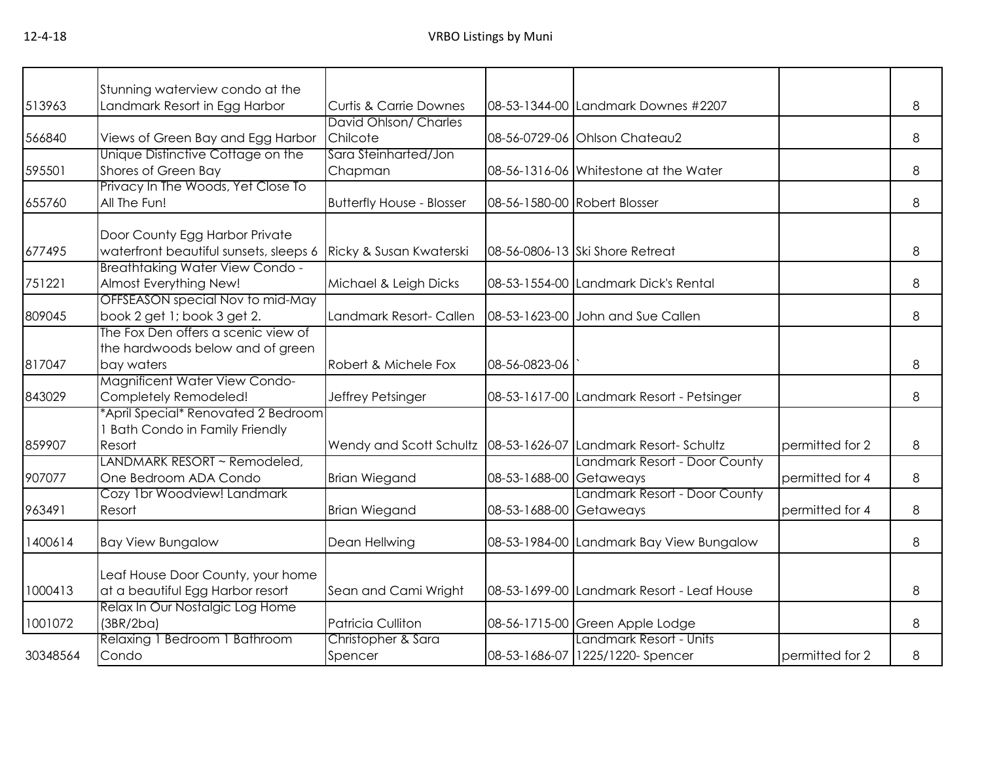|          | Stunning waterview condo at the                              |                                       |                         |                                            |                 |   |
|----------|--------------------------------------------------------------|---------------------------------------|-------------------------|--------------------------------------------|-----------------|---|
| 513963   | Landmark Resort in Egg Harbor                                | <b>Curtis &amp; Carrie Downes</b>     |                         | 08-53-1344-00 Landmark Downes #2207        |                 | 8 |
|          |                                                              | David Ohlson/ Charles                 |                         |                                            |                 |   |
| 566840   | Views of Green Bay and Egg Harbor                            | Chilcote                              |                         | 08-56-0729-06 Ohlson Chateau2              |                 | 8 |
|          | Unique Distinctive Cottage on the                            | Sara Steinharted/Jon                  |                         |                                            |                 |   |
| 595501   | Shores of Green Bay                                          | Chapman                               |                         | 08-56-1316-06 Whitestone at the Water      |                 | 8 |
|          | Privacy In The Woods, Yet Close To                           |                                       |                         |                                            |                 |   |
| 655760   | All The Fun!                                                 | <b>Butterfly House - Blosser</b>      |                         | 08-56-1580-00 Robert Blosser               |                 | 8 |
|          | Door County Egg Harbor Private                               |                                       |                         |                                            |                 |   |
| 677495   | waterfront beautiful sunsets, sleeps 6                       | Ricky & Susan Kwaterski               |                         | 08-56-0806-13 Ski Shore Retreat            |                 | 8 |
|          | <b>Breathtaking Water View Condo -</b>                       |                                       |                         |                                            |                 |   |
| 751221   | Almost Everything New!                                       | Michael & Leigh Dicks                 |                         | 08-53-1554-00 Landmark Dick's Rental       |                 | 8 |
|          | OFFSEASON special Nov to mid-May                             |                                       |                         |                                            |                 |   |
| 809045   | book 2 get 1; book 3 get 2.                                  | Landmark Resort- Callen               |                         | 08-53-1623-00 John and Sue Callen          |                 | 8 |
|          | The Fox Den offers a scenic view of                          |                                       |                         |                                            |                 |   |
|          | the hardwoods below and of green                             |                                       |                         |                                            |                 |   |
| 817047   | bay waters                                                   | Robert & Michele Fox                  | 08-56-0823-06           |                                            |                 | 8 |
|          | Magnificent Water View Condo-                                |                                       |                         |                                            |                 |   |
| 843029   | Completely Remodeled!<br>*April Special* Renovated 2 Bedroom | Jeffrey Petsinger                     |                         | 08-53-1617-00 Landmark Resort - Petsinger  |                 | 8 |
|          | <b>Bath Condo in Family Friendly</b>                         |                                       |                         |                                            |                 |   |
| 859907   | Resort                                                       | Wendy and Scott Schultz 08-53-1626-07 |                         | Landmark Resort- Schultz                   | permitted for 2 | 8 |
|          | LANDMARK RESORT ~ Remodeled,                                 |                                       |                         | Landmark Resort - Door County              |                 |   |
| 907077   | One Bedroom ADA Condo                                        | <b>Brian Wiegand</b>                  | 08-53-1688-00 Getaweays |                                            | permitted for 4 | 8 |
|          | Cozy 1br Woodview! Landmark                                  |                                       |                         | Landmark Resort - Door County              |                 |   |
| 963491   | Resort                                                       | <b>Brian Wiegand</b>                  | 08-53-1688-00 Getaweays |                                            | permitted for 4 | 8 |
| 1400614  | <b>Bay View Bungalow</b>                                     | Dean Hellwing                         |                         | 08-53-1984-00 Landmark Bay View Bungalow   |                 | 8 |
|          |                                                              |                                       |                         |                                            |                 |   |
|          | Leaf House Door County, your home                            |                                       |                         |                                            |                 |   |
| 1000413  | at a beautiful Egg Harbor resort                             | Sean and Cami Wright                  |                         | 08-53-1699-00 Landmark Resort - Leaf House |                 | 8 |
|          | Relax In Our Nostalgic Log Home                              |                                       |                         |                                            |                 |   |
| 1001072  | (3BR/2ba)                                                    | <b>Patricia Culliton</b>              |                         | 08-56-1715-00 Green Apple Lodge            |                 | 8 |
|          | Relaxing 1 Bedroom 1 Bathroom                                | Christopher & Sara                    |                         | Landmark Resort - Units                    |                 |   |
| 30348564 | Condo                                                        | Spencer                               |                         | 08-53-1686-07 1225/1220- Spencer           | permitted for 2 | 8 |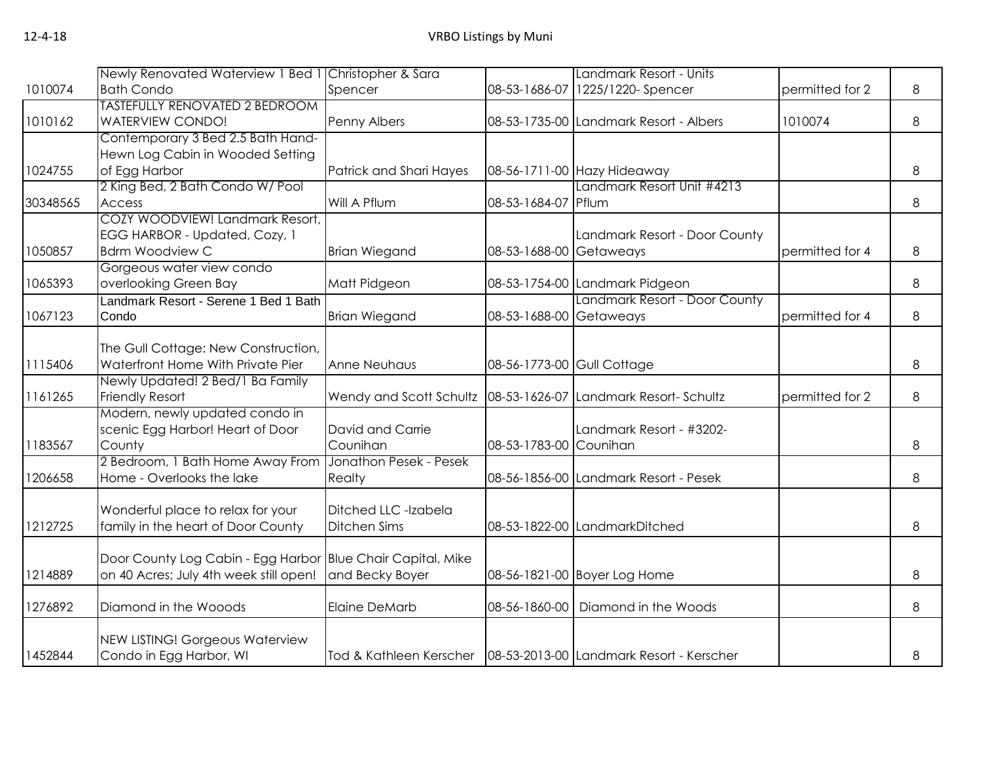|          | Newly Renovated Waterview 1 Bed 1 Christopher & Sara                     |                                                                 |                            | Landmark Resort - Units                                            |                 |   |
|----------|--------------------------------------------------------------------------|-----------------------------------------------------------------|----------------------------|--------------------------------------------------------------------|-----------------|---|
| 1010074  | <b>Bath Condo</b>                                                        | Spencer                                                         | 08-53-1686-07              | 1225/1220-Spencer                                                  | permitted for 2 | 8 |
|          | <b>TASTEFULLY RENOVATED 2 BEDROOM</b>                                    |                                                                 |                            |                                                                    |                 |   |
| 1010162  | <b>WATERVIEW CONDO!</b>                                                  | Penny Albers                                                    |                            | 08-53-1735-00 Landmark Resort - Albers                             | 1010074         | 8 |
|          | Contemporary 3 Bed 2.5 Bath Hand-                                        |                                                                 |                            |                                                                    |                 |   |
|          | Hewn Log Cabin in Wooded Setting                                         |                                                                 |                            |                                                                    |                 |   |
| 1024755  | of Egg Harbor                                                            | Patrick and Shari Hayes                                         |                            | 08-56-1711-00 Hazy Hideaway                                        |                 | 8 |
|          | 2 King Bed, 2 Bath Condo W/ Pool                                         |                                                                 |                            | Landmark Resort Unit #4213                                         |                 |   |
| 30348565 | Access                                                                   | Will A Pflum                                                    | 08-53-1684-07 Pflum        |                                                                    |                 | 8 |
|          | COZY WOODVIEW! Landmark Resort,                                          |                                                                 |                            |                                                                    |                 |   |
|          | EGG HARBOR - Updated, Cozy, 1                                            |                                                                 |                            | Landmark Resort - Door County                                      |                 |   |
| 1050857  | <b>Bdrm Woodview C</b>                                                   | <b>Brian Wiegand</b>                                            | 08-53-1688-00 Getaweays    |                                                                    | permitted for 4 | 8 |
|          | Gorgeous water view condo                                                |                                                                 |                            |                                                                    |                 |   |
| 1065393  | overlooking Green Bay                                                    | Matt Pidgeon                                                    |                            | 08-53-1754-00 Landmark Pidgeon                                     |                 | 8 |
|          | Landmark Resort - Serene 1 Bed 1 Bath                                    |                                                                 |                            | Landmark Resort - Door County                                      |                 |   |
| 1067123  | Condo                                                                    | <b>Brian Wiegand</b>                                            | 08-53-1688-00 Getaweays    |                                                                    | permitted for 4 | 8 |
|          |                                                                          |                                                                 |                            |                                                                    |                 |   |
| 1115406  | The Gull Cottage: New Construction,<br>Waterfront Home With Private Pier | Anne Neuhaus                                                    | 08-56-1773-00 Gull Cottage |                                                                    |                 | 8 |
|          | Newly Updated! 2 Bed/1 Ba Family                                         |                                                                 |                            |                                                                    |                 |   |
| 1161265  | Friendly Resort                                                          | Wendy and Scott Schultz   08-53-1626-07 Landmark Resort-Schultz |                            |                                                                    | permitted for 2 | 8 |
|          | Modern, newly updated condo in                                           |                                                                 |                            |                                                                    |                 |   |
|          | scenic Egg Harbor! Heart of Door                                         | David and Carrie                                                |                            | Landmark Resort - #3202-                                           |                 |   |
| 1183567  | County                                                                   | Counihan                                                        | 08-53-1783-00 Counihan     |                                                                    |                 | 8 |
|          | 2 Bedroom, 1 Bath Home Away From                                         | Jonathon Pesek - Pesek                                          |                            |                                                                    |                 |   |
| 1206658  | Home - Overlooks the lake                                                | Realty                                                          |                            | 08-56-1856-00 Landmark Resort - Pesek                              |                 | 8 |
|          |                                                                          |                                                                 |                            |                                                                    |                 |   |
|          | Wonderful place to relax for your                                        | Ditched LLC -Izabela                                            |                            |                                                                    |                 |   |
| 1212725  | family in the heart of Door County                                       | <b>Ditchen Sims</b>                                             |                            | 08-53-1822-00 LandmarkDitched                                      |                 | 8 |
|          |                                                                          |                                                                 |                            |                                                                    |                 |   |
|          | Door County Log Cabin - Egg Harbor Blue Chair Capital, Mike              |                                                                 |                            |                                                                    |                 |   |
| 1214889  | on 40 Acres; July 4th week still open!                                   | and Becky Boyer                                                 |                            | 08-56-1821-00 Boyer Log Home                                       |                 | 8 |
|          |                                                                          |                                                                 |                            |                                                                    |                 |   |
| 1276892  | Diamond in the Wooods                                                    | <b>Elaine DeMarb</b>                                            |                            | 08-56-1860-00   Diamond in the Woods                               |                 | 8 |
|          |                                                                          |                                                                 |                            |                                                                    |                 |   |
|          | <b>NEW LISTING! Gorgeous Waterview</b>                                   |                                                                 |                            |                                                                    |                 |   |
| 1452844  | Condo in Egg Harbor, WI                                                  |                                                                 |                            | Tod & Kathleen Kerscher   08-53-2013-00 Landmark Resort - Kerscher |                 | 8 |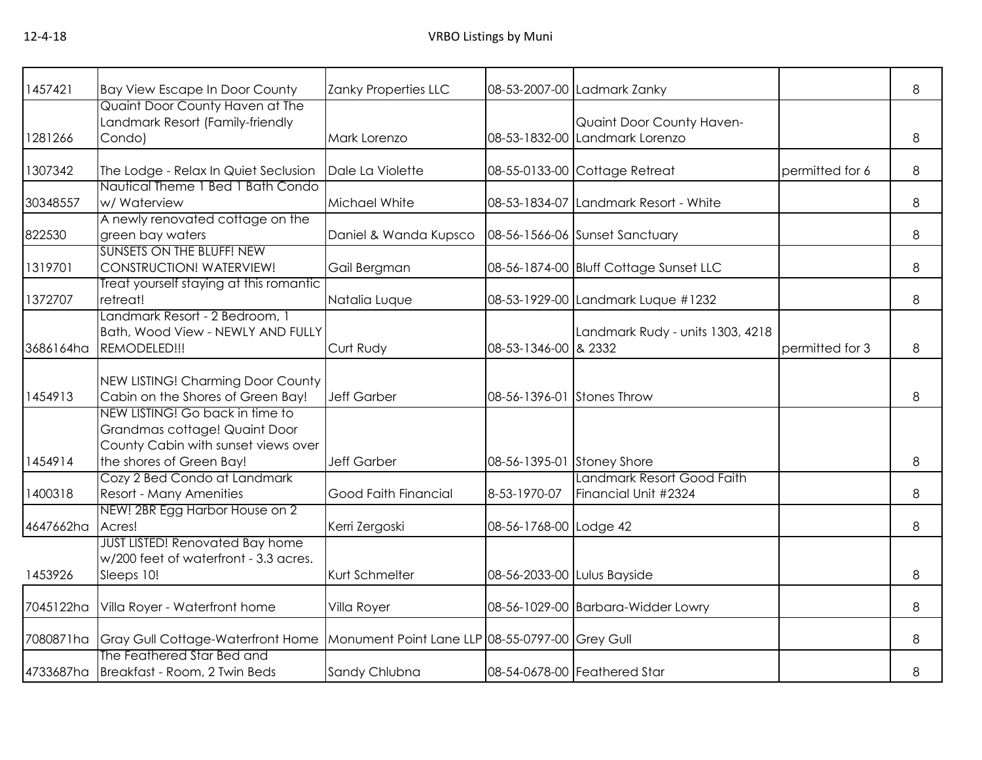| 1457421   | <b>Bay View Escape In Door County</b>                               | Zanky Properties LLC                            |                             | 08-53-2007-00 Ladmark Zanky            |                 | 8 |
|-----------|---------------------------------------------------------------------|-------------------------------------------------|-----------------------------|----------------------------------------|-----------------|---|
|           | Quaint Door County Haven at The                                     |                                                 |                             |                                        |                 |   |
|           | Landmark Resort (Family-friendly                                    |                                                 |                             | Quaint Door County Haven-              |                 |   |
| 1281266   | Condo)                                                              | Mark Lorenzo                                    |                             | 08-53-1832-00 Landmark Lorenzo         |                 | 8 |
| 1307342   | The Lodge - Relax In Quiet Seclusion                                | Dale La Violette                                |                             | 08-55-0133-00 Cottage Retreat          | permitted for 6 | 8 |
|           | Nautical Theme 1 Bed 1 Bath Condo                                   |                                                 |                             |                                        |                 |   |
| 30348557  | w/ Waterview                                                        | Michael White                                   |                             | 08-53-1834-07 Landmark Resort - White  |                 | 8 |
|           | A newly renovated cottage on the                                    |                                                 |                             |                                        |                 |   |
| 822530    | green bay waters                                                    | Daniel & Wanda Kupsco                           |                             | 08-56-1566-06 Sunset Sanctuary         |                 | 8 |
|           | <b>SUNSETS ON THE BLUFF! NEW</b>                                    |                                                 |                             |                                        |                 |   |
| 1319701   | CONSTRUCTION! WATERVIEW!                                            | Gail Bergman                                    |                             | 08-56-1874-00 Bluff Cottage Sunset LLC |                 | 8 |
|           | Treat yourself staying at this romantic                             |                                                 |                             |                                        |                 |   |
| 1372707   | retreat!                                                            | Natalia Luque                                   |                             | 08-53-1929-00 Landmark Luque #1232     |                 | 8 |
|           | Landmark Resort - 2 Bedroom, 1<br>Bath, Wood View - NEWLY AND FULLY |                                                 |                             | Landmark Rudy - units 1303, 4218       |                 |   |
| 3686164ha | REMODELED!!!                                                        | Curt Rudy                                       | 08-53-1346-00 & 2332        |                                        | permitted for 3 | 8 |
|           |                                                                     |                                                 |                             |                                        |                 |   |
|           | NEW LISTING! Charming Door County                                   |                                                 |                             |                                        |                 |   |
| 1454913   | Cabin on the Shores of Green Bay!                                   | <b>Jeff Garber</b>                              | 08-56-1396-01 Stones Throw  |                                        |                 | 8 |
|           | NEW LISTING! Go back in time to                                     |                                                 |                             |                                        |                 |   |
|           | Grandmas cottage! Quaint Door                                       |                                                 |                             |                                        |                 |   |
|           | County Cabin with sunset views over                                 |                                                 |                             |                                        |                 |   |
| 1454914   | the shores of Green Bay!                                            | <b>Jeff Garber</b>                              | 08-56-1395-01 Stoney Shore  |                                        |                 | 8 |
|           | Cozy 2 Bed Condo at Landmark                                        |                                                 |                             | Landmark Resort Good Faith             |                 |   |
| 1400318   | Resort - Many Amenities                                             | Good Faith Financial                            | 8-53-1970-07                | Financial Unit #2324                   |                 | 8 |
|           | NEW! 2BR Egg Harbor House on 2                                      |                                                 |                             |                                        |                 |   |
| 4647662ha | Acres!<br><b>JUST LISTED! Renovated Bay home</b>                    | Kerri Zergoski                                  | 08-56-1768-00 Lodge 42      |                                        |                 | 8 |
|           | w/200 feet of waterfront - 3.3 acres.                               |                                                 |                             |                                        |                 |   |
| 1453926   | Sleeps 10!                                                          | Kurt Schmelter                                  | 08-56-2033-00 Lulus Bayside |                                        |                 | 8 |
|           |                                                                     |                                                 |                             |                                        |                 |   |
| 7045122ha | Villa Royer - Waterfront home                                       | Villa Royer                                     |                             | 08-56-1029-00 Barbara-Widder Lowry     |                 | 8 |
|           |                                                                     |                                                 |                             |                                        |                 |   |
| 7080871ha | Gray Gull Cottage-Waterfront Home                                   | Monument Point Lane LLP 08-55-0797-00 Grey Gull |                             |                                        |                 | 8 |
|           | The Feathered Star Bed and                                          |                                                 |                             |                                        |                 |   |
|           | 4733687ha Breakfast - Room, 2 Twin Beds                             | Sandy Chlubna                                   |                             | 08-54-0678-00 Feathered Star           |                 | 8 |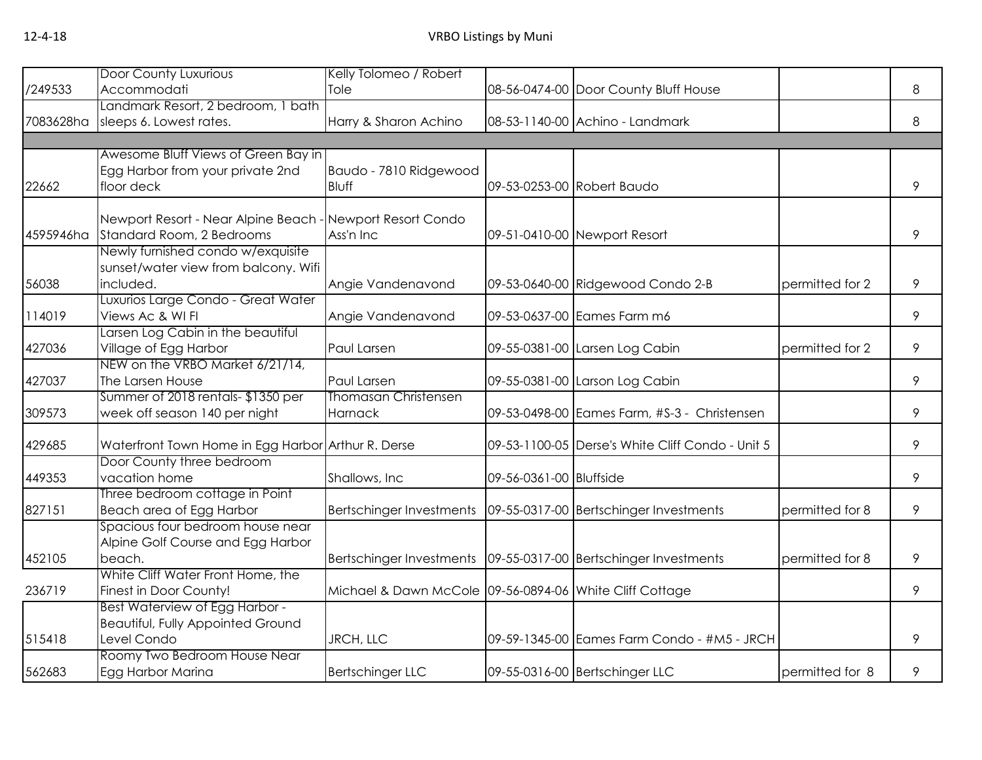|           | <b>Door County Luxurious</b>                                              | Kelly Tolomeo / Robert                                              |                            |                                                  |                 |   |
|-----------|---------------------------------------------------------------------------|---------------------------------------------------------------------|----------------------------|--------------------------------------------------|-----------------|---|
| /249533   | Accommodati                                                               | Tole                                                                |                            | 08-56-0474-00 Door County Bluff House            |                 | 8 |
|           | Landmark Resort, 2 bedroom, 1 bath                                        |                                                                     |                            |                                                  |                 |   |
| 7083628ha | sleeps 6. Lowest rates.                                                   | Harry & Sharon Achino                                               |                            | 08-53-1140-00 Achino - Landmark                  |                 | 8 |
|           |                                                                           |                                                                     |                            |                                                  |                 |   |
|           | Awesome Bluff Views of Green Bay in                                       |                                                                     |                            |                                                  |                 |   |
|           | Egg Harbor from your private 2nd                                          | Baudo - 7810 Ridgewood                                              |                            |                                                  |                 |   |
| 22662     | floor deck                                                                | Bluff                                                               | 09-53-0253-00 Robert Baudo |                                                  |                 | 9 |
|           |                                                                           |                                                                     |                            |                                                  |                 |   |
|           | Newport Resort - Near Alpine Beach - Newport Resort Condo                 |                                                                     |                            |                                                  |                 |   |
| 4595946ha | Standard Room, 2 Bedrooms                                                 | Ass'n Inc                                                           |                            | 09-51-0410-00 Newport Resort                     |                 | 9 |
|           | Newly furnished condo w/exquisite<br>sunset/water view from balcony. Wifi |                                                                     |                            |                                                  |                 |   |
|           | included.                                                                 |                                                                     |                            |                                                  | permitted for 2 | 9 |
| 56038     | Luxurios Large Condo - Great Water                                        | Angie Vandenavond                                                   |                            | 09-53-0640-00 Ridgewood Condo 2-B                |                 |   |
| 114019    | Views Ac & WI FI                                                          | Angie Vandenavond                                                   |                            | 09-53-0637-00 Eames Farm m6                      |                 | 9 |
|           | Larsen Log Cabin in the beautiful                                         |                                                                     |                            |                                                  |                 |   |
| 427036    | Village of Egg Harbor                                                     | Paul Larsen                                                         |                            | 09-55-0381-00 Larsen Log Cabin                   | permitted for 2 | 9 |
|           | NEW on the VRBO Market 6/21/14,                                           |                                                                     |                            |                                                  |                 |   |
| 427037    | The Larsen House                                                          | Paul Larsen                                                         |                            | 09-55-0381-00 Larson Log Cabin                   |                 | 9 |
|           | Summer of 2018 rentals-\$1350 per                                         | <b>Thomasan Christensen</b>                                         |                            |                                                  |                 |   |
| 309573    | week off season 140 per night                                             | Harnack                                                             |                            | 09-53-0498-00 Eames Farm, #S-3 - Christensen     |                 | 9 |
|           |                                                                           |                                                                     |                            |                                                  |                 |   |
| 429685    | Waterfront Town Home in Egg Harbor Arthur R. Derse                        |                                                                     |                            | 09-53-1100-05 Derse's White Cliff Condo - Unit 5 |                 | 9 |
|           | Door County three bedroom                                                 |                                                                     |                            |                                                  |                 |   |
| 449353    | vacation home                                                             | Shallows, Inc.                                                      | 09-56-0361-00 Bluffside    |                                                  |                 | 9 |
|           | Three bedroom cottage in Point                                            |                                                                     |                            |                                                  |                 |   |
| 827151    | Beach area of Egg Harbor                                                  | Bertschinger Investments   09-55-0317-00 Bertschinger Investments   |                            |                                                  | permitted for 8 | 9 |
|           | Spacious four bedroom house near                                          |                                                                     |                            |                                                  |                 |   |
|           | Alpine Golf Course and Egg Harbor                                         |                                                                     |                            |                                                  |                 |   |
| 452105    | beach.                                                                    | Bertschinger Investments   09-55-0317-00   Bertschinger Investments |                            |                                                  | permitted for 8 | 9 |
|           | White Cliff Water Front Home, the                                         |                                                                     |                            |                                                  |                 |   |
| 236719    | Finest in Door County!                                                    | Michael & Dawn McCole 09-56-0894-06 White Cliff Cottage             |                            |                                                  |                 | 9 |
|           | <b>Best Waterview of Egg Harbor -</b>                                     |                                                                     |                            |                                                  |                 |   |
|           | <b>Beautiful, Fully Appointed Ground</b>                                  |                                                                     |                            |                                                  |                 |   |
| 515418    | Level Condo<br>Roomy Two Bedroom House Near                               | JRCH, LLC                                                           |                            | 09-59-1345-00 Eames Farm Condo - #M5 - JRCH      |                 | 9 |
| 562683    | Egg Harbor Marina                                                         | <b>Bertschinger LLC</b>                                             |                            | 09-55-0316-00 Bertschinger LLC                   | permitted for 8 | 9 |
|           |                                                                           |                                                                     |                            |                                                  |                 |   |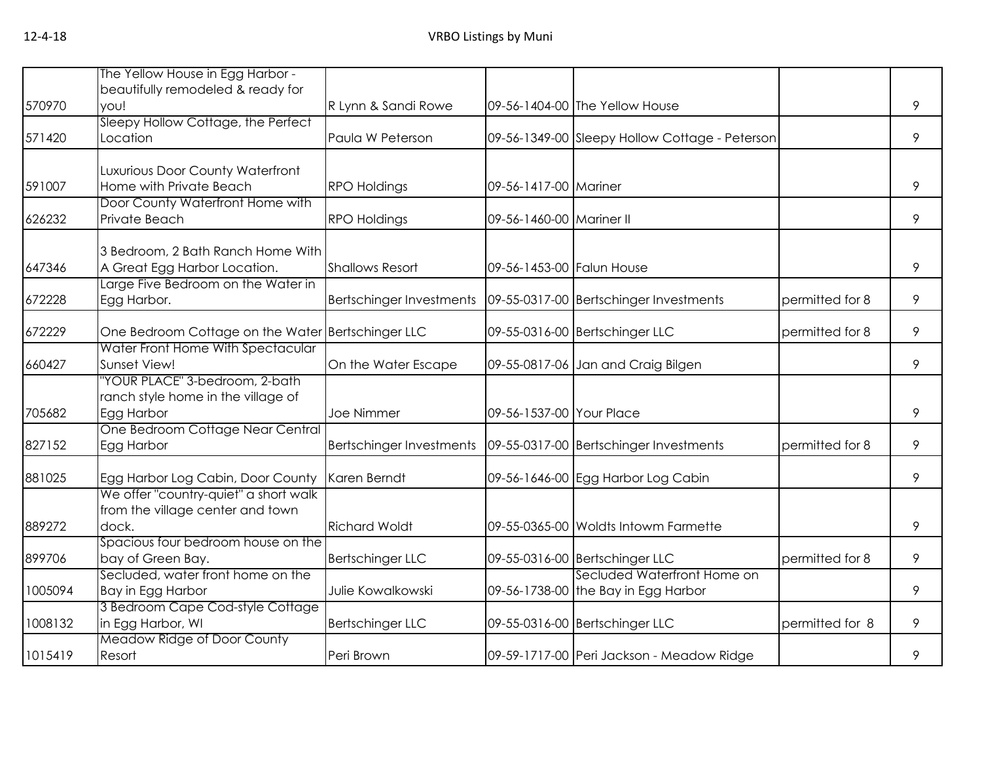|         | The Yellow House in Egg Harbor -                                  |                          |                           |                                                |                 |   |
|---------|-------------------------------------------------------------------|--------------------------|---------------------------|------------------------------------------------|-----------------|---|
|         | beautifully remodeled & ready for                                 |                          |                           |                                                |                 |   |
| 570970  | you!                                                              | R Lynn & Sandi Rowe      |                           | 09-56-1404-00 The Yellow House                 |                 | 9 |
| 571420  | Sleepy Hollow Cottage, the Perfect<br>Location                    | Paula W Peterson         |                           | 09-56-1349-00 Sleepy Hollow Cottage - Peterson |                 | 9 |
|         |                                                                   |                          |                           |                                                |                 |   |
|         | Luxurious Door County Waterfront                                  |                          |                           |                                                |                 |   |
| 591007  | Home with Private Beach                                           | <b>RPO Holdings</b>      | 09-56-1417-00 Mariner     |                                                |                 | 9 |
|         | Door County Waterfront Home with                                  |                          |                           |                                                |                 |   |
| 626232  | Private Beach                                                     | <b>RPO Holdings</b>      | 09-56-1460-00 Mariner II  |                                                |                 | 9 |
|         |                                                                   |                          |                           |                                                |                 |   |
| 647346  | 3 Bedroom, 2 Bath Ranch Home With<br>A Great Egg Harbor Location. | <b>Shallows Resort</b>   | 09-56-1453-00 Falun House |                                                |                 | 9 |
|         | Large Five Bedroom on the Water in                                |                          |                           |                                                |                 |   |
| 672228  | Egg Harbor.                                                       | Bertschinger Investments |                           | 09-55-0317-00 Bertschinger Investments         | permitted for 8 | 9 |
|         |                                                                   |                          |                           |                                                |                 |   |
| 672229  | One Bedroom Cottage on the Water Bertschinger LLC                 |                          |                           | 09-55-0316-00 Bertschinger LLC                 | permitted for 8 | 9 |
|         | Water Front Home With Spectacular                                 |                          |                           |                                                |                 |   |
| 660427  | Sunset View!                                                      | On the Water Escape      |                           | 09-55-0817-06 Jan and Craig Bilgen             |                 | 9 |
|         | 'YOUR PLACE" 3-bedroom, 2-bath                                    |                          |                           |                                                |                 |   |
| 705682  | ranch style home in the village of                                | Joe Nimmer               | 09-56-1537-00 Your Place  |                                                |                 | 9 |
|         | Egg Harbor<br>One Bedroom Cottage Near Central                    |                          |                           |                                                |                 |   |
| 827152  | Egg Harbor                                                        | Bertschinger Investments |                           | 09-55-0317-00 Bertschinger Investments         | permitted for 8 | 9 |
|         |                                                                   |                          |                           |                                                |                 |   |
| 881025  | Egg Harbor Log Cabin, Door County                                 | Karen Berndt             |                           | 09-56-1646-00 Egg Harbor Log Cabin             |                 | 9 |
|         | We offer "country-quiet" a short walk                             |                          |                           |                                                |                 |   |
|         | from the village center and town                                  |                          |                           |                                                |                 |   |
| 889272  | dock.                                                             | <b>Richard Woldt</b>     |                           | 09-55-0365-00 Woldts Intowm Farmette           |                 | 9 |
|         | Spacious four bedroom house on the                                |                          |                           |                                                |                 |   |
| 899706  | bay of Green Bay.                                                 | <b>Bertschinger LLC</b>  |                           | 09-55-0316-00 Bertschinger LLC                 | permitted for 8 | 9 |
| 1005094 | Secluded, water front home on the                                 | Julie Kowalkowski        |                           | Secluded Waterfront Home on                    |                 | 9 |
|         | Bay in Egg Harbor<br>3 Bedroom Cape Cod-style Cottage             |                          |                           | 09-56-1738-00 the Bay in Egg Harbor            |                 |   |
| 1008132 | in Egg Harbor, WI                                                 | <b>Bertschinger LLC</b>  |                           | 09-55-0316-00 Bertschinger LLC                 | permitted for 8 | 9 |
|         | Meadow Ridge of Door County                                       |                          |                           |                                                |                 |   |
| 1015419 | Resort                                                            | Peri Brown               |                           | 09-59-1717-00 Peri Jackson - Meadow Ridge      |                 | 9 |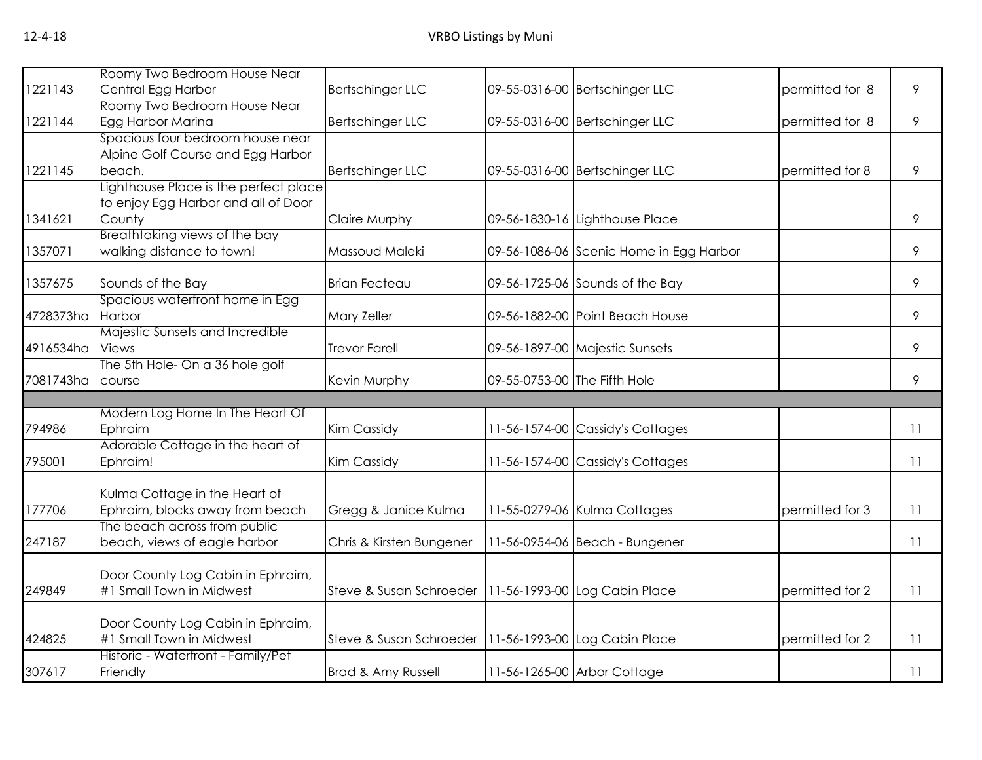|           | Roomy Two Bedroom House Near          |                                                         |                              |                                         |                 |    |
|-----------|---------------------------------------|---------------------------------------------------------|------------------------------|-----------------------------------------|-----------------|----|
| 1221143   | Central Egg Harbor                    | <b>Bertschinger LLC</b>                                 |                              | 09-55-0316-00 Bertschinger LLC          | permitted for 8 | 9  |
|           | Roomy Two Bedroom House Near          |                                                         |                              |                                         |                 |    |
| 1221144   | Egg Harbor Marina                     | <b>Bertschinger LLC</b>                                 |                              | 09-55-0316-00 Bertschinger LLC          | permitted for 8 | 9  |
|           | Spacious four bedroom house near      |                                                         |                              |                                         |                 |    |
|           | Alpine Golf Course and Egg Harbor     |                                                         |                              |                                         |                 |    |
| 1221145   | beach.                                | <b>Bertschinger LLC</b>                                 |                              | 09-55-0316-00 Bertschinger LLC          | permitted for 8 | 9  |
|           | Lighthouse Place is the perfect place |                                                         |                              |                                         |                 |    |
|           | to enjoy Egg Harbor and all of Door   |                                                         |                              |                                         |                 |    |
| 1341621   | County                                | Claire Murphy                                           |                              | 09-56-1830-16 Lighthouse Place          |                 | 9  |
|           | Breathtaking views of the bay         |                                                         |                              |                                         |                 |    |
| 1357071   | walking distance to town!             | Massoud Maleki                                          |                              | 09-56-1086-06 Scenic Home in Egg Harbor |                 | 9  |
| 1357675   | Sounds of the Bay                     | <b>Brian Fecteau</b>                                    |                              | 09-56-1725-06 Sounds of the Bay         |                 | 9  |
|           | Spacious waterfront home in Egg       |                                                         |                              |                                         |                 |    |
| 4728373ha | Harbor                                | Mary Zeller                                             |                              | 09-56-1882-00 Point Beach House         |                 | 9  |
|           | Majestic Sunsets and Incredible       |                                                         |                              |                                         |                 |    |
| 4916534ha | Views                                 | <b>Trevor Farell</b>                                    |                              | 09-56-1897-00 Majestic Sunsets          |                 | 9  |
|           | The 5th Hole- On a 36 hole golf       |                                                         |                              |                                         |                 |    |
| 7081743ha | course                                | Kevin Murphy                                            | 09-55-0753-00 The Fifth Hole |                                         |                 | 9  |
|           |                                       |                                                         |                              |                                         |                 |    |
|           | Modern Log Home In The Heart Of       |                                                         |                              |                                         |                 |    |
| 794986    | Ephraim                               | Kim Cassidy                                             |                              | 11-56-1574-00 Cassidy's Cottages        |                 | 11 |
|           | Adorable Cottage in the heart of      |                                                         |                              |                                         |                 |    |
| 795001    | Ephraim!                              | Kim Cassidy                                             |                              | 11-56-1574-00 Cassidy's Cottages        |                 | 11 |
|           | Kulma Cottage in the Heart of         |                                                         |                              |                                         |                 |    |
| 177706    | Ephraim, blocks away from beach       | Gregg & Janice Kulma                                    |                              | 11-55-0279-06 Kulma Cottages            | permitted for 3 | 11 |
|           | The beach across from public          |                                                         |                              |                                         |                 |    |
| 247187    | beach, views of eagle harbor          | Chris & Kirsten Bungener                                |                              | 11-56-0954-06 Beach - Bungener          |                 | 11 |
|           |                                       |                                                         |                              |                                         |                 |    |
|           | Door County Log Cabin in Ephraim,     |                                                         |                              |                                         |                 |    |
| 249849    | #1 Small Town in Midwest              | Steve & Susan Schroeder   11-56-1993-00 Log Cabin Place |                              |                                         | permitted for 2 | 11 |
|           |                                       |                                                         |                              |                                         |                 |    |
|           | Door County Log Cabin in Ephraim,     |                                                         |                              |                                         |                 |    |
| 424825    | #1 Small Town in Midwest              | Steve & Susan Schroeder   11-56-1993-00 Log Cabin Place |                              |                                         | permitted for 2 | 11 |
|           | Historic - Waterfront - Family/Pet    |                                                         |                              |                                         |                 |    |
| 307617    | Friendly                              | Brad & Amy Russell                                      |                              | 11-56-1265-00 Arbor Cottage             |                 | 11 |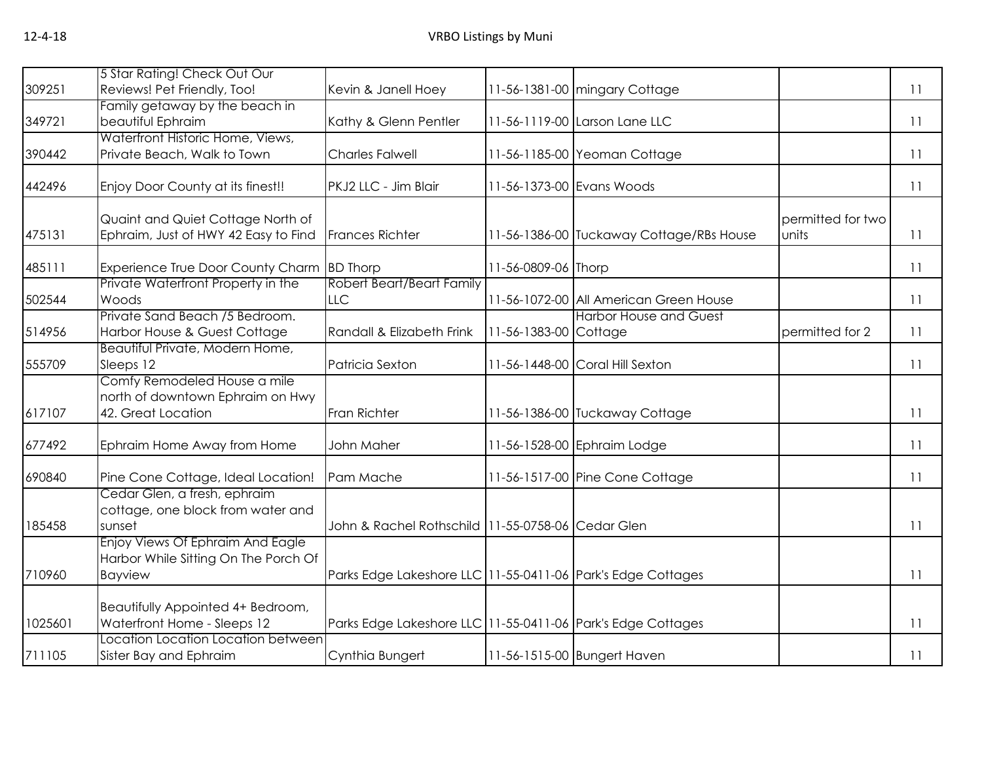|         | 5 Star Rating! Check Out Our                                                           |                                                             |                       |                                          |                            |    |
|---------|----------------------------------------------------------------------------------------|-------------------------------------------------------------|-----------------------|------------------------------------------|----------------------------|----|
| 309251  | Reviews! Pet Friendly, Too!                                                            | Kevin & Janell Hoey                                         |                       | 11-56-1381-00 mingary Cottage            |                            | 11 |
|         | Family getaway by the beach in                                                         |                                                             |                       |                                          |                            |    |
| 349721  | beautiful Ephraim                                                                      | Kathy & Glenn Pentler                                       |                       | 11-56-1119-00 Larson Lane LLC            |                            | 11 |
| 390442  | Waterfront Historic Home, Views,<br>Private Beach, Walk to Town                        | <b>Charles Falwell</b>                                      |                       | 11-56-1185-00 Yeoman Cottage             |                            | 11 |
| 442496  | Enjoy Door County at its finest!!                                                      | PKJ2 LLC - Jim Blair                                        |                       | 11-56-1373-00 Evans Woods                |                            | 11 |
| 475131  | Quaint and Quiet Cottage North of<br>Ephraim, Just of HWY 42 Easy to Find              | <b>Frances Richter</b>                                      |                       | 11-56-1386-00 Tuckaway Cottage/RBs House | permitted for two<br>units | 11 |
| 485111  | Experience True Door County Charm BD Thorp                                             |                                                             | 11-56-0809-06 Thorp   |                                          |                            | 11 |
| 502544  | Private Waterfront Property in the<br>Woods                                            | <b>Robert Beart/Beart Family</b><br><b>LLC</b>              |                       | 11-56-1072-00 All American Green House   |                            | 11 |
| 514956  | Private Sand Beach /5 Bedroom.<br>Harbor House & Guest Cottage                         | Randall & Elizabeth Frink                                   | 11-56-1383-00 Cottage | <b>Harbor House and Guest</b>            | permitted for 2            | 11 |
| 555709  | Beautiful Private, Modern Home,<br>Sleeps 12                                           | Patricia Sexton                                             |                       | 11-56-1448-00 Coral Hill Sexton          |                            | 11 |
| 617107  | Comfy Remodeled House a mile<br>north of downtown Ephraim on Hwy<br>42. Great Location | Fran Richter                                                |                       | 11-56-1386-00 Tuckaway Cottage           |                            | 11 |
| 677492  | Ephraim Home Away from Home                                                            | John Maher                                                  |                       | 11-56-1528-00 Ephraim Lodge              |                            | 11 |
| 690840  | Pine Cone Cottage, Ideal Location!                                                     | Pam Mache                                                   |                       | 11-56-1517-00 Pine Cone Cottage          |                            | 11 |
| 185458  | Cedar Glen, a fresh, ephraim<br>cottage, one block from water and<br>sunset            | John & Rachel Rothschild   1 1-55-0758-06   Cedar Glen      |                       |                                          |                            | 11 |
| 710960  | Enjoy Views Of Ephraim And Eagle<br>Harbor While Sitting On The Porch Of<br>Bayview    | Parks Edge Lakeshore LLC 11-55-0411-06 Park's Edge Cottages |                       |                                          |                            | 11 |
| 1025601 | Beautifully Appointed 4+ Bedroom,<br>Waterfront Home - Sleeps 12                       | Parks Edge Lakeshore LLC 11-55-0411-06 Park's Edge Cottages |                       |                                          |                            | 11 |
| 711105  | Location Location Location between<br>Sister Bay and Ephraim                           | Cynthia Bungert                                             |                       | 11-56-1515-00 Bungert Haven              |                            | 11 |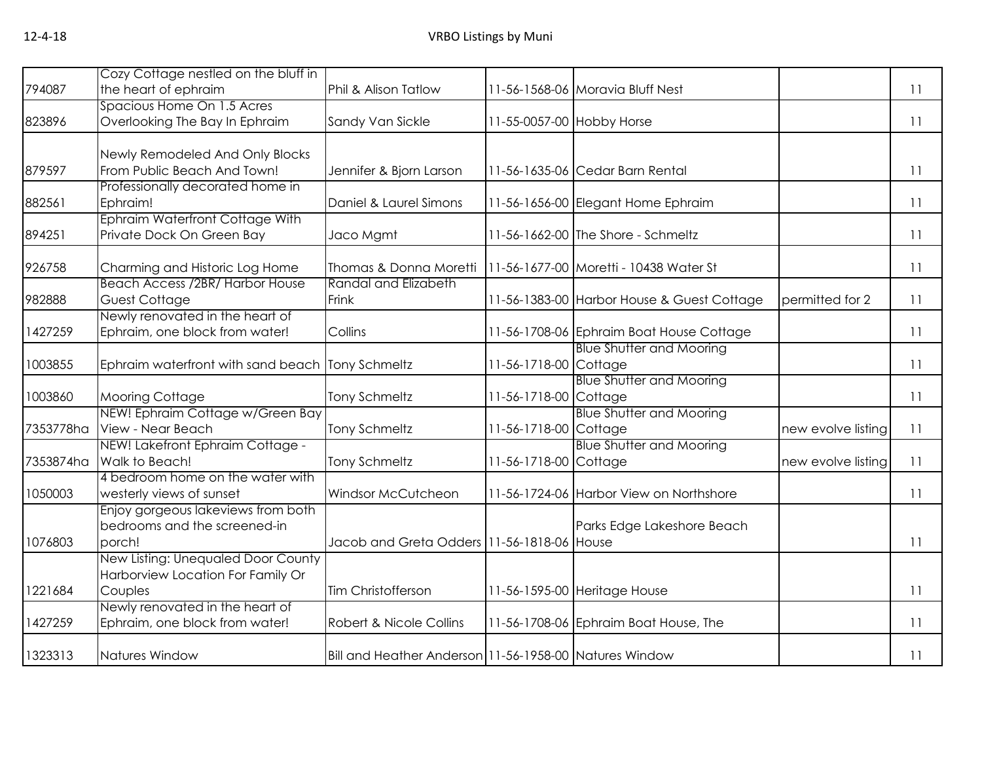|           | Cozy Cottage nestled on the bluff in             |                                                        |                           |                                            |                    |    |
|-----------|--------------------------------------------------|--------------------------------------------------------|---------------------------|--------------------------------------------|--------------------|----|
| 794087    | the heart of ephraim                             | Phil & Alison Tatlow                                   |                           | 11-56-1568-06 Moravia Bluff Nest           |                    | 11 |
|           | Spacious Home On 1.5 Acres                       |                                                        |                           |                                            |                    |    |
| 823896    | Overlooking The Bay In Ephraim                   | Sandy Van Sickle                                       | 11-55-0057-00 Hobby Horse |                                            |                    | 11 |
|           |                                                  |                                                        |                           |                                            |                    |    |
|           | Newly Remodeled And Only Blocks                  |                                                        |                           |                                            |                    |    |
| 879597    | From Public Beach And Town!                      | Jennifer & Bjorn Larson                                |                           | 11-56-1635-06 Cedar Barn Rental            |                    | 11 |
| 882561    | Professionally decorated home in<br>Ephraim!     | Daniel & Laurel Simons                                 |                           | 11-56-1656-00 Elegant Home Ephraim         |                    | 11 |
|           | <b>Ephraim Waterfront Cottage With</b>           |                                                        |                           |                                            |                    |    |
| 894251    | Private Dock On Green Bay                        | Jaco Mgmt                                              |                           | 11-56-1662-00 The Shore - Schmeltz         |                    | 11 |
|           |                                                  |                                                        |                           |                                            |                    |    |
| 926758    | Charming and Historic Log Home                   | Thomas & Donna Moretti                                 |                           | 11-56-1677-00 Moretti - 10438 Water St     |                    | 11 |
|           | <b>Beach Access /2BR/ Harbor House</b>           | Randal and Elizabeth                                   |                           |                                            |                    |    |
| 982888    | Guest Cottage                                    | Frink                                                  |                           | 11-56-1383-00 Harbor House & Guest Cottage | permitted for 2    | 11 |
|           | Newly renovated in the heart of                  |                                                        |                           |                                            |                    |    |
| 1427259   | Ephraim, one block from water!                   | Collins                                                |                           | 11-56-1708-06 Ephraim Boat House Cottage   |                    | 11 |
|           |                                                  |                                                        |                           | <b>Blue Shutter and Mooring</b>            |                    |    |
| 1003855   | Ephraim waterfront with sand beach Tony Schmeltz |                                                        | 11-56-1718-00 Cottage     |                                            |                    | 11 |
|           |                                                  |                                                        |                           | <b>Blue Shutter and Mooring</b>            |                    |    |
| 1003860   | <b>Mooring Cottage</b>                           | <b>Tony Schmeltz</b>                                   | 11-56-1718-00 Cottage     |                                            |                    | 11 |
|           | NEW! Ephraim Cottage w/Green Bay                 |                                                        |                           | <b>Blue Shutter and Mooring</b>            |                    |    |
|           | 7353778ha View - Near Beach                      | <b>Tony Schmeltz</b>                                   | 11-56-1718-00 Cottage     |                                            | new evolve listing | 11 |
|           | NEW! Lakefront Ephraim Cottage -                 |                                                        |                           | <b>Blue Shutter and Mooring</b>            |                    |    |
| 7353874ha | Walk to Beach!                                   | <b>Tony Schmeltz</b>                                   | 11-56-1718-00 Cottage     |                                            | new evolve listing | 11 |
|           | 4 bedroom home on the water with                 |                                                        |                           |                                            |                    |    |
| 1050003   | westerly views of sunset                         | Windsor McCutcheon                                     |                           | 11-56-1724-06 Harbor View on Northshore    |                    | 11 |
|           | Enjoy gorgeous lakeviews from both               |                                                        |                           |                                            |                    |    |
| 1076803   | bedrooms and the screened-in<br>porch!           | Jacob and Greta Odders 11-56-1818-06 House             |                           | Parks Edge Lakeshore Beach                 |                    | 11 |
|           | New Listing: Unequaled Door County               |                                                        |                           |                                            |                    |    |
|           | Harborview Location For Family Or                |                                                        |                           |                                            |                    |    |
| 1221684   | Couples                                          | Tim Christofferson                                     |                           | 11-56-1595-00 Heritage House               |                    | 11 |
|           | Newly renovated in the heart of                  |                                                        |                           |                                            |                    |    |
| 1427259   | Ephraim, one block from water!                   | Robert & Nicole Collins                                |                           | 11-56-1708-06 Ephraim Boat House, The      |                    | 11 |
|           |                                                  |                                                        |                           |                                            |                    |    |
| 1323313   | Natures Window                                   | Bill and Heather Anderson 11-56-1958-00 Natures Window |                           |                                            |                    | 11 |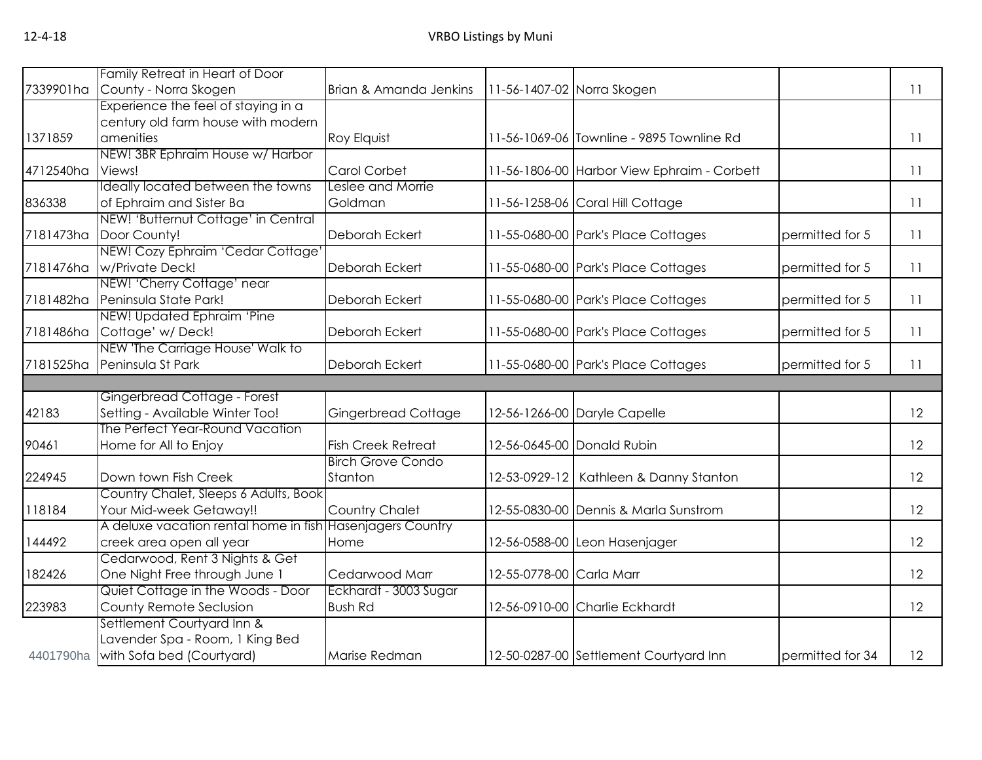|           | Family Retreat in Heart of Door                           |                            |                          |                                             |                  |    |
|-----------|-----------------------------------------------------------|----------------------------|--------------------------|---------------------------------------------|------------------|----|
| 7339901ha | County - Norra Skogen                                     | Brian & Amanda Jenkins     |                          | 11-56-1407-02 Norra Skogen                  |                  | 11 |
|           | Experience the feel of staying in a                       |                            |                          |                                             |                  |    |
|           | century old farm house with modern                        |                            |                          |                                             |                  |    |
| 1371859   | amenities                                                 | Roy Elquist                |                          | 11-56-1069-06 Townline - 9895 Townline Rd   |                  | 11 |
|           | NEW! 3BR Ephraim House w/ Harbor                          |                            |                          |                                             |                  |    |
| 4712540ha | Views!                                                    | Carol Corbet               |                          | 11-56-1806-00 Harbor View Ephraim - Corbett |                  | 11 |
|           | Ideally located between the towns                         | Leslee and Morrie          |                          |                                             |                  |    |
| 836338    | of Ephraim and Sister Ba                                  | Goldman                    |                          | 11-56-1258-06 Coral Hill Cottage            |                  | 11 |
|           | NEW! 'Butternut Cottage' in Central                       |                            |                          |                                             |                  |    |
| 7181473ha | Door County!                                              | Deborah Eckert             |                          | 11-55-0680-00 Park's Place Cottages         | permitted for 5  | 11 |
|           | NEW! Cozy Ephraim 'Cedar Cottage'                         |                            |                          |                                             |                  |    |
| 7181476ha | w/Private Deck!                                           | Deborah Eckert             |                          | 11-55-0680-00 Park's Place Cottages         | permitted for 5  | 11 |
|           | NEW! 'Cherry Cottage' near                                |                            |                          |                                             |                  |    |
| 7181482ha | Peninsula State Park!                                     | Deborah Eckert             |                          | 11-55-0680-00 Park's Place Cottages         | permitted for 5  | 11 |
|           | NEW! Updated Ephraim 'Pine                                |                            |                          |                                             |                  |    |
| 7181486ha | Cottage' w/Deck!                                          | Deborah Eckert             |                          | 11-55-0680-00 Park's Place Cottages         | permitted for 5  | 11 |
|           | NEW 'The Carriage House' Walk to                          |                            |                          |                                             |                  |    |
| 7181525ha | Peninsula St Park                                         | Deborah Eckert             |                          | 11-55-0680-00 Park's Place Cottages         | permitted for 5  | 11 |
|           |                                                           |                            |                          |                                             |                  |    |
|           | Gingerbread Cottage - Forest                              |                            |                          |                                             |                  |    |
| 42183     | Setting - Available Winter Too!                           | <b>Gingerbread Cottage</b> |                          | 12-56-1266-00 Daryle Capelle                |                  | 12 |
|           | The Perfect Year-Round Vacation                           |                            |                          |                                             |                  |    |
| 90461     | Home for All to Enjoy                                     | <b>Fish Creek Retreat</b>  |                          | 12-56-0645-00 Donald Rubin                  |                  | 12 |
|           |                                                           | <b>Birch Grove Condo</b>   |                          |                                             |                  |    |
| 224945    | Down town Fish Creek                                      | Stanton                    |                          | 12-53-0929-12   Kathleen & Danny Stanton    |                  | 12 |
|           | Country Chalet, Sleeps 6 Adults, Book                     |                            |                          |                                             |                  |    |
| 118184    | Your Mid-week Getaway!!                                   | Country Chalet             |                          | 12-55-0830-00 Dennis & Marla Sunstrom       |                  | 12 |
|           | A deluxe vacation rental home in fish Hasenjagers Country |                            |                          |                                             |                  |    |
| 144492    | creek area open all year                                  | Home                       |                          | 12-56-0588-00 Leon Hasenjager               |                  | 12 |
|           | Cedarwood, Rent 3 Nights & Get                            |                            |                          |                                             |                  |    |
| 182426    | One Night Free through June 1                             | Cedarwood Marr             | 12-55-0778-00 Carla Marr |                                             |                  | 12 |
|           | Quiet Cottage in the Woods - Door                         | Eckhardt - 3003 Sugar      |                          |                                             |                  |    |
| 223983    | County Remote Seclusion                                   | <b>Bush Rd</b>             |                          | 12-56-0910-00 Charlie Eckhardt              |                  | 12 |
|           | Settlement Courtyard Inn &                                |                            |                          |                                             |                  |    |
|           | Lavender Spa - Room, 1 King Bed                           |                            |                          |                                             |                  |    |
| 4401790ha | with Sofa bed (Courtyard)                                 | Marise Redman              |                          | 12-50-0287-00 Settlement Courtyard Inn      | permitted for 34 | 12 |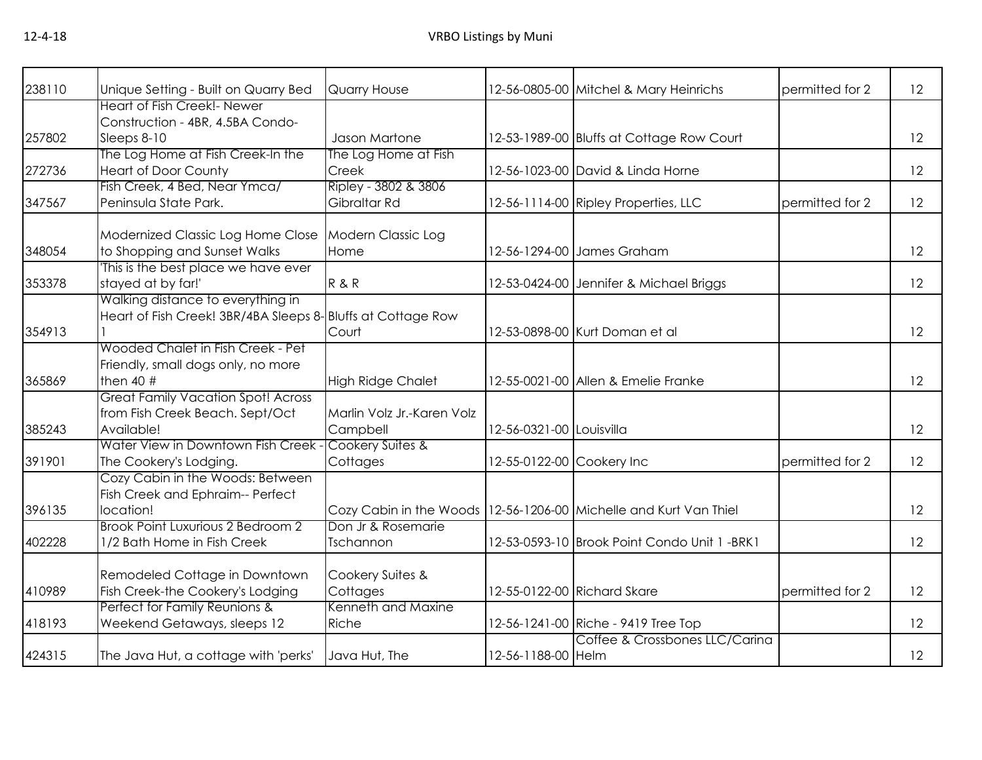| 238110 | Unique Setting - Built on Quarry Bed                        | <b>Quarry House</b>        |                           | 12-56-0805-00 Mitchel & Mary Heinrichs                              | permitted for 2 | 12 |
|--------|-------------------------------------------------------------|----------------------------|---------------------------|---------------------------------------------------------------------|-----------------|----|
|        | <b>Heart of Fish Creek!- Newer</b>                          |                            |                           |                                                                     |                 |    |
|        | Construction - 4BR, 4.5BA Condo-                            |                            |                           |                                                                     |                 |    |
| 257802 | Sleeps 8-10                                                 | Jason Martone              |                           | 12-53-1989-00 Bluffs at Cottage Row Court                           |                 | 12 |
|        | The Log Home at Fish Creek-In the                           | The Log Home at Fish       |                           |                                                                     |                 |    |
| 272736 | <b>Heart of Door County</b>                                 | Creek                      |                           | 12-56-1023-00 David & Linda Horne                                   |                 | 12 |
|        | Fish Creek, 4 Bed, Near Ymca/                               | Ripley - 3802 & 3806       |                           |                                                                     |                 |    |
| 347567 | Peninsula State Park.                                       | Gibraltar Rd               |                           | 12-56-1114-00 Ripley Properties, LLC                                | permitted for 2 | 12 |
|        | Modernized Classic Log Home Close                           | <b>Modern Classic Log</b>  |                           |                                                                     |                 |    |
| 348054 | to Shopping and Sunset Walks                                | Home                       |                           | 12-56-1294-00 James Graham                                          |                 | 12 |
|        | This is the best place we have ever                         |                            |                           |                                                                     |                 |    |
| 353378 | stayed at by far!'                                          | R & R                      |                           | 12-53-0424-00 Jennifer & Michael Briggs                             |                 | 12 |
|        | Walking distance to everything in                           |                            |                           |                                                                     |                 |    |
|        | Heart of Fish Creek! 3BR/4BA Sleeps 8-Bluffs at Cottage Row |                            |                           |                                                                     |                 |    |
| 354913 |                                                             | Court                      |                           | 12-53-0898-00 Kurt Doman et al                                      |                 | 12 |
|        | Wooded Chalet in Fish Creek - Pet                           |                            |                           |                                                                     |                 |    |
|        | Friendly, small dogs only, no more                          |                            |                           |                                                                     |                 |    |
| 365869 | then $40$ #                                                 | <b>High Ridge Chalet</b>   |                           | 12-55-0021-00 Allen & Emelie Franke                                 |                 | 12 |
|        | <b>Great Family Vacation Spot! Across</b>                   |                            |                           |                                                                     |                 |    |
|        | from Fish Creek Beach. Sept/Oct                             | Marlin Volz Jr.-Karen Volz |                           |                                                                     |                 |    |
| 385243 | Available!                                                  | Campbell                   | 12-56-0321-00 Louisvilla  |                                                                     |                 | 12 |
|        | Water View in Downtown Fish Creek                           | Cookery Suites &           |                           |                                                                     |                 |    |
| 391901 | The Cookery's Lodging.                                      | Cottages                   | 12-55-0122-00 Cookery Inc |                                                                     | permitted for 2 | 12 |
|        | Cozy Cabin in the Woods: Between                            |                            |                           |                                                                     |                 |    |
|        | Fish Creek and Ephraim-- Perfect                            |                            |                           |                                                                     |                 |    |
| 396135 | location!                                                   |                            |                           | Cozy Cabin in the Woods   12-56-1206-00 Michelle and Kurt Van Thiel |                 | 12 |
|        | Brook Point Luxurious 2 Bedroom 2                           | Don Jr & Rosemarie         |                           |                                                                     |                 |    |
| 402228 | 1/2 Bath Home in Fish Creek                                 | Tschannon                  |                           | 12-53-0593-10 Brook Point Condo Unit 1 -BRK1                        |                 | 12 |
|        | Remodeled Cottage in Downtown                               | Cookery Suites &           |                           |                                                                     |                 |    |
| 410989 | Fish Creek-the Cookery's Lodging                            | Cottages                   |                           | 12-55-0122-00 Richard Skare                                         | permitted for 2 | 12 |
|        | Perfect for Family Reunions &                               | Kenneth and Maxine         |                           |                                                                     |                 |    |
| 418193 | Weekend Getaways, sleeps 12                                 | Riche                      |                           | 12-56-1241-00 Riche - 9419 Tree Top                                 |                 | 12 |
|        |                                                             |                            |                           | Coffee & Crossbones LLC/Carina                                      |                 |    |
| 424315 | The Java Hut, a cottage with 'perks'                        | Java Hut, The              | 12-56-1188-00 Helm        |                                                                     |                 | 12 |
|        |                                                             |                            |                           |                                                                     |                 |    |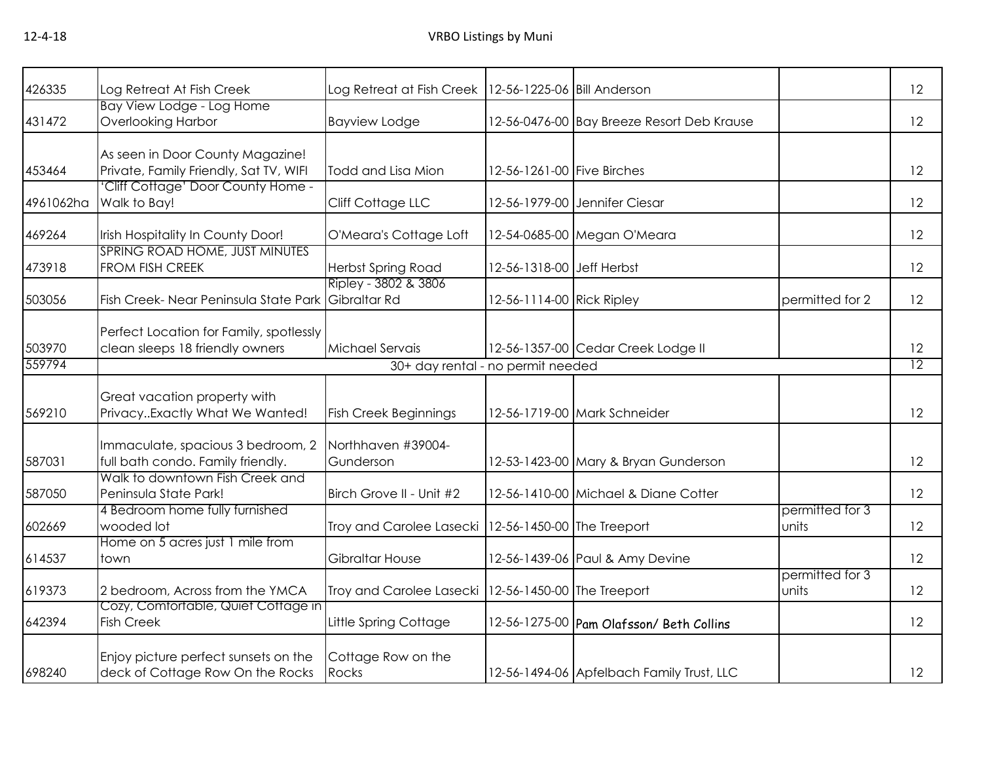| 426335    | Log Retreat At Fish Creek                                                  | Log Retreat at Fish Creek   12-56-1225-06   Bill Anderson |                            |                                            |                          | 12 |
|-----------|----------------------------------------------------------------------------|-----------------------------------------------------------|----------------------------|--------------------------------------------|--------------------------|----|
| 431472    | Bay View Lodge - Log Home<br><b>Overlooking Harbor</b>                     | <b>Bayview Lodge</b>                                      |                            | 12-56-0476-00 Bay Breeze Resort Deb Krause |                          | 12 |
|           |                                                                            |                                                           |                            |                                            |                          |    |
|           | As seen in Door County Magazine!                                           |                                                           |                            |                                            |                          |    |
| 453464    | Private, Family Friendly, Sat TV, WIFI                                     | Todd and Lisa Mion                                        | 12-56-1261-00 Five Birches |                                            |                          | 12 |
| 4961062ha | Cliff Cottage' Door County Home -<br>Walk to Bay!                          | Cliff Cottage LLC                                         |                            | 12-56-1979-00 Jennifer Ciesar              |                          | 12 |
|           |                                                                            |                                                           |                            |                                            |                          |    |
| 469264    | Irish Hospitality In County Door!                                          | O'Meara's Cottage Loft                                    |                            | 12-54-0685-00 Megan O'Meara                |                          | 12 |
| 473918    | SPRING ROAD HOME, JUST MINUTES<br>FROM FISH CREEK                          | Herbst Spring Road                                        | 12-56-1318-00 Jeff Herbst  |                                            |                          | 12 |
|           |                                                                            | Ripley - 3802 & 3806                                      |                            |                                            |                          |    |
| 503056    | Fish Creek- Near Peninsula State Park                                      | Gibraltar Rd                                              | 12-56-1114-00 Rick Ripley  |                                            | permitted for 2          | 12 |
|           |                                                                            |                                                           |                            |                                            |                          |    |
| 503970    | Perfect Location for Family, spotlessly<br>clean sleeps 18 friendly owners | Michael Servais                                           |                            | 12-56-1357-00 Cedar Creek Lodge II         |                          | 12 |
| 559794    |                                                                            | 30+ day rental - no permit needed                         |                            |                                            |                          | 12 |
|           |                                                                            |                                                           |                            |                                            |                          |    |
|           | Great vacation property with                                               |                                                           |                            |                                            |                          |    |
| 569210    | PrivacyExactly What We Wanted!                                             | <b>Fish Creek Beginnings</b>                              |                            | 12-56-1719-00 Mark Schneider               |                          | 12 |
|           |                                                                            |                                                           |                            |                                            |                          |    |
|           | Immaculate, spacious 3 bedroom, 2                                          | Northhaven #39004-                                        |                            |                                            |                          |    |
| 587031    | full bath condo. Family friendly.<br>Walk to downtown Fish Creek and       | Gunderson                                                 |                            | 12-53-1423-00 Mary & Bryan Gunderson       |                          | 12 |
| 587050    | Peninsula State Park!                                                      | Birch Grove II - Unit #2                                  |                            | 12-56-1410-00 Michael & Diane Cotter       |                          | 12 |
|           | 4 Bedroom home fully furnished                                             |                                                           |                            |                                            | permitted for 3          |    |
| 602669    | wooded lot                                                                 | Troy and Carolee Lasecki                                  | 12-56-1450-00 The Treeport |                                            | units                    | 12 |
|           | Home on 5 acres just 1 mile from                                           |                                                           |                            |                                            |                          |    |
| 614537    | town                                                                       | Gibraltar House                                           |                            | 12-56-1439-06 Paul & Amy Devine            |                          | 12 |
| 619373    | 2 bedroom, Across from the YMCA                                            | Troy and Carolee Lasecki                                  | 12-56-1450-00 The Treeport |                                            | permitted for 3<br>units | 12 |
|           | Cozy, Comfortable, Quiet Cottage in                                        |                                                           |                            |                                            |                          |    |
| 642394    | <b>Fish Creek</b>                                                          | Little Spring Cottage                                     |                            | 12-56-1275-00 Pam Olafsson/ Beth Collins   |                          | 12 |
|           |                                                                            |                                                           |                            |                                            |                          |    |
| 698240    | Enjoy picture perfect sunsets on the<br>deck of Cottage Row On the Rocks   | Cottage Row on the<br>Rocks                               |                            | 12-56-1494-06 Apfelbach Family Trust, LLC  |                          | 12 |
|           |                                                                            |                                                           |                            |                                            |                          |    |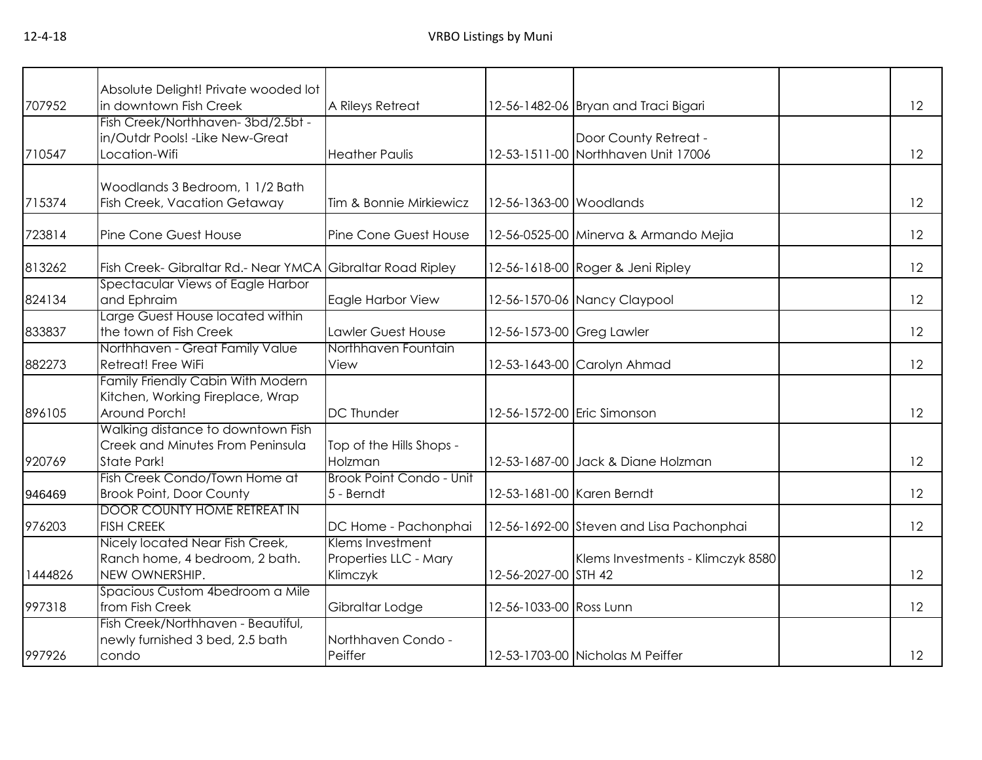| 707952  | Absolute Delight! Private wooded lot<br>in downtown Fish Creek                                     | A Rileys Retreat                                      |                           | 12-56-1482-06 Bryan and Traci Bigari                         | 12 |
|---------|----------------------------------------------------------------------------------------------------|-------------------------------------------------------|---------------------------|--------------------------------------------------------------|----|
| 710547  | Fish Creek/Northhaven-3bd/2.5bt -<br>in/Outdr Pools! - Like New-Great<br>Location-Wifi             | <b>Heather Paulis</b>                                 |                           | Door County Retreat -<br>12-53-1511-00 Northhaven Unit 17006 | 12 |
| 715374  | Woodlands 3 Bedroom, 1 1/2 Bath<br><b>Fish Creek, Vacation Getaway</b>                             | Tim & Bonnie Mirkiewicz                               | 12-56-1363-00 Woodlands   |                                                              | 12 |
| 723814  | Pine Cone Guest House                                                                              | Pine Cone Guest House                                 |                           | 12-56-0525-00 Minerva & Armando Mejia                        | 12 |
| 813262  | Fish Creek- Gibraltar Rd.- Near YMCA                                                               | <b>Gibraltar Road Ripley</b>                          |                           | 12-56-1618-00 Roger & Jeni Ripley                            | 12 |
| 824134  | Spectacular Views of Eagle Harbor<br>and Ephraim                                                   | Eagle Harbor View                                     |                           | 12-56-1570-06 Nancy Claypool                                 | 12 |
| 833837  | Large Guest House located within<br>the town of Fish Creek                                         | Lawler Guest House                                    | 12-56-1573-00 Greg Lawler |                                                              | 12 |
| 882273  | Northhaven - Great Family Value<br>Retreat! Free WiFi                                              | Northhaven Fountain<br>View                           |                           | 12-53-1643-00 Carolyn Ahmad                                  | 12 |
| 896105  | Family Friendly Cabin With Modern<br>Kitchen, Working Fireplace, Wrap<br>Around Porch!             | <b>DC Thunder</b>                                     |                           | 12-56-1572-00 Eric Simonson                                  | 12 |
| 920769  | Walking distance to downtown Fish<br><b>Creek and Minutes From Peninsula</b><br><b>State Park!</b> | Top of the Hills Shops -<br>Holzman                   |                           | 12-53-1687-00 Jack & Diane Holzman                           | 12 |
| 946469  | Fish Creek Condo/Town Home at<br><b>Brook Point, Door County</b>                                   | Brook Point Condo - Unit<br>5 - Berndt                |                           | 12-53-1681-00 Karen Berndt                                   | 12 |
| 976203  | <b>DOOR COUNTY HOME RETREAT IN</b><br><b>FISH CREEK</b>                                            | DC Home - Pachonphai                                  |                           | 12-56-1692-00 Steven and Lisa Pachonphai                     | 12 |
| 1444826 | Nicely located Near Fish Creek,<br>Ranch home, 4 bedroom, 2 bath.<br>NEW OWNERSHIP.                | Klems Investment<br>Properties LLC - Mary<br>Klimczyk | 12-56-2027-00 STH 42      | Klems Investments - Klimczyk 8580                            | 12 |
| 997318  | Spacious Custom 4bedroom a Mile<br>from Fish Creek                                                 | Gibraltar Lodge                                       | 12-56-1033-00 Ross Lunn   |                                                              | 12 |
| 997926  | Fish Creek/Northhaven - Beautiful,<br>newly furnished 3 bed, 2.5 bath<br>condo                     | Northhaven Condo -<br>Peiffer                         |                           | 12-53-1703-00 Nicholas M Peiffer                             | 12 |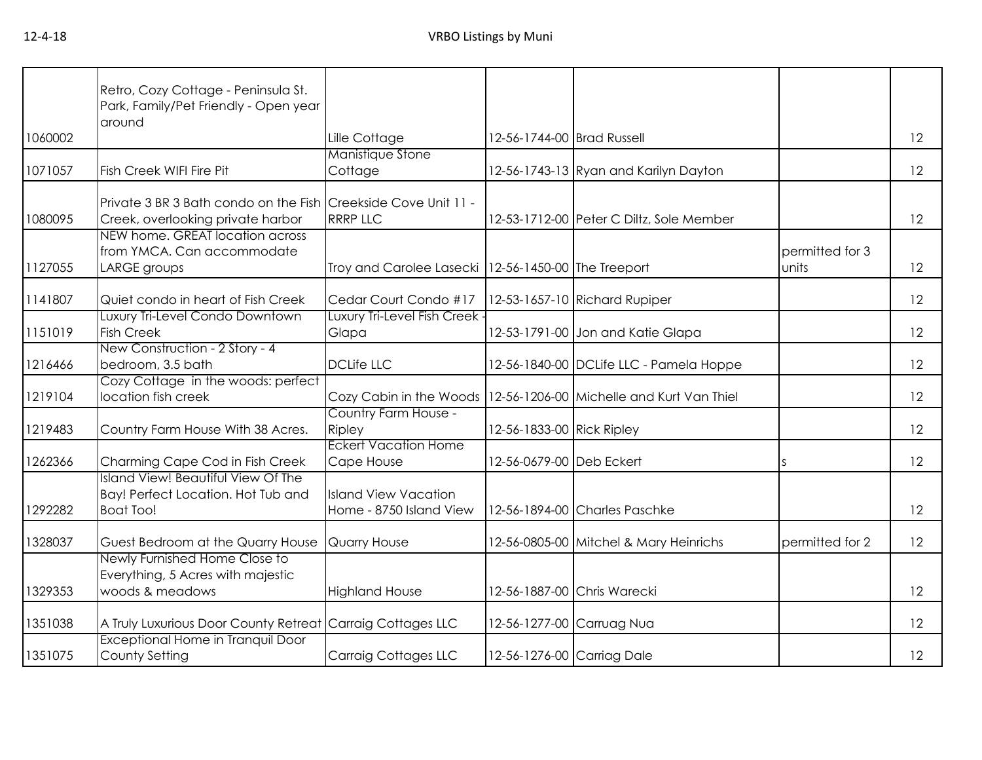|         | Retro, Cozy Cottage - Peninsula St.<br>Park, Family/Pet Friendly - Open year<br>around              |                                                        |                            |                                           |                          |    |
|---------|-----------------------------------------------------------------------------------------------------|--------------------------------------------------------|----------------------------|-------------------------------------------|--------------------------|----|
| 1060002 |                                                                                                     | Lille Cottage                                          | 12-56-1744-00 Brad Russell |                                           |                          | 12 |
| 1071057 | Fish Creek WIFI Fire Pit                                                                            | Manistique Stone<br>Cottage                            |                            | 12-56-1743-13 Ryan and Karilyn Dayton     |                          | 12 |
| 1080095 | Private 3 BR 3 Bath condo on the Fish Creekside Cove Unit 11 -<br>Creek, overlooking private harbor | <b>RRRP LLC</b>                                        |                            | 12-53-1712-00 Peter C Diltz, Sole Member  |                          | 12 |
| 1127055 | NEW home. GREAT location across<br>from YMCA. Can accommodate<br>LARGE groups                       | Troy and Carolee Lasecki   12-56-1450-00 The Treeport  |                            |                                           | permitted for 3<br>units | 12 |
| 1141807 | Quiet condo in heart of Fish Creek                                                                  | Cedar Court Condo #17                                  |                            | 12-53-1657-10 Richard Rupiper             |                          | 12 |
| 1151019 | Luxury Tri-Level Condo Downtown<br><b>Fish Creek</b>                                                | Luxury Tri-Level Fish Creek -<br>Glapa                 |                            | 12-53-1791-00 Jon and Katie Glapa         |                          | 12 |
| 1216466 | New Construction - 2 Story - 4<br>bedroom, 3.5 bath                                                 | <b>DCLife LLC</b>                                      |                            | 12-56-1840-00 DCLife LLC - Pamela Hoppe   |                          | 12 |
| 1219104 | Cozy Cottage in the woods: perfect<br>location fish creek                                           | Cozy Cabin in the Woods                                |                            | 12-56-1206-00 Michelle and Kurt Van Thiel |                          | 12 |
| 1219483 | Country Farm House With 38 Acres.                                                                   | Country Farm House -<br>Ripley                         | 12-56-1833-00 Rick Ripley  |                                           |                          | 12 |
| 1262366 | Charming Cape Cod in Fish Creek                                                                     | <b>Eckert Vacation Home</b><br>Cape House              | 12-56-0679-00 Deb Eckert   |                                           | S                        | 12 |
| 1292282 | <b>Island View! Beautiful View Of The</b><br>Bay! Perfect Location. Hot Tub and<br><b>Boat Too!</b> | <b>Island View Vacation</b><br>Home - 8750 Island View |                            | 12-56-1894-00 Charles Paschke             |                          | 12 |
| 1328037 | Guest Bedroom at the Quarry House                                                                   | <b>Quarry House</b>                                    |                            | 12-56-0805-00 Mitchel & Mary Heinrichs    | permitted for 2          | 12 |
| 1329353 | Newly Furnished Home Close to<br>Everything, 5 Acres with majestic<br>woods & meadows               | <b>Highland House</b>                                  |                            | 12-56-1887-00 Chris Warecki               |                          | 12 |
| 1351038 | A Truly Luxurious Door County Retreat Carraig Cottages LLC                                          |                                                        | 12-56-1277-00 Carruag Nua  |                                           |                          | 12 |
| 1351075 | Exceptional Home in Tranquil Door<br>County Setting                                                 | Carraig Cottages LLC                                   | 12-56-1276-00 Carriag Dale |                                           |                          | 12 |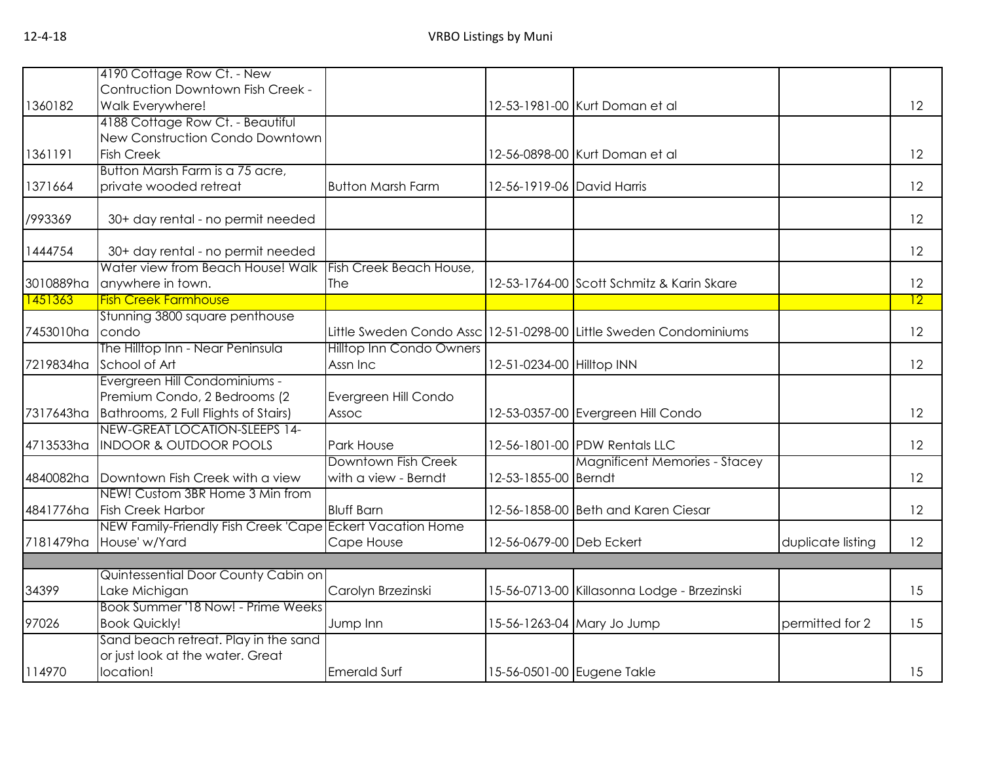|           | 4190 Cottage Row Ct. - New                                             |                                |                            |                                                                   |                   |                 |
|-----------|------------------------------------------------------------------------|--------------------------------|----------------------------|-------------------------------------------------------------------|-------------------|-----------------|
|           | Contruction Downtown Fish Creek -                                      |                                |                            |                                                                   |                   |                 |
| 1360182   | Walk Everywhere!                                                       |                                |                            | 12-53-1981-00 Kurt Doman et al                                    |                   | 12              |
|           | 4188 Cottage Row Ct. - Beautiful                                       |                                |                            |                                                                   |                   |                 |
|           | New Construction Condo Downtown                                        |                                |                            |                                                                   |                   |                 |
| 1361191   | <b>Fish Creek</b>                                                      |                                |                            | 12-56-0898-00 Kurt Doman et al                                    |                   | 12              |
|           | Button Marsh Farm is a 75 acre,                                        |                                |                            |                                                                   |                   |                 |
| 1371664   | private wooded retreat                                                 | <b>Button Marsh Farm</b>       | 12-56-1919-06 David Harris |                                                                   |                   | 12              |
|           |                                                                        |                                |                            |                                                                   |                   |                 |
| /993369   | 30+ day rental - no permit needed                                      |                                |                            |                                                                   |                   | 12              |
|           |                                                                        |                                |                            |                                                                   |                   | 12              |
| 1444754   | 30+ day rental - no permit needed<br>Water view from Beach House! Walk |                                |                            |                                                                   |                   |                 |
| 3010889ha | anywhere in town.                                                      | Fish Creek Beach House,<br>The |                            | 12-53-1764-00 Scott Schmitz & Karin Skare                         |                   | 12              |
| 1451363   | <b>Fish Creek Farmhouse</b>                                            |                                |                            |                                                                   |                   | $\overline{12}$ |
|           | Stunning 3800 square penthouse                                         |                                |                            |                                                                   |                   |                 |
| 7453010ha | condo                                                                  |                                |                            | Little Sweden Condo Assc 12-51-0298-00 Little Sweden Condominiums |                   | 12              |
|           | The Hilltop Inn - Near Peninsula                                       | Hilltop Inn Condo Owners       |                            |                                                                   |                   |                 |
| 7219834ha | School of Art                                                          | Assn Inc                       | 12-51-0234-00 Hilltop INN  |                                                                   |                   | 12              |
|           | Evergreen Hill Condominiums -                                          |                                |                            |                                                                   |                   |                 |
|           | Premium Condo, 2 Bedrooms (2                                           | Evergreen Hill Condo           |                            |                                                                   |                   |                 |
| 7317643ha | Bathrooms, 2 Full Flights of Stairs)                                   | Assoc                          |                            | 12-53-0357-00 Evergreen Hill Condo                                |                   | 12              |
|           | NEW-GREAT LOCATION-SLEEPS 14-                                          |                                |                            |                                                                   |                   |                 |
| 4713533ha | <b>INDOOR &amp; OUTDOOR POOLS</b>                                      | Park House                     |                            | 12-56-1801-00 PDW Rentals LLC                                     |                   | 12              |
|           |                                                                        | Downtown Fish Creek            |                            | <b>Magnificent Memories - Stacey</b>                              |                   |                 |
| 4840082ha | Downtown Fish Creek with a view                                        | with a view - Berndt           | 12-53-1855-00 Berndt       |                                                                   |                   | 12              |
|           | NEW! Custom 3BR Home 3 Min from                                        |                                |                            |                                                                   |                   |                 |
| 4841776ha | <b>Fish Creek Harbor</b>                                               | <b>Bluff Barn</b>              |                            | 12-56-1858-00 Beth and Karen Ciesar                               |                   | 12              |
|           | NEW Family-Friendly Fish Creek 'Cape Eckert Vacation Home              |                                |                            |                                                                   |                   |                 |
| 7181479ha | House' w/Yard                                                          | Cape House                     | 12-56-0679-00 Deb Eckert   |                                                                   | duplicate listing | 12              |
|           |                                                                        |                                |                            |                                                                   |                   |                 |
|           | Quintessential Door County Cabin on                                    |                                |                            |                                                                   |                   |                 |
| 34399     | Lake Michigan                                                          | Carolyn Brzezinski             |                            | 15-56-0713-00 Killasonna Lodge - Brzezinski                       |                   | 15              |
|           | Book Summer '18 Now! - Prime Weeks                                     |                                |                            |                                                                   |                   |                 |
| 97026     | <b>Book Quickly!</b>                                                   | Jump Inn                       |                            | 15-56-1263-04 Mary Jo Jump                                        | permitted for 2   | 15              |
|           | Sand beach retreat. Play in the sand                                   |                                |                            |                                                                   |                   |                 |
|           | or just look at the water. Great                                       |                                |                            |                                                                   |                   |                 |
| 114970    | location!                                                              | <b>Emerald Surf</b>            |                            | 15-56-0501-00 Eugene Takle                                        |                   | 15              |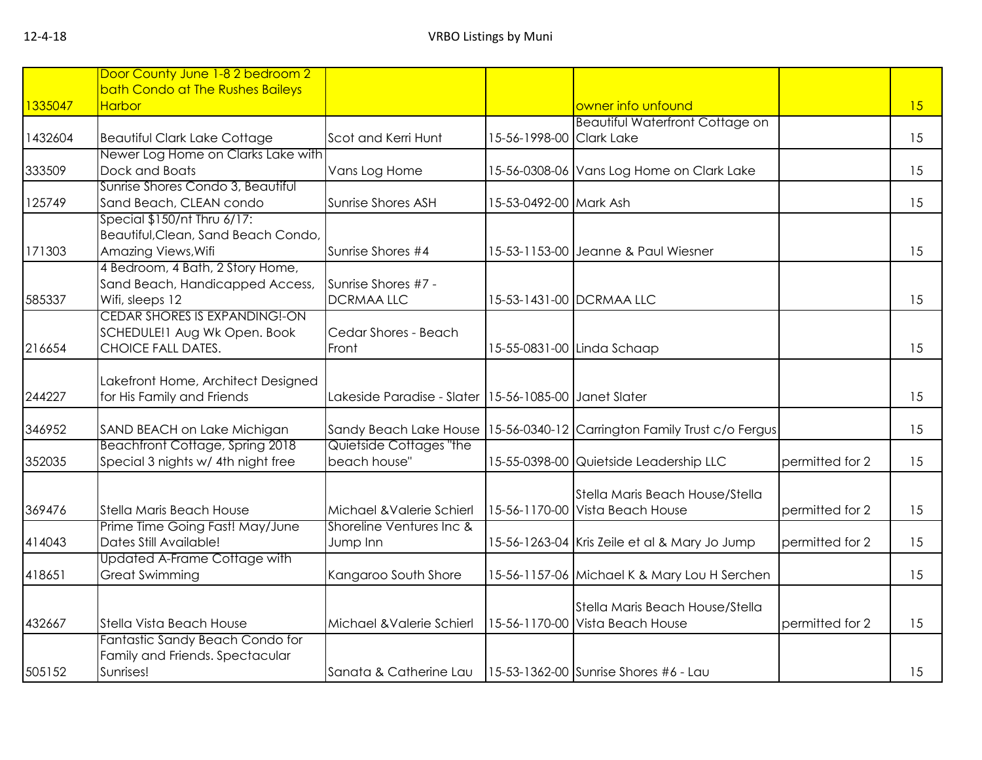|         | Door County June 1-8 2 bedroom 2                             |                                                       |                          |                                                                    |                 |    |
|---------|--------------------------------------------------------------|-------------------------------------------------------|--------------------------|--------------------------------------------------------------------|-----------------|----|
|         | bath Condo at The Rushes Baileys                             |                                                       |                          |                                                                    |                 |    |
| 1335047 | <b>Harbor</b>                                                |                                                       |                          | owner info unfound                                                 |                 | 15 |
|         |                                                              |                                                       |                          | <b>Beautiful Waterfront Cottage on</b>                             |                 |    |
| 1432604 | <b>Beautiful Clark Lake Cottage</b>                          | Scot and Kerri Hunt                                   | 15-56-1998-00 Clark Lake |                                                                    |                 | 15 |
|         | Newer Log Home on Clarks Lake with                           |                                                       |                          |                                                                    |                 |    |
| 333509  | Dock and Boats                                               | Vans Log Home                                         |                          | 15-56-0308-06 Vans Log Home on Clark Lake                          |                 | 15 |
| 125749  | Sunrise Shores Condo 3, Beautiful<br>Sand Beach, CLEAN condo | Sunrise Shores ASH                                    | 15-53-0492-00 Mark Ash   |                                                                    |                 | 15 |
|         | Special \$150/nt Thru 6/17:                                  |                                                       |                          |                                                                    |                 |    |
|         | Beautiful, Clean, Sand Beach Condo,                          |                                                       |                          |                                                                    |                 |    |
| 171303  | Amazing Views, Wifi                                          | Sunrise Shores #4                                     |                          | 15-53-1153-00 Jeanne & Paul Wiesner                                |                 | 15 |
|         | 4 Bedroom, 4 Bath, 2 Story Home,                             |                                                       |                          |                                                                    |                 |    |
|         | Sand Beach, Handicapped Access,                              | Sunrise Shores #7 -                                   |                          |                                                                    |                 |    |
| 585337  | Wifi, sleeps 12                                              | <b>DCRMAALLC</b>                                      |                          | 15-53-1431-00 DCRMAA LLC                                           |                 | 15 |
|         | CEDAR SHORES IS EXPANDING!-ON                                |                                                       |                          |                                                                    |                 |    |
|         | SCHEDULE! I Aug Wk Open. Book                                | Cedar Shores - Beach                                  |                          |                                                                    |                 |    |
| 216654  | CHOICE FALL DATES.                                           | Front                                                 |                          | 15-55-0831-00 Linda Schaap                                         |                 | 15 |
|         |                                                              |                                                       |                          |                                                                    |                 |    |
|         | Lakefront Home, Architect Designed                           |                                                       |                          |                                                                    |                 |    |
| 244227  | for His Family and Friends                                   | Lakeside Paradise - Slater 15-56-1085-00 Janet Slater |                          |                                                                    |                 | 15 |
| 346952  | SAND BEACH on Lake Michigan                                  | Sandy Beach Lake House                                |                          | 15-56-0340-12 Carrington Family Trust c/o Fergus                   |                 | 15 |
|         | Beachfront Cottage, Spring 2018                              | Quietside Cottages "the                               |                          |                                                                    |                 |    |
| 352035  | Special 3 nights w/ 4th night free                           | beach house"                                          |                          | 15-55-0398-00 Quietside Leadership LLC                             | permitted for 2 | 15 |
|         |                                                              |                                                       |                          | Stella Maris Beach House/Stella                                    |                 |    |
| 369476  | <b>Stella Maris Beach House</b>                              | Michael & Valerie Schierl                             |                          | 15-56-1170-00 Vista Beach House                                    | permitted for 2 | 15 |
|         | Prime Time Going Fast! May/June                              | Shoreline Ventures Inc &                              |                          |                                                                    |                 |    |
| 414043  | Dates Still Available!                                       | Jump Inn                                              |                          | 15-56-1263-04 Kris Zeile et al & Mary Jo Jump                      | permitted for 2 | 15 |
|         | Updated A-Frame Cottage with                                 |                                                       |                          |                                                                    |                 |    |
| 418651  | <b>Great Swimming</b>                                        | Kangaroo South Shore                                  |                          | 15-56-1157-06 Michael K & Mary Lou H Serchen                       |                 | 15 |
|         |                                                              |                                                       |                          |                                                                    |                 |    |
| 432667  | Stella Vista Beach House                                     | Michael & Valerie Schierl                             |                          | Stella Maris Beach House/Stella<br>15-56-1170-00 Vista Beach House | permitted for 2 | 15 |
|         | Fantastic Sandy Beach Condo for                              |                                                       |                          |                                                                    |                 |    |
|         | Family and Friends. Spectacular                              |                                                       |                          |                                                                    |                 |    |
| 505152  | Sunrises!                                                    | Sanata & Catherine Lau                                |                          | 15-53-1362-00 Sunrise Shores #6 - Lau                              |                 | 15 |
|         |                                                              |                                                       |                          |                                                                    |                 |    |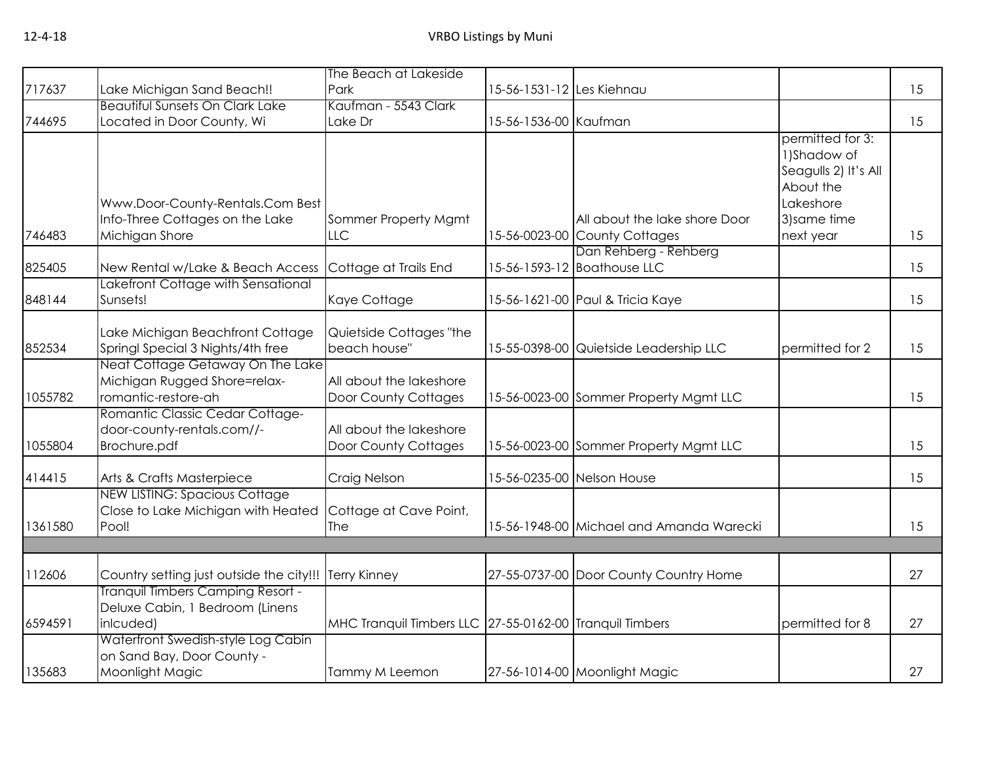|         |                                                                                         | The Beach at Lakeside                                   |                           |                                                      |                                                                                   |    |
|---------|-----------------------------------------------------------------------------------------|---------------------------------------------------------|---------------------------|------------------------------------------------------|-----------------------------------------------------------------------------------|----|
| 717637  | Lake Michigan Sand Beach!!                                                              | Park                                                    | 15-56-1531-12 Les Kiehnau |                                                      |                                                                                   | 15 |
|         | <b>Beautiful Sunsets On Clark Lake</b>                                                  | Kaufman - 5543 Clark                                    |                           |                                                      |                                                                                   |    |
| 744695  | Located in Door County, Wi                                                              | Lake Dr                                                 | 15-56-1536-00 Kaufman     |                                                      |                                                                                   | 15 |
|         | Www.Door-County-Rentals.Com Best                                                        |                                                         |                           |                                                      | permitted for 3:<br>1)Shadow of<br>Seagulls 2) It's All<br>About the<br>Lakeshore |    |
|         | Info-Three Cottages on the Lake                                                         | Sommer Property Mgmt                                    |                           | All about the lake shore Door                        | 3) same time                                                                      |    |
| 746483  | Michigan Shore                                                                          | <b>LLC</b>                                              |                           | 15-56-0023-00 County Cottages                        | next year                                                                         | 15 |
| 825405  | New Rental w/Lake & Beach Access                                                        | Cottage at Trails End                                   |                           | Dan Rehberg - Rehberg<br>15-56-1593-12 Boathouse LLC |                                                                                   | 15 |
| 848144  | Lakefront Cottage with Sensational<br>Sunsets!                                          | Kaye Cottage                                            |                           | 15-56-1621-00 Paul & Tricia Kaye                     |                                                                                   | 15 |
| 852534  | Lake Michigan Beachfront Cottage<br>Springl Special 3 Nights/4th free                   | Quietside Cottages "the<br>beach house"                 |                           | 15-55-0398-00 Quietside Leadership LLC               | permitted for 2                                                                   | 15 |
| 1055782 | Neat Cottage Getaway On The Lake<br>Michigan Rugged Shore=relax-<br>romantic-restore-ah | All about the lakeshore<br>Door County Cottages         |                           | 15-56-0023-00 Sommer Property Mgmt LLC               |                                                                                   | 15 |
| 1055804 | Romantic Classic Cedar Cottage-<br>door-county-rentals.com//-<br>Brochure.pdf           | All about the lakeshore<br><b>Door County Cottages</b>  |                           | 15-56-0023-00 Sommer Property Mgmt LLC               |                                                                                   | 15 |
| 414415  | Arts & Crafts Masterpiece                                                               | Craig Nelson                                            |                           | 15-56-0235-00 Nelson House                           |                                                                                   | 15 |
| 1361580 | NEW LISTING: Spacious Cottage<br>Close to Lake Michigan with Heated<br>Pool!            | Cottage at Cave Point,<br>The                           |                           | 15-56-1948-00 Michael and Amanda Warecki             |                                                                                   | 15 |
|         |                                                                                         |                                                         |                           |                                                      |                                                                                   |    |
| 112606  | Country setting just outside the city!!!                                                | <b>Terry Kinney</b>                                     |                           | 27-55-0737-00 Door County Country Home               |                                                                                   | 27 |
| 6594591 | Tranquil Timbers Camping Resort -<br>Deluxe Cabin, 1 Bedroom (Linens<br>inlcuded)       | MHC Tranquil Timbers LLC 27-55-0162-00 Tranquil Timbers |                           |                                                      | permitted for 8                                                                   | 27 |
|         | Waterfront Swedish-style Log Cabin<br>on Sand Bay, Door County -                        |                                                         |                           |                                                      |                                                                                   |    |
| 135683  | Moonlight Magic                                                                         | Tammy M Leemon                                          |                           | 27-56-1014-00 Moonlight Magic                        |                                                                                   | 27 |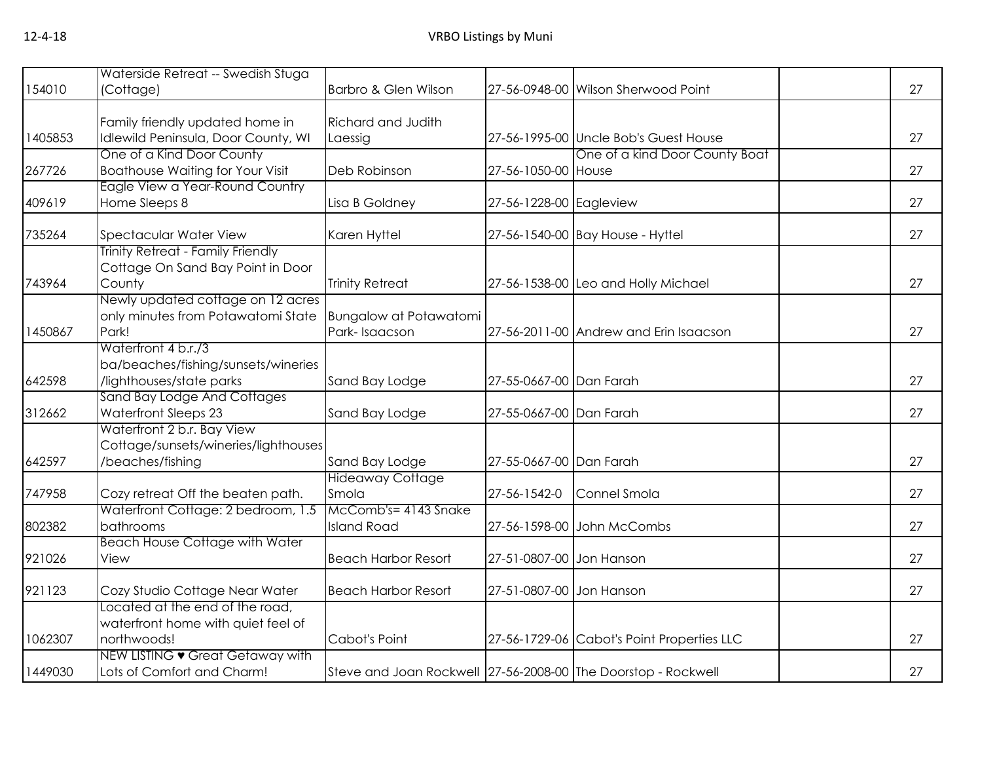|         | Waterside Retreat -- Swedish Stuga                        |                                                               |                          |                                            |    |
|---------|-----------------------------------------------------------|---------------------------------------------------------------|--------------------------|--------------------------------------------|----|
| 154010  | (Cottage)                                                 | Barbro & Glen Wilson                                          |                          | 27-56-0948-00 Wilson Sherwood Point        | 27 |
|         |                                                           |                                                               |                          |                                            |    |
|         | Family friendly updated home in                           | <b>Richard and Judith</b>                                     |                          |                                            |    |
| 1405853 | Idlewild Peninsula, Door County, WI                       | Laessig                                                       |                          | 27-56-1995-00 Uncle Bob's Guest House      | 27 |
|         | One of a Kind Door County                                 |                                                               |                          | One of a kind Door County Boat             |    |
| 267726  | <b>Boathouse Waiting for Your Visit</b>                   | Deb Robinson                                                  | 27-56-1050-00 House      |                                            | 27 |
|         | Eagle View a Year-Round Country                           |                                                               |                          |                                            |    |
| 409619  | Home Sleeps 8                                             | Lisa B Goldney                                                | 27-56-1228-00 Eagleview  |                                            | 27 |
| 735264  | Spectacular Water View                                    | Karen Hyttel                                                  |                          | 27-56-1540-00 Bay House - Hyttel           | 27 |
|         | Trinity Retreat - Family Friendly                         |                                                               |                          |                                            |    |
|         | Cottage On Sand Bay Point in Door                         |                                                               |                          |                                            |    |
| 743964  | County                                                    | <b>Trinity Retreat</b>                                        |                          | 27-56-1538-00 Leo and Holly Michael        | 27 |
|         | Newly updated cottage on 12 acres                         |                                                               |                          |                                            |    |
|         | only minutes from Potawatomi State                        | <b>Bungalow at Potawatomi</b>                                 |                          |                                            |    |
| 1450867 | Park!                                                     | Park-Isaacson                                                 |                          | 27-56-2011-00 Andrew and Erin Isaacson     | 27 |
|         | Waterfront 4 b.r./3                                       |                                                               |                          |                                            |    |
|         | ba/beaches/fishing/sunsets/wineries                       |                                                               |                          |                                            |    |
| 642598  | /lighthouses/state parks                                  | Sand Bay Lodge                                                | 27-55-0667-00 Dan Farah  |                                            | 27 |
|         | Sand Bay Lodge And Cottages                               |                                                               |                          |                                            | 27 |
| 312662  | <b>Waterfront Sleeps 23</b><br>Waterfront 2 b.r. Bay View | Sand Bay Lodge                                                | 27-55-0667-00 Dan Farah  |                                            |    |
|         | Cottage/sunsets/wineries/lighthouses                      |                                                               |                          |                                            |    |
| 642597  | /beaches/fishing                                          | Sand Bay Lodge                                                | 27-55-0667-00 Dan Farah  |                                            | 27 |
|         |                                                           | <b>Hideaway Cottage</b>                                       |                          |                                            |    |
| 747958  | Cozy retreat Off the beaten path.                         | Smola                                                         | 27-56-1542-0             | Connel Smola                               | 27 |
|         | Waterfront Cottage: 2 bedroom, 1.5                        | McComb's= 4143 Snake                                          |                          |                                            |    |
| 802382  | bathrooms                                                 | <b>Island Road</b>                                            |                          | 27-56-1598-00 John McCombs                 | 27 |
|         | <b>Beach House Cottage with Water</b>                     |                                                               |                          |                                            |    |
| 921026  | View                                                      | <b>Beach Harbor Resort</b>                                    | 27-51-0807-00 Jon Hanson |                                            | 27 |
| 921123  | Cozy Studio Cottage Near Water                            | <b>Beach Harbor Resort</b>                                    | 27-51-0807-00 Jon Hanson |                                            | 27 |
|         | Located at the end of the road,                           |                                                               |                          |                                            |    |
|         | waterfront home with quiet feel of                        |                                                               |                          |                                            |    |
| 1062307 | northwoods!                                               | Cabot's Point                                                 |                          | 27-56-1729-06 Cabot's Point Properties LLC | 27 |
|         | NEW LISTING • Great Getaway with                          |                                                               |                          |                                            |    |
| 1449030 | Lots of Comfort and Charm!                                | Steve and Joan Rockwell 27-56-2008-00 The Doorstop - Rockwell |                          |                                            | 27 |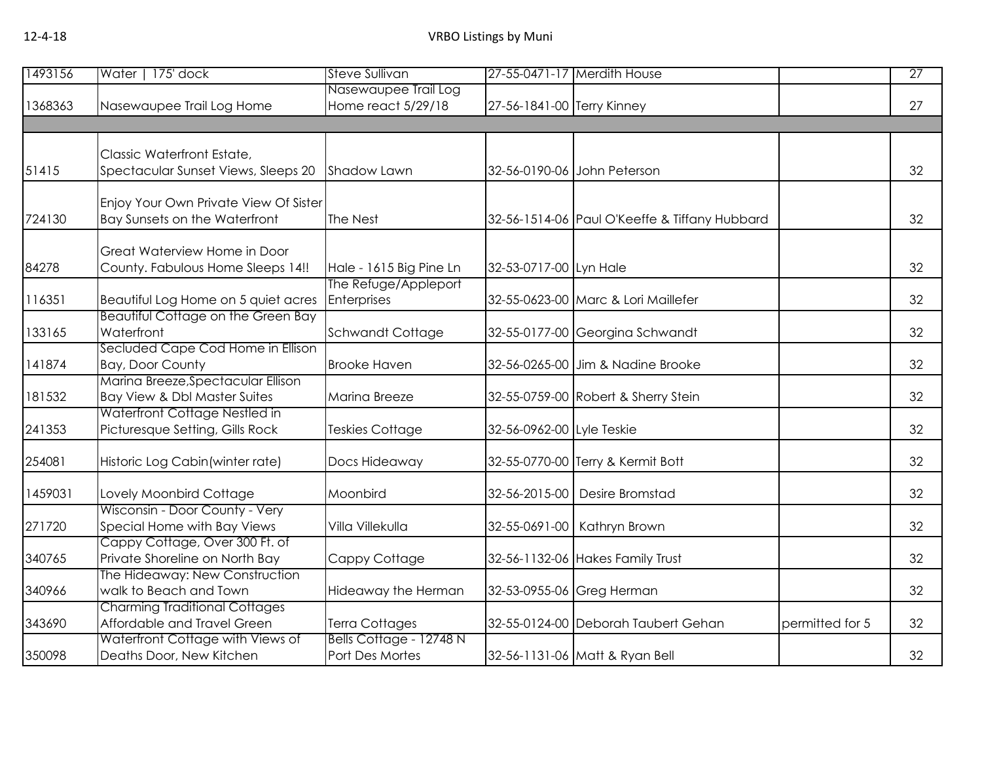| 1493156 | Water   175' dock                                                      | <b>Steve Sullivan</b>                      |                            | 27-55-0471-17 Merdith House                   |                 | $\overline{27}$ |
|---------|------------------------------------------------------------------------|--------------------------------------------|----------------------------|-----------------------------------------------|-----------------|-----------------|
| 1368363 | Nasewaupee Trail Log Home                                              | Nasewaupee Trail Log<br>Home react 5/29/18 | 27-56-1841-00 Terry Kinney |                                               |                 | 27              |
|         |                                                                        |                                            |                            |                                               |                 |                 |
| 51415   | Classic Waterfront Estate,<br>Spectacular Sunset Views, Sleeps 20      | Shadow Lawn                                |                            | 32-56-0190-06 John Peterson                   |                 | 32              |
| 724130  | Enjoy Your Own Private View Of Sister<br>Bay Sunsets on the Waterfront | The Nest                                   |                            | 32-56-1514-06 Paul O'Keeffe & Tiffany Hubbard |                 | 32              |
| 84278   | Great Waterview Home in Door<br>County. Fabulous Home Sleeps 14!!      | Hale - 1615 Big Pine Ln                    | 32-53-0717-00 Lyn Hale     |                                               |                 | 32              |
| 116351  | Beautiful Log Home on 5 quiet acres                                    | The Refuge/Appleport<br>Enterprises        |                            | 32-55-0623-00 Marc & Lori Maillefer           |                 | 32              |
| 133165  | <b>Beautiful Cottage on the Green Bay</b><br>Waterfront                | Schwandt Cottage                           |                            | 32-55-0177-00 Georgina Schwandt               |                 | 32              |
| 141874  | Secluded Cape Cod Home in Ellison<br>Bay, Door County                  | <b>Brooke Haven</b>                        |                            | 32-56-0265-00 Jim & Nadine Brooke             |                 | 32              |
| 181532  | Marina Breeze, Spectacular Ellison<br>Bay View & Dbl Master Suites     | Marina Breeze                              |                            | 32-55-0759-00 Robert & Sherry Stein           |                 | 32              |
| 241353  | Waterfront Cottage Nestled in<br>Picturesque Setting, Gills Rock       | <b>Teskies Cottage</b>                     | 32-56-0962-00 Lyle Teskie  |                                               |                 | 32              |
| 254081  | Historic Log Cabin (winter rate)                                       | Docs Hideaway                              |                            | 32-55-0770-00 Terry & Kermit Bott             |                 | 32              |
| 1459031 | Lovely Moonbird Cottage                                                | Moonbird                                   |                            | 32-56-2015-00 Desire Bromstad                 |                 | 32              |
| 271720  | Wisconsin - Door County - Very<br>Special Home with Bay Views          | Villa Villekulla                           |                            | 32-55-0691-00   Kathryn Brown                 |                 | 32              |
| 340765  | Cappy Cottage, Over 300 Ft. of<br>Private Shoreline on North Bay       | Cappy Cottage                              |                            | 32-56-1132-06 Hakes Family Trust              |                 | 32              |
| 340966  | The Hideaway: New Construction<br>walk to Beach and Town               | Hideaway the Herman                        |                            | 32-53-0955-06 Greg Herman                     |                 | 32              |
| 343690  | <b>Charming Traditional Cottages</b><br>Affordable and Travel Green    | <b>Terra Cottages</b>                      |                            | 32-55-0124-00 Deborah Taubert Gehan           | permitted for 5 | 32              |
| 350098  | Waterfront Cottage with Views of<br>Deaths Door, New Kitchen           | Bells Cottage - 12748 N<br>Port Des Mortes |                            | 32-56-1131-06 Matt & Ryan Bell                |                 | 32              |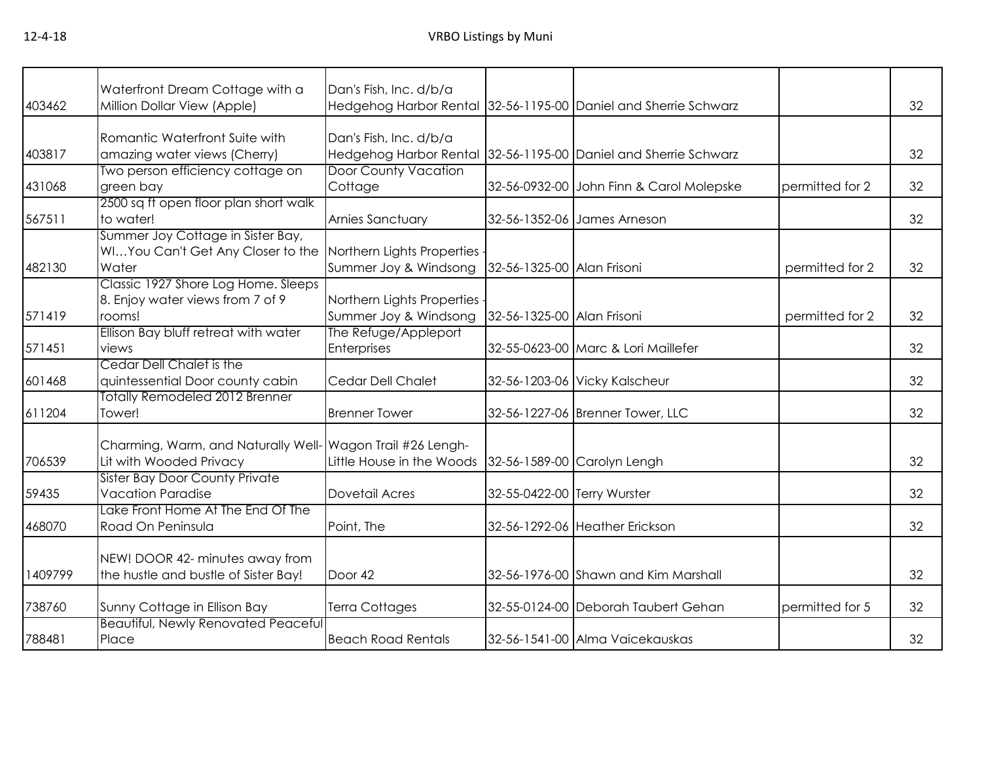| 403462  | Waterfront Dream Cottage with a<br>Million Dollar View (Apple)                        | Dan's Fish, Inc. d/b/a                              |                             | Hedgehog Harbor Rental 32-56-1195-00 Daniel and Sherrie Schwarz |                 | 32 |
|---------|---------------------------------------------------------------------------------------|-----------------------------------------------------|-----------------------------|-----------------------------------------------------------------|-----------------|----|
|         |                                                                                       |                                                     |                             |                                                                 |                 |    |
| 403817  | Romantic Waterfront Suite with<br>amazing water views (Cherry)                        | Dan's Fish, Inc. d/b/a<br>Hedgehog Harbor Rental    |                             | 32-56-1195-00 Daniel and Sherrie Schwarz                        |                 | 32 |
| 431068  | Two person efficiency cottage on<br>green bay                                         | <b>Door County Vacation</b><br>Cottage              |                             | 32-56-0932-00 John Finn & Carol Molepske                        | permitted for 2 | 32 |
| 567511  | 2500 sq ft open floor plan short walk<br>to water!                                    | Arnies Sanctuary                                    |                             | 32-56-1352-06 James Arneson                                     |                 | 32 |
| 482130  | Summer Joy Cottage in Sister Bay,<br>WIYou Can't Get Any Closer to the<br>Water       | Northern Lights Properties<br>Summer Joy & Windsong | 32-56-1325-00 Alan Frisoni  |                                                                 | permitted for 2 | 32 |
| 571419  | Classic 1927 Shore Log Home. Sleeps<br>8. Enjoy water views from 7 of 9<br>rooms!     | Northern Lights Properties<br>Summer Joy & Windsong | 32-56-1325-00 Alan Frisoni  |                                                                 | permitted for 2 | 32 |
| 571451  | Ellison Bay bluff retreat with water<br>views                                         | The Refuge/Appleport<br>Enterprises                 |                             | 32-55-0623-00 Marc & Lori Maillefer                             |                 | 32 |
| 601468  | Cedar Dell Chalet is the<br>quintessential Door county cabin                          | Cedar Dell Chalet                                   |                             | 32-56-1203-06 Vicky Kalscheur                                   |                 | 32 |
| 611204  | Totally Remodeled 2012 Brenner<br>Tower!                                              | <b>Brenner Tower</b>                                |                             | 32-56-1227-06 Brenner Tower, LLC                                |                 | 32 |
| 706539  | Charming, Warm, and Naturally Well- Wagon Trail #26 Lengh-<br>Lit with Wooded Privacy | Little House in the Woods                           |                             | 32-56-1589-00 Carolyn Lengh                                     |                 | 32 |
| 59435   | Sister Bay Door County Private<br><b>Vacation Paradise</b>                            | Dovetail Acres                                      | 32-55-0422-00 Terry Wurster |                                                                 |                 | 32 |
| 468070  | Lake Front Home At The End Of The<br>Road On Peninsula                                | Point, The                                          |                             | 32-56-1292-06 Heather Erickson                                  |                 | 32 |
| 1409799 | NEW! DOOR 42- minutes away from<br>the hustle and bustle of Sister Bay!               | Door 42                                             |                             | 32-56-1976-00 Shawn and Kim Marshall                            |                 | 32 |
| 738760  | Sunny Cottage in Ellison Bay                                                          | <b>Terra Cottages</b>                               |                             | 32-55-0124-00 Deborah Taubert Gehan                             | permitted for 5 | 32 |
| 788481  | Beautiful, Newly Renovated Peaceful<br>Place                                          | <b>Beach Road Rentals</b>                           |                             | 32-56-1541-00 Alma Vaicekauskas                                 |                 | 32 |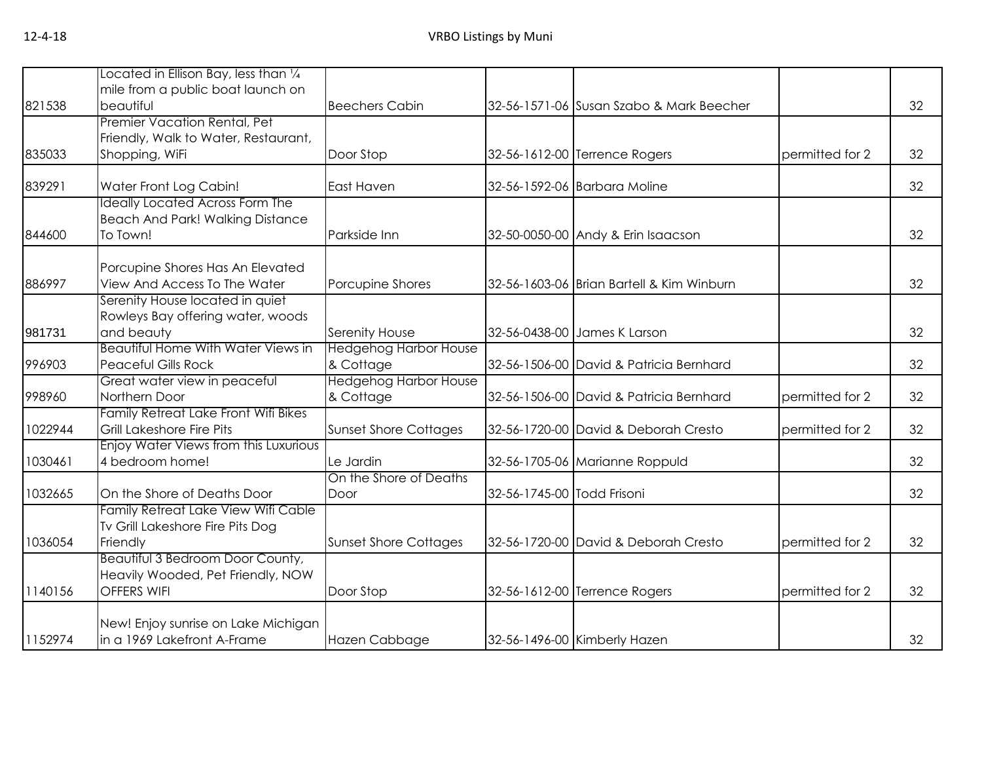|                                           |                                                                                                                                                                                                                                                                                                                                                                                                                                                                                                                                                                                                                                                                                                                                                             |                                                                                                                                                                                                             |                                                                                                                                                                                                                                                                                                                                                                                                                                                                                                                                     | 32                                                                                          |
|-------------------------------------------|-------------------------------------------------------------------------------------------------------------------------------------------------------------------------------------------------------------------------------------------------------------------------------------------------------------------------------------------------------------------------------------------------------------------------------------------------------------------------------------------------------------------------------------------------------------------------------------------------------------------------------------------------------------------------------------------------------------------------------------------------------------|-------------------------------------------------------------------------------------------------------------------------------------------------------------------------------------------------------------|-------------------------------------------------------------------------------------------------------------------------------------------------------------------------------------------------------------------------------------------------------------------------------------------------------------------------------------------------------------------------------------------------------------------------------------------------------------------------------------------------------------------------------------|---------------------------------------------------------------------------------------------|
|                                           |                                                                                                                                                                                                                                                                                                                                                                                                                                                                                                                                                                                                                                                                                                                                                             |                                                                                                                                                                                                             |                                                                                                                                                                                                                                                                                                                                                                                                                                                                                                                                     |                                                                                             |
|                                           |                                                                                                                                                                                                                                                                                                                                                                                                                                                                                                                                                                                                                                                                                                                                                             |                                                                                                                                                                                                             |                                                                                                                                                                                                                                                                                                                                                                                                                                                                                                                                     |                                                                                             |
|                                           |                                                                                                                                                                                                                                                                                                                                                                                                                                                                                                                                                                                                                                                                                                                                                             |                                                                                                                                                                                                             |                                                                                                                                                                                                                                                                                                                                                                                                                                                                                                                                     | 32                                                                                          |
| Water Front Log Cabin!                    | East Haven                                                                                                                                                                                                                                                                                                                                                                                                                                                                                                                                                                                                                                                                                                                                                  |                                                                                                                                                                                                             |                                                                                                                                                                                                                                                                                                                                                                                                                                                                                                                                     | 32                                                                                          |
|                                           |                                                                                                                                                                                                                                                                                                                                                                                                                                                                                                                                                                                                                                                                                                                                                             |                                                                                                                                                                                                             |                                                                                                                                                                                                                                                                                                                                                                                                                                                                                                                                     |                                                                                             |
|                                           |                                                                                                                                                                                                                                                                                                                                                                                                                                                                                                                                                                                                                                                                                                                                                             |                                                                                                                                                                                                             |                                                                                                                                                                                                                                                                                                                                                                                                                                                                                                                                     |                                                                                             |
| To Town!                                  | Parkside Inn                                                                                                                                                                                                                                                                                                                                                                                                                                                                                                                                                                                                                                                                                                                                                |                                                                                                                                                                                                             |                                                                                                                                                                                                                                                                                                                                                                                                                                                                                                                                     | 32                                                                                          |
|                                           |                                                                                                                                                                                                                                                                                                                                                                                                                                                                                                                                                                                                                                                                                                                                                             |                                                                                                                                                                                                             |                                                                                                                                                                                                                                                                                                                                                                                                                                                                                                                                     |                                                                                             |
| View And Access To The Water              | Porcupine Shores                                                                                                                                                                                                                                                                                                                                                                                                                                                                                                                                                                                                                                                                                                                                            |                                                                                                                                                                                                             |                                                                                                                                                                                                                                                                                                                                                                                                                                                                                                                                     | 32                                                                                          |
| Serenity House located in quiet           |                                                                                                                                                                                                                                                                                                                                                                                                                                                                                                                                                                                                                                                                                                                                                             |                                                                                                                                                                                                             |                                                                                                                                                                                                                                                                                                                                                                                                                                                                                                                                     |                                                                                             |
| Rowleys Bay offering water, woods         |                                                                                                                                                                                                                                                                                                                                                                                                                                                                                                                                                                                                                                                                                                                                                             |                                                                                                                                                                                                             |                                                                                                                                                                                                                                                                                                                                                                                                                                                                                                                                     |                                                                                             |
| and beauty                                | Serenity House                                                                                                                                                                                                                                                                                                                                                                                                                                                                                                                                                                                                                                                                                                                                              |                                                                                                                                                                                                             |                                                                                                                                                                                                                                                                                                                                                                                                                                                                                                                                     | 32                                                                                          |
| <b>Beautiful Home With Water Views in</b> | <b>Hedgehog Harbor House</b>                                                                                                                                                                                                                                                                                                                                                                                                                                                                                                                                                                                                                                                                                                                                |                                                                                                                                                                                                             |                                                                                                                                                                                                                                                                                                                                                                                                                                                                                                                                     |                                                                                             |
| <b>Peaceful Gills Rock</b>                | & Cottage                                                                                                                                                                                                                                                                                                                                                                                                                                                                                                                                                                                                                                                                                                                                                   |                                                                                                                                                                                                             |                                                                                                                                                                                                                                                                                                                                                                                                                                                                                                                                     | 32                                                                                          |
|                                           |                                                                                                                                                                                                                                                                                                                                                                                                                                                                                                                                                                                                                                                                                                                                                             |                                                                                                                                                                                                             |                                                                                                                                                                                                                                                                                                                                                                                                                                                                                                                                     |                                                                                             |
|                                           |                                                                                                                                                                                                                                                                                                                                                                                                                                                                                                                                                                                                                                                                                                                                                             |                                                                                                                                                                                                             |                                                                                                                                                                                                                                                                                                                                                                                                                                                                                                                                     | 32                                                                                          |
|                                           |                                                                                                                                                                                                                                                                                                                                                                                                                                                                                                                                                                                                                                                                                                                                                             |                                                                                                                                                                                                             |                                                                                                                                                                                                                                                                                                                                                                                                                                                                                                                                     |                                                                                             |
|                                           |                                                                                                                                                                                                                                                                                                                                                                                                                                                                                                                                                                                                                                                                                                                                                             |                                                                                                                                                                                                             |                                                                                                                                                                                                                                                                                                                                                                                                                                                                                                                                     | 32                                                                                          |
|                                           |                                                                                                                                                                                                                                                                                                                                                                                                                                                                                                                                                                                                                                                                                                                                                             |                                                                                                                                                                                                             |                                                                                                                                                                                                                                                                                                                                                                                                                                                                                                                                     |                                                                                             |
|                                           |                                                                                                                                                                                                                                                                                                                                                                                                                                                                                                                                                                                                                                                                                                                                                             |                                                                                                                                                                                                             |                                                                                                                                                                                                                                                                                                                                                                                                                                                                                                                                     | 32                                                                                          |
|                                           |                                                                                                                                                                                                                                                                                                                                                                                                                                                                                                                                                                                                                                                                                                                                                             |                                                                                                                                                                                                             |                                                                                                                                                                                                                                                                                                                                                                                                                                                                                                                                     |                                                                                             |
|                                           |                                                                                                                                                                                                                                                                                                                                                                                                                                                                                                                                                                                                                                                                                                                                                             |                                                                                                                                                                                                             |                                                                                                                                                                                                                                                                                                                                                                                                                                                                                                                                     | 32                                                                                          |
|                                           |                                                                                                                                                                                                                                                                                                                                                                                                                                                                                                                                                                                                                                                                                                                                                             |                                                                                                                                                                                                             |                                                                                                                                                                                                                                                                                                                                                                                                                                                                                                                                     |                                                                                             |
|                                           |                                                                                                                                                                                                                                                                                                                                                                                                                                                                                                                                                                                                                                                                                                                                                             |                                                                                                                                                                                                             |                                                                                                                                                                                                                                                                                                                                                                                                                                                                                                                                     |                                                                                             |
|                                           |                                                                                                                                                                                                                                                                                                                                                                                                                                                                                                                                                                                                                                                                                                                                                             |                                                                                                                                                                                                             |                                                                                                                                                                                                                                                                                                                                                                                                                                                                                                                                     | 32                                                                                          |
|                                           |                                                                                                                                                                                                                                                                                                                                                                                                                                                                                                                                                                                                                                                                                                                                                             |                                                                                                                                                                                                             |                                                                                                                                                                                                                                                                                                                                                                                                                                                                                                                                     |                                                                                             |
|                                           |                                                                                                                                                                                                                                                                                                                                                                                                                                                                                                                                                                                                                                                                                                                                                             |                                                                                                                                                                                                             |                                                                                                                                                                                                                                                                                                                                                                                                                                                                                                                                     | 32                                                                                          |
|                                           |                                                                                                                                                                                                                                                                                                                                                                                                                                                                                                                                                                                                                                                                                                                                                             |                                                                                                                                                                                                             |                                                                                                                                                                                                                                                                                                                                                                                                                                                                                                                                     |                                                                                             |
|                                           |                                                                                                                                                                                                                                                                                                                                                                                                                                                                                                                                                                                                                                                                                                                                                             |                                                                                                                                                                                                             |                                                                                                                                                                                                                                                                                                                                                                                                                                                                                                                                     |                                                                                             |
| in a 1969 Lakefront A-Frame               | Hazen Cabbage                                                                                                                                                                                                                                                                                                                                                                                                                                                                                                                                                                                                                                                                                                                                               |                                                                                                                                                                                                             |                                                                                                                                                                                                                                                                                                                                                                                                                                                                                                                                     | 32                                                                                          |
|                                           | Located in Ellison Bay, less than $\frac{1}{4}$<br>mile from a public boat launch on<br>beautiful<br>Premier Vacation Rental, Pet<br>Friendly, Walk to Water, Restaurant,<br>Shopping, WiFi<br>Ideally Located Across Form The<br><b>Beach And Park! Walking Distance</b><br>Porcupine Shores Has An Elevated<br>Great water view in peaceful<br>Northern Door<br>Family Retreat Lake Front Wifi Bikes<br>Grill Lakeshore Fire Pits<br>Enjoy Water Views from this Luxurious<br>4 bedroom home!<br>On the Shore of Deaths Door<br>Family Retreat Lake View Wifi Cable<br>Tv Grill Lakeshore Fire Pits Dog<br>Friendly<br><b>Beautiful 3 Bedroom Door County,</b><br>Heavily Wooded, Pet Friendly, NOW<br>OFFERS WIFI<br>New! Enjoy sunrise on Lake Michigan | <b>Beechers Cabin</b><br>Door Stop<br><b>Hedgehog Harbor House</b><br>& Cottage<br><b>Sunset Shore Cottages</b><br>Le Jardin<br>On the Shore of Deaths<br>Door<br><b>Sunset Shore Cottages</b><br>Door Stop | 32-56-1571-06 Susan Szabo & Mark Beecher<br>32-56-1612-00 Terrence Rogers<br>32-56-1592-06 Barbara Moline<br>32-50-0050-00 Andy & Erin Isaacson<br>32-56-1603-06 Brian Bartell & Kim Winburn<br>32-56-0438-00 James K Larson<br>32-56-1506-00 David & Patricia Bernhard<br>32-56-1506-00 David & Patricia Bernhard<br>32-56-1720-00 David & Deborah Cresto<br>32-56-1705-06 Marianne Roppuld<br>32-56-1745-00 Todd Frisoni<br>32-56-1720-00 David & Deborah Cresto<br>32-56-1612-00 Terrence Rogers<br>32-56-1496-00 Kimberly Hazen | permitted for 2<br>permitted for 2<br>permitted for 2<br>permitted for 2<br>permitted for 2 |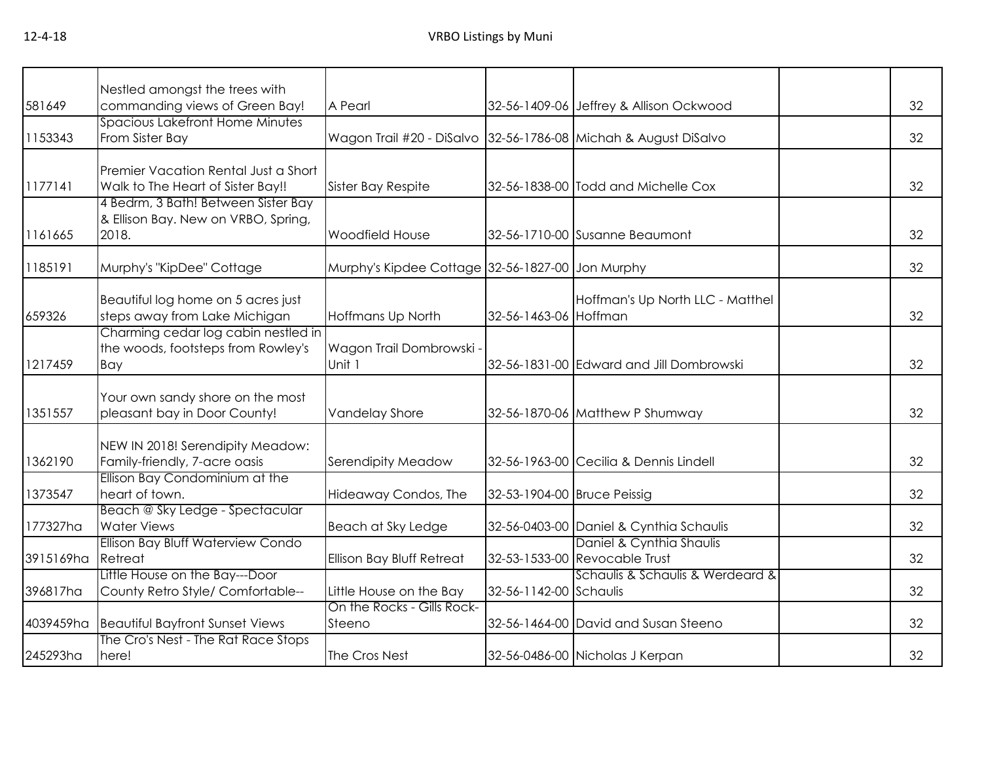| 581649    | Nestled amongst the trees with<br>commanding views of Green Bay! | A Pearl                                                         |                             | 32-56-1409-06 Jeffrey & Allison Ockwood  | 32 |
|-----------|------------------------------------------------------------------|-----------------------------------------------------------------|-----------------------------|------------------------------------------|----|
|           |                                                                  |                                                                 |                             |                                          |    |
| 1153343   | Spacious Lakefront Home Minutes<br>From Sister Bay               | Wagon Trail #20 - DiSalvo 32-56-1786-08 Michah & August DiSalvo |                             |                                          | 32 |
|           |                                                                  |                                                                 |                             |                                          |    |
|           | Premier Vacation Rental Just a Short                             |                                                                 |                             |                                          |    |
|           |                                                                  |                                                                 |                             |                                          |    |
| 1177141   | Walk to The Heart of Sister Bay!!                                | Sister Bay Respite                                              |                             | 32-56-1838-00 Todd and Michelle Cox      | 32 |
|           | 4 Bedrm, 3 Bath! Between Sister Bay                              |                                                                 |                             |                                          |    |
|           | & Ellison Bay. New on VRBO, Spring,                              |                                                                 |                             |                                          |    |
| 1161665   | 2018.                                                            | Woodfield House                                                 |                             | 32-56-1710-00 Susanne Beaumont           | 32 |
|           |                                                                  |                                                                 |                             |                                          |    |
| 1185191   | Murphy's "KipDee" Cottage                                        | Murphy's Kipdee Cottage 32-56-1827-00 Jon Murphy                |                             |                                          | 32 |
|           |                                                                  |                                                                 |                             |                                          |    |
|           | Beautiful log home on 5 acres just                               |                                                                 |                             | Hoffman's Up North LLC - Matthel         |    |
| 659326    | steps away from Lake Michigan                                    | Hoffmans Up North                                               | 32-56-1463-06 Hoffman       |                                          | 32 |
|           | Charming cedar log cabin nestled in                              |                                                                 |                             |                                          |    |
|           | the woods, footsteps from Rowley's                               | Wagon Trail Dombrowski -                                        |                             |                                          |    |
| 1217459   | Bay                                                              | Unit 1                                                          |                             | 32-56-1831-00 Edward and Jill Dombrowski | 32 |
|           |                                                                  |                                                                 |                             |                                          |    |
|           |                                                                  |                                                                 |                             |                                          |    |
|           | Your own sandy shore on the most                                 |                                                                 |                             |                                          |    |
| 1351557   | pleasant bay in Door County!                                     | <b>Vandelay Shore</b>                                           |                             | 32-56-1870-06 Matthew P Shumway          | 32 |
|           |                                                                  |                                                                 |                             |                                          |    |
|           | NEW IN 2018! Serendipity Meadow:                                 |                                                                 |                             |                                          |    |
| 1362190   | Family-friendly, 7-acre oasis                                    | Serendipity Meadow                                              |                             | 32-56-1963-00 Cecilia & Dennis Lindell   | 32 |
|           | Ellison Bay Condominium at the                                   |                                                                 |                             |                                          |    |
| 1373547   | heart of town.                                                   | Hideaway Condos, The                                            | 32-53-1904-00 Bruce Peissig |                                          | 32 |
|           | Beach @ Sky Ledge - Spectacular                                  |                                                                 |                             |                                          |    |
| 177327ha  | <b>Water Views</b>                                               | Beach at Sky Ledge                                              |                             | 32-56-0403-00 Daniel & Cynthia Schaulis  | 32 |
|           | Ellison Bay Bluff Waterview Condo                                |                                                                 |                             | Daniel & Cynthia Shaulis                 |    |
| 3915169ha | Retreat                                                          | Ellison Bay Bluff Retreat                                       |                             | 32-53-1533-00 Revocable Trust            | 32 |
|           | Little House on the Bay---Door                                   |                                                                 |                             | Schaulis & Schaulis & Werdeard &         |    |
| 396817ha  | County Retro Style/ Comfortable--                                | Little House on the Bay                                         | 32-56-1142-00 Schaulis      |                                          | 32 |
|           |                                                                  | On the Rocks - Gills Rock-                                      |                             |                                          |    |
|           |                                                                  |                                                                 |                             |                                          | 32 |
| 4039459ha | Beautiful Bayfront Sunset Views                                  | Steeno                                                          |                             | 32-56-1464-00 David and Susan Steeno     |    |
|           | The Cro's Nest - The Rat Race Stops                              |                                                                 |                             |                                          |    |
| 245293ha  | here!                                                            | The Cros Nest                                                   |                             | 32-56-0486-00 Nicholas J Kerpan          | 32 |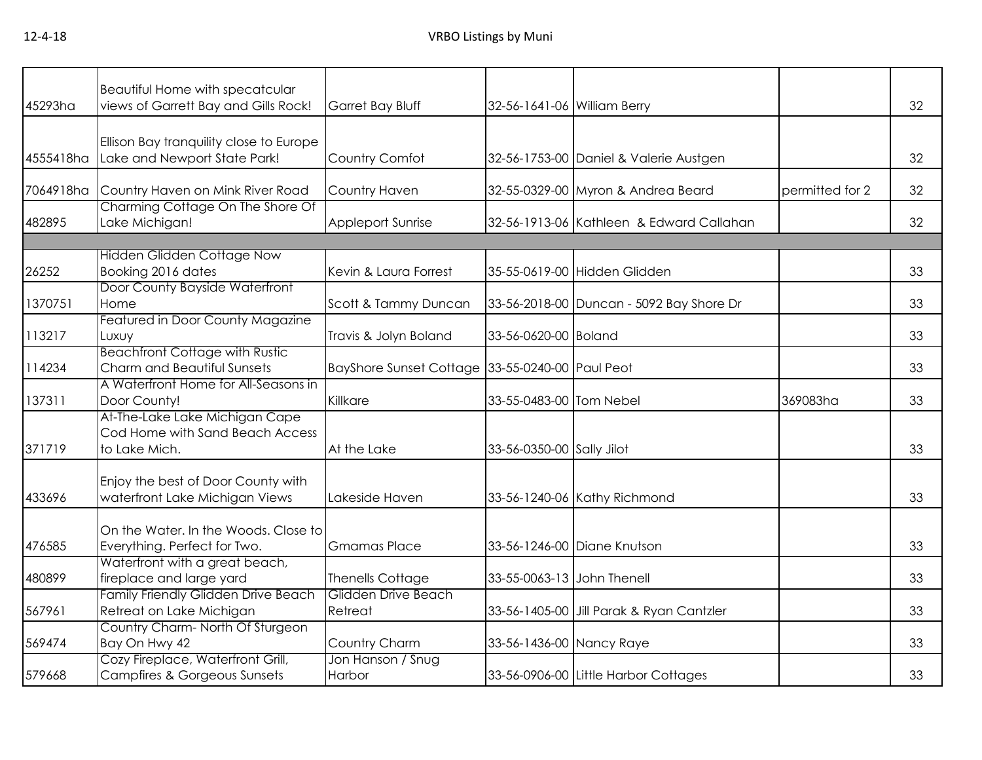| 45293ha   | <b>Beautiful Home with specatcular</b><br>views of Garrett Bay and Gills Rock!     | Garret Bay Bluff                                | 32-56-1641-06 William Berry |                                          |                 | 32 |
|-----------|------------------------------------------------------------------------------------|-------------------------------------------------|-----------------------------|------------------------------------------|-----------------|----|
| 4555418ha | Ellison Bay tranquility close to Europe<br>Lake and Newport State Park!            | Country Comfot                                  |                             | 32-56-1753-00 Daniel & Valerie Austgen   |                 | 32 |
| 7064918ha | Country Haven on Mink River Road                                                   | Country Haven                                   |                             | 32-55-0329-00 Myron & Andrea Beard       | permitted for 2 | 32 |
| 482895    | Charming Cottage On The Shore Of<br>Lake Michigan!                                 | <b>Appleport Sunrise</b>                        |                             | 32-56-1913-06 Kathleen & Edward Callahan |                 | 32 |
|           |                                                                                    |                                                 |                             |                                          |                 |    |
| 26252     | <b>Hidden Glidden Cottage Now</b><br>Booking 2016 dates                            | Kevin & Laura Forrest                           |                             | 35-55-0619-00 Hidden Glidden             |                 | 33 |
| 1370751   | Door County Bayside Waterfront<br>Home                                             | Scott & Tammy Duncan                            |                             | 33-56-2018-00 Duncan - 5092 Bay Shore Dr |                 | 33 |
| 113217    | Featured in Door County Magazine<br>Luxuy                                          | Travis & Jolyn Boland                           | 33-56-0620-00 Boland        |                                          |                 | 33 |
| 114234    | <b>Beachfront Cottage with Rustic</b><br>Charm and Beautiful Sunsets               | BayShore Sunset Cottage 33-55-0240-00 Paul Peot |                             |                                          |                 | 33 |
| 137311    | A Waterfront Home for All-Seasons in<br>Door County!                               | Killkare                                        | 33-55-0483-00 Tom Nebel     |                                          | 369083ha        | 33 |
| 371719    | At-The-Lake Lake Michigan Cape<br>Cod Home with Sand Beach Access<br>to Lake Mich. | At the Lake                                     | 33-56-0350-00 Sally Jilot   |                                          |                 | 33 |
| 433696    | Enjoy the best of Door County with<br>waterfront Lake Michigan Views               | Lakeside Haven                                  |                             | 33-56-1240-06 Kathy Richmond             |                 | 33 |
| 476585    | On the Water. In the Woods. Close to<br>Everything. Perfect for Two.               | <b>Gmamas Place</b>                             |                             | 33-56-1246-00 Diane Knutson              |                 | 33 |
| 480899    | Waterfront with a great beach,<br>fireplace and large yard                         | <b>Thenells Cottage</b>                         | 33-55-0063-13 John Thenell  |                                          |                 | 33 |
| 567961    | <b>Family Friendly Glidden Drive Beach</b><br>Retreat on Lake Michigan             | Glidden Drive Beach<br>Retreat                  |                             | 33-56-1405-00 Jill Parak & Ryan Cantzler |                 | 33 |
| 569474    | Country Charm- North Of Sturgeon<br>Bay On Hwy 42                                  | Country Charm                                   | 33-56-1436-00 Nancy Raye    |                                          |                 | 33 |
| 579668    | Cozy Fireplace, Waterfront Grill,<br><b>Campfires &amp; Gorgeous Sunsets</b>       | Jon Hanson / Snug<br>Harbor                     |                             | 33-56-0906-00 Little Harbor Cottages     |                 | 33 |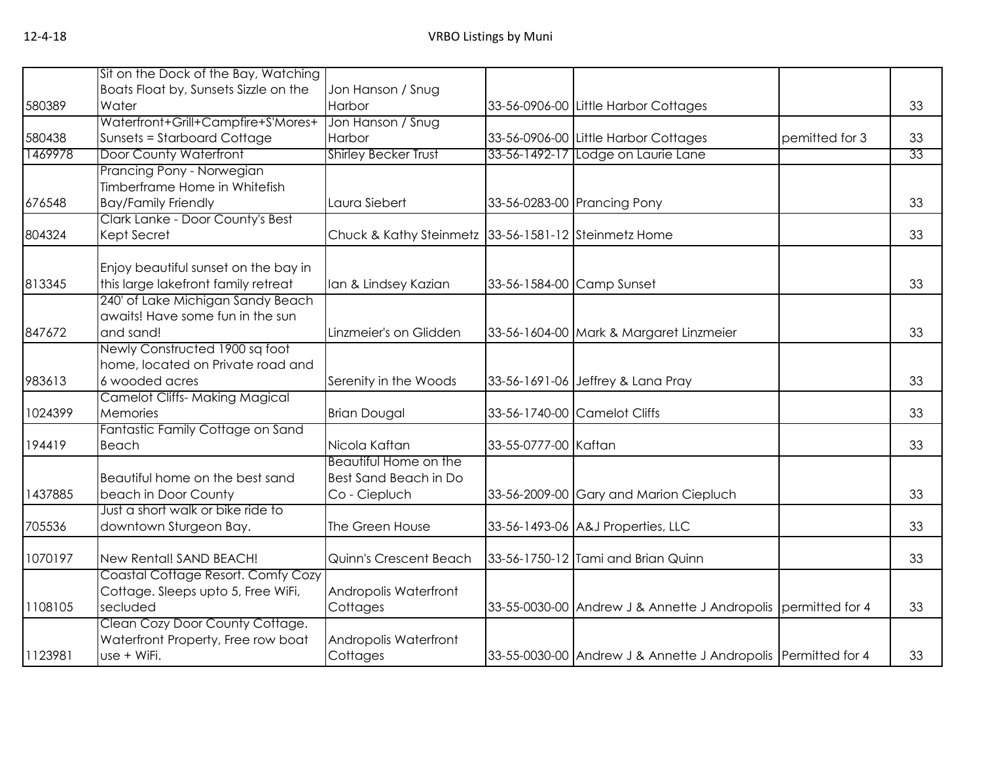|         | Sit on the Dock of the Bay, Watching                      |                                                      |                      |                                                               |                |    |
|---------|-----------------------------------------------------------|------------------------------------------------------|----------------------|---------------------------------------------------------------|----------------|----|
|         | Boats Float by, Sunsets Sizzle on the                     | Jon Hanson / Snug                                    |                      |                                                               |                |    |
| 580389  | Water                                                     | Harbor                                               |                      | 33-56-0906-00 Little Harbor Cottages                          |                | 33 |
|         | Waterfront+Grill+Campfire+S'Mores+                        | Jon Hanson / Snug                                    |                      |                                                               |                |    |
| 580438  | Sunsets = Starboard Cottage                               | Harbor                                               |                      | 33-56-0906-00 Little Harbor Cottages                          | pemitted for 3 | 33 |
| 1469978 | <b>Door County Waterfront</b>                             | <b>Shirley Becker Trust</b>                          |                      | 33-56-1492-17 Lodge on Laurie Lane                            |                | 33 |
|         | Prancing Pony - Norwegian                                 |                                                      |                      |                                                               |                |    |
|         | Timberframe Home in Whitefish                             |                                                      |                      |                                                               |                |    |
| 676548  | <b>Bay/Family Friendly</b>                                | Laura Siebert                                        |                      | 33-56-0283-00 Prancing Pony                                   |                | 33 |
|         | Clark Lanke - Door County's Best                          |                                                      |                      |                                                               |                |    |
| 804324  | Kept Secret                                               | Chuck & Kathy Steinmetz 33-56-1581-12 Steinmetz Home |                      |                                                               |                | 33 |
|         |                                                           |                                                      |                      |                                                               |                |    |
|         | Enjoy beautiful sunset on the bay in                      |                                                      |                      |                                                               |                |    |
| 813345  | this large lakefront family retreat                       | Ian & Lindsey Kazian                                 |                      | 33-56-1584-00 Camp Sunset                                     |                | 33 |
|         | 240' of Lake Michigan Sandy Beach                         |                                                      |                      |                                                               |                |    |
|         | awaits! Have some fun in the sun                          |                                                      |                      |                                                               |                |    |
| 847672  | and sand!                                                 | Linzmeier's on Glidden                               |                      | 33-56-1604-00 Mark & Margaret Linzmeier                       |                | 33 |
|         | Newly Constructed 1900 sq foot                            |                                                      |                      |                                                               |                |    |
|         | home, located on Private road and                         |                                                      |                      |                                                               |                |    |
| 983613  | 6 wooded acres                                            | Serenity in the Woods                                |                      | 33-56-1691-06 Jeffrey & Lana Pray                             |                | 33 |
|         | <b>Camelot Cliffs- Making Magical</b>                     |                                                      |                      |                                                               |                |    |
| 1024399 | Memories                                                  | <b>Brian Dougal</b>                                  |                      | 33-56-1740-00 Camelot Cliffs                                  |                | 33 |
|         | Fantastic Family Cottage on Sand                          |                                                      |                      |                                                               |                |    |
| 194419  | Beach                                                     | Nicola Kaftan                                        | 33-55-0777-00 Kaftan |                                                               |                | 33 |
|         |                                                           | Beautiful Home on the                                |                      |                                                               |                |    |
|         | Beautiful home on the best sand                           | Best Sand Beach in Do                                |                      |                                                               |                |    |
| 1437885 | beach in Door County<br>Just a short walk or bike ride to | Co - Ciepluch                                        |                      | 33-56-2009-00 Gary and Marion Ciepluch                        |                | 33 |
| 705536  | downtown Sturgeon Bay.                                    | The Green House                                      |                      |                                                               |                | 33 |
|         |                                                           |                                                      |                      | 33-56-1493-06 A&J Properties, LLC                             |                |    |
| 1070197 | New Rental! SAND BEACH!                                   | Quinn's Crescent Beach                               |                      | 33-56-1750-12 Tami and Brian Quinn                            |                | 33 |
|         | Coastal Cottage Resort. Comfy Cozy                        |                                                      |                      |                                                               |                |    |
|         | Cottage. Sleeps upto 5, Free WiFi,                        | Andropolis Waterfront                                |                      |                                                               |                |    |
| 1108105 | secluded                                                  | Cottages                                             |                      | 33-55-0030-00 Andrew J & Annette J Andropolis permitted for 4 |                | 33 |
|         | Clean Cozy Door County Cottage.                           |                                                      |                      |                                                               |                |    |
|         | Waterfront Property, Free row boat                        | Andropolis Waterfront                                |                      |                                                               |                |    |
| 1123981 | use + WiFi.                                               | Cottages                                             |                      | 33-55-0030-00 Andrew J & Annette J Andropolis Permitted for 4 |                | 33 |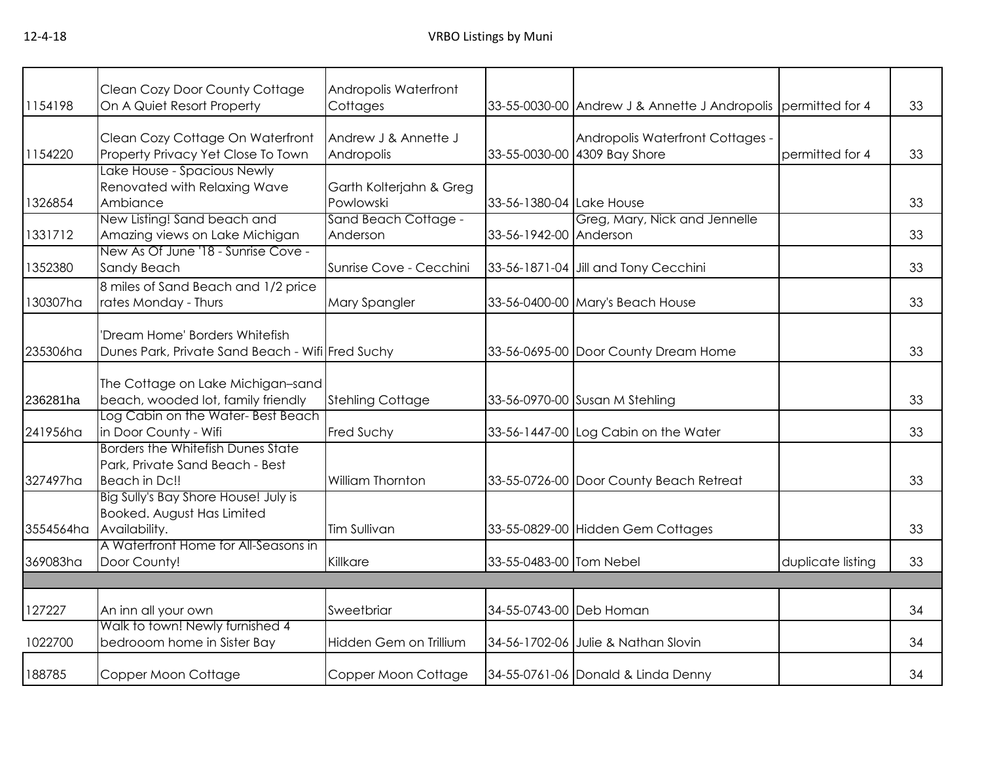| 1154198   | Clean Cozy Door County Cottage<br>On A Quiet Resort Property                          | Andropolis Waterfront<br>Cottages    |                          | 33-55-0030-00 Andrew J & Annette J Andropolis permitted for 4    |                   | 33 |
|-----------|---------------------------------------------------------------------------------------|--------------------------------------|--------------------------|------------------------------------------------------------------|-------------------|----|
| 1154220   | Clean Cozy Cottage On Waterfront<br>Property Privacy Yet Close To Town                | Andrew J & Annette J<br>Andropolis   |                          | Andropolis Waterfront Cottages -<br>33-55-0030-00 4309 Bay Shore | permitted for 4   | 33 |
| 1326854   | Lake House - Spacious Newly<br>Renovated with Relaxing Wave<br>Ambiance               | Garth Kolterjahn & Greg<br>Powlowski | 33-56-1380-04 Lake House |                                                                  |                   | 33 |
| 1331712   | New Listing! Sand beach and<br>Amazing views on Lake Michigan                         | Sand Beach Cottage -<br>Anderson     | 33-56-1942-00 Anderson   | Greg, Mary, Nick and Jennelle                                    |                   | 33 |
| 1352380   | New As Of June '18 - Sunrise Cove -<br>Sandy Beach                                    | Sunrise Cove - Cecchini              |                          | 33-56-1871-04 Jill and Tony Cecchini                             |                   | 33 |
| 130307ha  | 8 miles of Sand Beach and 1/2 price<br>rates Monday - Thurs                           | Mary Spangler                        |                          | 33-56-0400-00 Mary's Beach House                                 |                   | 33 |
| 235306ha  | 'Dream Home' Borders Whitefish<br>Dunes Park, Private Sand Beach - Wifi Fred Suchy    |                                      |                          | 33-56-0695-00 Door County Dream Home                             |                   | 33 |
| 236281ha  | The Cottage on Lake Michigan-sand<br>beach, wooded lot, family friendly               | <b>Stehling Cottage</b>              |                          | 33-56-0970-00 Susan M Stehling                                   |                   | 33 |
| 241956ha  | Log Cabin on the Water- Best Beach<br>in Door County - Wifi                           | Fred Suchy                           |                          | 33-56-1447-00 Log Cabin on the Water                             |                   | 33 |
| 327497ha  | Borders the Whitefish Dunes State<br>Park, Private Sand Beach - Best<br>Beach in Dc!! | <b>William Thornton</b>              |                          | 33-55-0726-00 Door County Beach Retreat                          |                   | 33 |
| 3554564ha | Big Sully's Bay Shore House! July is<br>Booked. August Has Limited<br>Availability.   | Tim Sullivan                         |                          | 33-55-0829-00 Hidden Gem Cottages                                |                   | 33 |
| 369083ha  | A Waterfront Home for All-Seasons in<br>Door County!                                  | Killkare                             | 33-55-0483-00 Tom Nebel  |                                                                  | duplicate listing | 33 |
|           |                                                                                       |                                      |                          |                                                                  |                   |    |
| 127227    | An inn all your own                                                                   | Sweetbriar                           | 34-55-0743-00 Deb Homan  |                                                                  |                   | 34 |
| 1022700   | Walk to town! Newly furnished 4<br>bedrooom home in Sister Bay                        | Hidden Gem on Trillium               |                          | 34-56-1702-06 Julie & Nathan Slovin                              |                   | 34 |
| 188785    | Copper Moon Cottage                                                                   | Copper Moon Cottage                  |                          | 34-55-0761-06 Donald & Linda Denny                               |                   | 34 |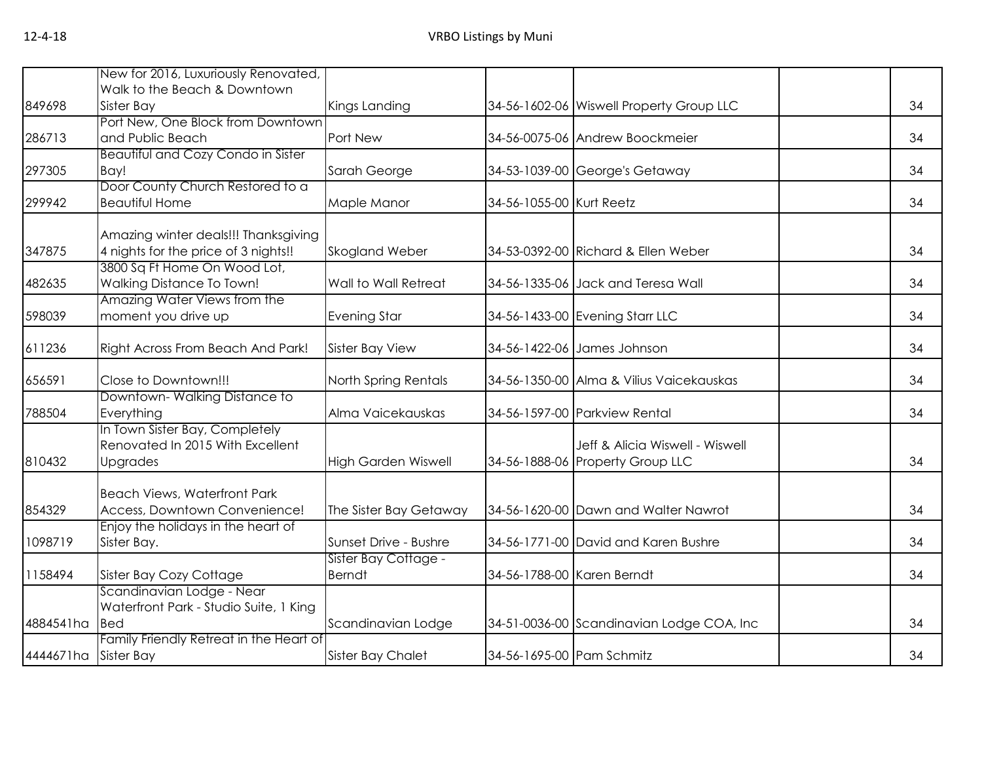|           | New for 2016, Luxuriously Renovated,                  |                            |                            |                                           |    |
|-----------|-------------------------------------------------------|----------------------------|----------------------------|-------------------------------------------|----|
|           | Walk to the Beach & Downtown                          |                            |                            |                                           |    |
| 849698    | Sister Bay                                            | Kings Landing              |                            | 34-56-1602-06 Wiswell Property Group LLC  | 34 |
|           | Port New, One Block from Downtown                     |                            |                            |                                           |    |
| 286713    | and Public Beach                                      | Port New                   |                            | 34-56-0075-06 Andrew Boockmeier           | 34 |
|           | <b>Beautiful and Cozy Condo in Sister</b>             |                            |                            |                                           |    |
| 297305    | Bay!                                                  | Sarah George               |                            | 34-53-1039-00 George's Getaway            | 34 |
|           | Door County Church Restored to a                      |                            |                            |                                           |    |
| 299942    | <b>Beautiful Home</b>                                 | Maple Manor                | 34-56-1055-00 Kurt Reetz   |                                           | 34 |
|           | Amazing winter deals!!! Thanksgiving                  |                            |                            |                                           |    |
| 347875    | 4 nights for the price of 3 nights!!                  | Skogland Weber             |                            | 34-53-0392-00 Richard & Ellen Weber       | 34 |
|           | 3800 Sq Ft Home On Wood Lot,                          |                            |                            |                                           |    |
| 482635    | Walking Distance To Town!                             | Wall to Wall Retreat       |                            | 34-56-1335-06 Jack and Teresa Wall        | 34 |
|           | Amazing Water Views from the                          |                            |                            |                                           |    |
| 598039    | moment you drive up                                   | <b>Evening Star</b>        |                            | 34-56-1433-00 Evening Starr LLC           | 34 |
| 611236    | Right Across From Beach And Park!                     | <b>Sister Bay View</b>     |                            | 34-56-1422-06 James Johnson               | 34 |
| 656591    | Close to Downtown!!!                                  | North Spring Rentals       |                            | 34-56-1350-00 Alma & Vilius Vaicekauskas  | 34 |
| 788504    | Downtown-Walking Distance to<br>Everything            | Alma Vaicekauskas          |                            | 34-56-1597-00 Parkview Rental             | 34 |
|           | In Town Sister Bay, Completely                        |                            |                            |                                           |    |
|           | Renovated In 2015 With Excellent                      |                            |                            | Jeff & Alicia Wiswell - Wiswell           |    |
| 810432    | Upgrades                                              | <b>High Garden Wiswell</b> |                            | 34-56-1888-06 Property Group LLC          | 34 |
|           |                                                       |                            |                            |                                           |    |
|           | <b>Beach Views, Waterfront Park</b>                   |                            |                            |                                           |    |
| 854329    | Access, Downtown Convenience!                         | The Sister Bay Getaway     |                            | 34-56-1620-00 Dawn and Walter Nawrot      | 34 |
|           | Enjoy the holidays in the heart of                    |                            |                            |                                           |    |
| 1098719   | Sister Bay.                                           | Sunset Drive - Bushre      |                            | 34-56-1771-00 David and Karen Bushre      | 34 |
|           |                                                       | Sister Bay Cottage -       |                            |                                           |    |
| 1158494   | Sister Bay Cozy Cottage                               | <b>Berndt</b>              | 34-56-1788-00 Karen Berndt |                                           | 34 |
|           | Scandinavian Lodge - Near                             |                            |                            |                                           |    |
|           | Waterfront Park - Studio Suite, 1 King                |                            |                            |                                           |    |
| 4884541ha | <b>Bed</b>                                            | Scandinavian Lodge         |                            | 34-51-0036-00 Scandinavian Lodge COA, Inc | 34 |
| 4444671ha | Family Friendly Retreat in the Heart of<br>Sister Bay | <b>Sister Bay Chalet</b>   | 34-56-1695-00 Pam Schmitz  |                                           | 34 |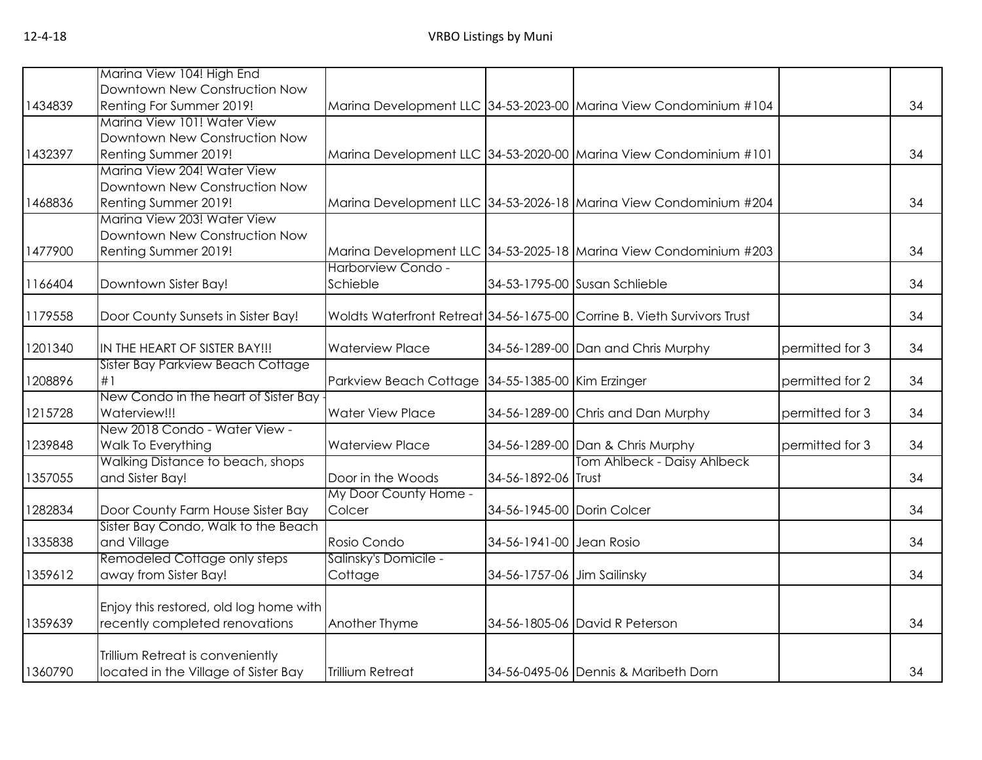|         | Marina View 104! High End              |                                                   |                             |                                                                          |                 |    |
|---------|----------------------------------------|---------------------------------------------------|-----------------------------|--------------------------------------------------------------------------|-----------------|----|
|         | Downtown New Construction Now          |                                                   |                             |                                                                          |                 |    |
| 1434839 | Renting For Summer 2019!               |                                                   |                             | Marina Development LLC 34-53-2023-00 Marina View Condominium #104        |                 | 34 |
|         | Marina View 101! Water View            |                                                   |                             |                                                                          |                 |    |
|         | Downtown New Construction Now          |                                                   |                             |                                                                          |                 |    |
| 1432397 | Renting Summer 2019!                   |                                                   |                             | Marina Development LLC 34-53-2020-00 Marina View Condominium #101        |                 | 34 |
|         | Marina View 204! Water View            |                                                   |                             |                                                                          |                 |    |
|         | Downtown New Construction Now          |                                                   |                             |                                                                          |                 |    |
| 1468836 | Renting Summer 2019!                   |                                                   |                             | Marina Development LLC 34-53-2026-18 Marina View Condominium #204        |                 | 34 |
|         | Marina View 203! Water View            |                                                   |                             |                                                                          |                 |    |
|         | Downtown New Construction Now          |                                                   |                             |                                                                          |                 |    |
| 1477900 | Renting Summer 2019!                   |                                                   |                             | Marina Development LLC 34-53-2025-18 Marina View Condominium #203        |                 | 34 |
|         |                                        | Harborview Condo -                                |                             |                                                                          |                 |    |
| 1166404 | Downtown Sister Bay!                   | Schieble                                          |                             | 34-53-1795-00 Susan Schlieble                                            |                 | 34 |
| 1179558 | Door County Sunsets in Sister Bay!     |                                                   |                             | Woldts Waterfront Retreat 34-56-1675-00 Corrine B. Vieth Survivors Trust |                 | 34 |
|         |                                        |                                                   |                             |                                                                          |                 |    |
| 1201340 | IN THE HEART OF SISTER BAY!!!          | <b>Waterview Place</b>                            |                             | 34-56-1289-00 Dan and Chris Murphy                                       | permitted for 3 | 34 |
|         | Sister Bay Parkview Beach Cottage      |                                                   |                             |                                                                          |                 |    |
| 1208896 | #1                                     | Parkview Beach Cottage 34-55-1385-00 Kim Erzinger |                             |                                                                          | permitted for 2 | 34 |
|         | New Condo in the heart of Sister Bay   |                                                   |                             |                                                                          |                 |    |
| 1215728 | Waterview!!!                           | <b>Water View Place</b>                           |                             | 34-56-1289-00 Chris and Dan Murphy                                       | permitted for 3 | 34 |
|         | New 2018 Condo - Water View -          |                                                   |                             |                                                                          |                 |    |
| 1239848 | Walk To Everything                     | <b>Waterview Place</b>                            |                             | 34-56-1289-00 Dan & Chris Murphy                                         | permitted for 3 | 34 |
|         | Walking Distance to beach, shops       |                                                   |                             | Tom Ahlbeck - Daisy Ahlbeck                                              |                 |    |
| 1357055 | and Sister Bay!                        | Door in the Woods                                 | 34-56-1892-06 Trust         |                                                                          |                 | 34 |
|         |                                        | My Door County Home -                             |                             |                                                                          |                 |    |
| 1282834 | Door County Farm House Sister Bay      | Colcer                                            | 34-56-1945-00 Dorin Colcer  |                                                                          |                 | 34 |
|         | Sister Bay Condo, Walk to the Beach    |                                                   |                             |                                                                          |                 |    |
| 1335838 | and Village                            | Rosio Condo                                       | 34-56-1941-00 Jean Rosio    |                                                                          |                 | 34 |
|         | Remodeled Cottage only steps           | Salinsky's Domicile -                             |                             |                                                                          |                 |    |
| 1359612 | away from Sister Bay!                  | Cottage                                           | 34-56-1757-06 Jim Sailinsky |                                                                          |                 | 34 |
|         |                                        |                                                   |                             |                                                                          |                 |    |
|         | Enjoy this restored, old log home with |                                                   |                             |                                                                          |                 |    |
| 1359639 | recently completed renovations         | Another Thyme                                     |                             | 34-56-1805-06 David R Peterson                                           |                 | 34 |
|         | Trillium Retreat is conveniently       |                                                   |                             |                                                                          |                 |    |
| 1360790 | located in the Village of Sister Bay   | Trillium Retreat                                  |                             | 34-56-0495-06 Dennis & Maribeth Dorn                                     |                 | 34 |
|         |                                        |                                                   |                             |                                                                          |                 |    |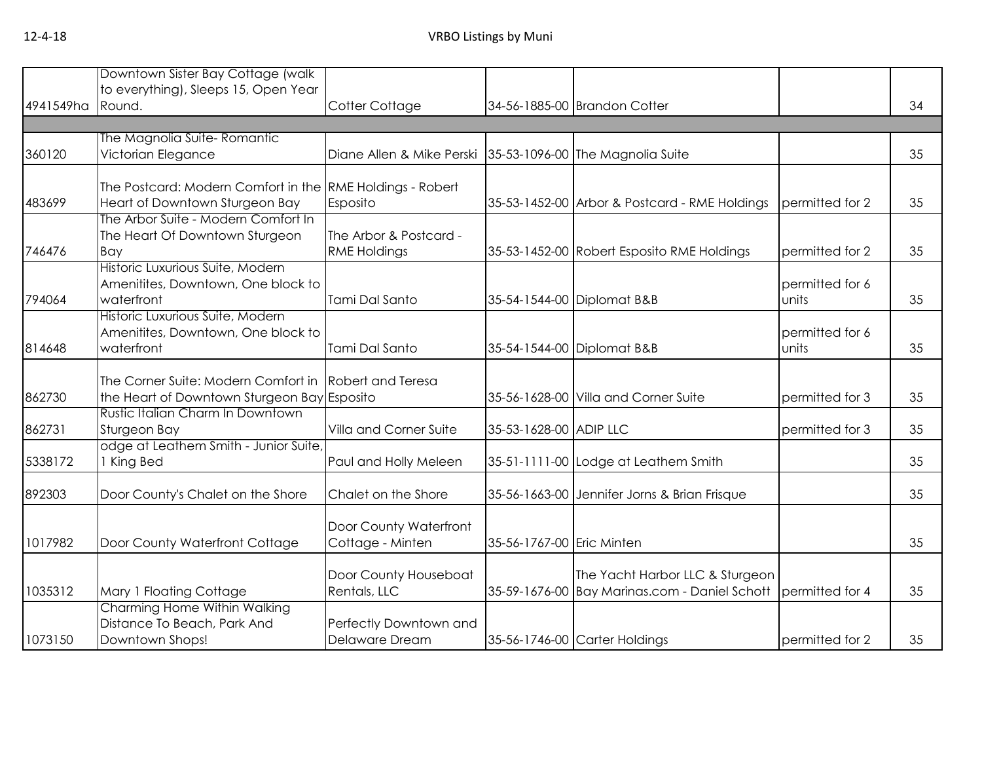|           | Downtown Sister Bay Cottage (walk                         |                           |                           |                                               |                 |    |
|-----------|-----------------------------------------------------------|---------------------------|---------------------------|-----------------------------------------------|-----------------|----|
|           | to everything), Sleeps 15, Open Year                      |                           |                           |                                               |                 |    |
| 4941549ha | Round.                                                    | Cotter Cottage            |                           | 34-56-1885-00 Brandon Cotter                  |                 | 34 |
|           |                                                           |                           |                           |                                               |                 |    |
|           | The Magnolia Suite- Romantic                              |                           |                           |                                               |                 |    |
| 360120    | Victorian Elegance                                        | Diane Allen & Mike Perski |                           | 35-53-1096-00 The Magnolia Suite              |                 | 35 |
|           |                                                           |                           |                           |                                               |                 |    |
|           | The Postcard: Modern Comfort in the RME Holdings - Robert |                           |                           |                                               |                 |    |
|           |                                                           |                           |                           |                                               |                 |    |
| 483699    | Heart of Downtown Sturgeon Bay                            | Esposito                  |                           | 35-53-1452-00 Arbor & Postcard - RME Holdings | permitted for 2 | 35 |
|           | The Arbor Suite - Modern Comfort In                       |                           |                           |                                               |                 |    |
|           | The Heart Of Downtown Sturgeon                            | The Arbor & Postcard -    |                           |                                               |                 |    |
| 746476    | Bay                                                       | <b>RME Holdings</b>       |                           | 35-53-1452-00 Robert Esposito RME Holdings    | permitted for 2 | 35 |
|           | Historic Luxurious Suite, Modern                          |                           |                           |                                               |                 |    |
|           | Amenitites, Downtown, One block to                        |                           |                           |                                               | permitted for 6 |    |
| 794064    | waterfront                                                | Tami Dal Santo            |                           | 35-54-1544-00 Diplomat B&B                    | units           | 35 |
|           | Historic Luxurious Suite, Modern                          |                           |                           |                                               |                 |    |
|           | Amenitites, Downtown, One block to                        |                           |                           |                                               | permitted for 6 |    |
| 814648    | waterfront                                                | Tami Dal Santo            |                           | 35-54-1544-00 Diplomat B&B                    | units           | 35 |
|           |                                                           |                           |                           |                                               |                 |    |
|           |                                                           |                           |                           |                                               |                 |    |
|           | The Corner Suite: Modern Comfort in                       | <b>Robert and Teresa</b>  |                           |                                               |                 |    |
| 862730    | the Heart of Downtown Sturgeon Bay Esposito               |                           |                           | 35-56-1628-00 Villa and Corner Suite          | permitted for 3 | 35 |
|           | Rustic Italian Charm In Downtown                          |                           |                           |                                               |                 |    |
| 862731    | Sturgeon Bay                                              | Villa and Corner Suite    | 35-53-1628-00 ADIP LLC    |                                               | permitted for 3 | 35 |
|           | odge at Leathem Smith - Junior Suite,                     |                           |                           |                                               |                 |    |
| 5338172   | 1 King Bed                                                | Paul and Holly Meleen     |                           | 35-51-1111-00 Lodge at Leathem Smith          |                 | 35 |
|           |                                                           |                           |                           |                                               |                 |    |
| 892303    | Door County's Chalet on the Shore                         | Chalet on the Shore       |                           | 35-56-1663-00 Jennifer Jorns & Brian Frisque  |                 | 35 |
|           |                                                           |                           |                           |                                               |                 |    |
|           |                                                           | Door County Waterfront    |                           |                                               |                 |    |
| 1017982   | Door County Waterfront Cottage                            | Cottage - Minten          | 35-56-1767-00 Eric Minten |                                               |                 | 35 |
|           |                                                           |                           |                           |                                               |                 |    |
|           |                                                           |                           |                           |                                               |                 |    |
|           |                                                           | Door County Houseboat     |                           | The Yacht Harbor LLC & Sturgeon               |                 |    |
| 1035312   | Mary 1 Floating Cottage                                   | Rentals, LLC              |                           | 35-59-1676-00 Bay Marinas.com - Daniel Schott | permitted for 4 | 35 |
|           | Charming Home Within Walking                              |                           |                           |                                               |                 |    |
|           | Distance To Beach, Park And                               | Perfectly Downtown and    |                           |                                               |                 |    |
| 1073150   | Downtown Shops!                                           | Delaware Dream            |                           | 35-56-1746-00 Carter Holdings                 | permitted for 2 | 35 |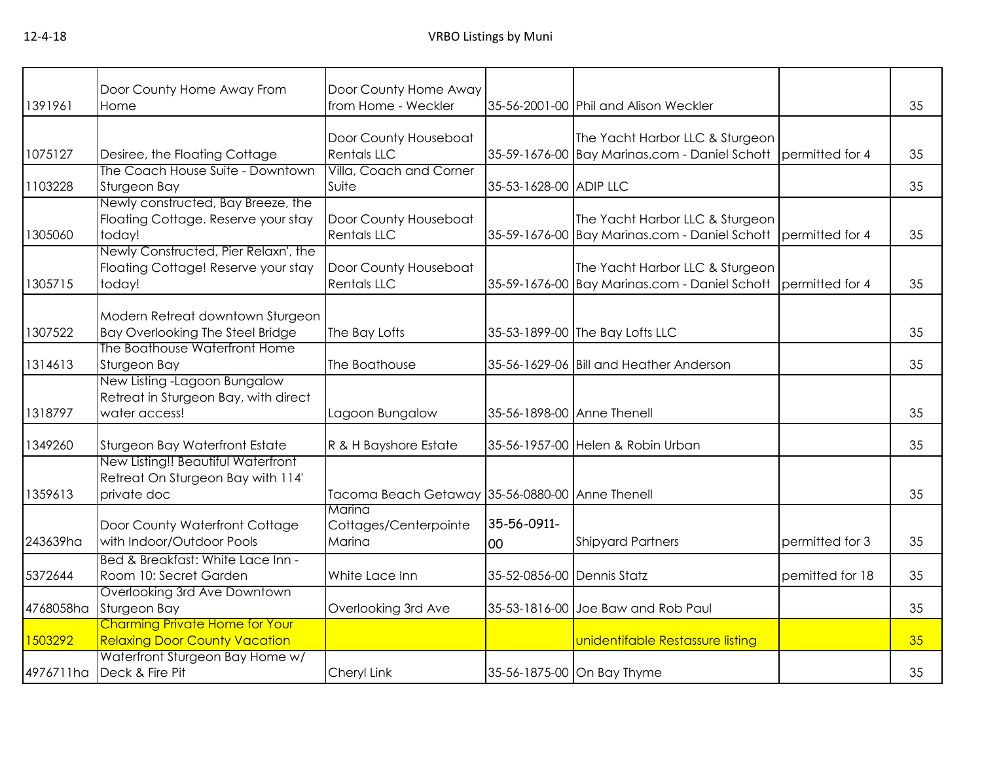| Door County Home Away From<br>Home                                   | from Home - Weckler                                                                                                                                                                                                                                                                               |                                   |                                  |                                                                                                                                                                                                                                                                                                                                                                                                                                                                                                                          | 35              |
|----------------------------------------------------------------------|---------------------------------------------------------------------------------------------------------------------------------------------------------------------------------------------------------------------------------------------------------------------------------------------------|-----------------------------------|----------------------------------|--------------------------------------------------------------------------------------------------------------------------------------------------------------------------------------------------------------------------------------------------------------------------------------------------------------------------------------------------------------------------------------------------------------------------------------------------------------------------------------------------------------------------|-----------------|
| Desiree, the Floating Cottage                                        | Door County Houseboat<br><b>Rentals LLC</b>                                                                                                                                                                                                                                                       |                                   | The Yacht Harbor LLC & Sturgeon  | permitted for 4                                                                                                                                                                                                                                                                                                                                                                                                                                                                                                          | 35              |
| Sturgeon Bay                                                         | Suite                                                                                                                                                                                                                                                                                             |                                   |                                  |                                                                                                                                                                                                                                                                                                                                                                                                                                                                                                                          | 35              |
| Floating Cottage. Reserve your stay<br>today!                        | Door County Houseboat<br><b>Rentals LLC</b>                                                                                                                                                                                                                                                       |                                   | The Yacht Harbor LLC & Sturgeon  | permitted for 4                                                                                                                                                                                                                                                                                                                                                                                                                                                                                                          | 35              |
| Floating Cottage! Reserve your stay<br>today!                        | Door County Houseboat<br><b>Rentals LLC</b>                                                                                                                                                                                                                                                       |                                   | The Yacht Harbor LLC & Sturgeon  |                                                                                                                                                                                                                                                                                                                                                                                                                                                                                                                          | 35              |
| Modern Retreat downtown Sturgeon<br>Bay Overlooking The Steel Bridge | The Bay Lofts                                                                                                                                                                                                                                                                                     |                                   |                                  |                                                                                                                                                                                                                                                                                                                                                                                                                                                                                                                          | 35              |
| Sturgeon Bay                                                         | The Boathouse                                                                                                                                                                                                                                                                                     |                                   |                                  |                                                                                                                                                                                                                                                                                                                                                                                                                                                                                                                          | 35              |
| Retreat in Sturgeon Bay, with direct<br>water access!                | Lagoon Bungalow                                                                                                                                                                                                                                                                                   |                                   |                                  |                                                                                                                                                                                                                                                                                                                                                                                                                                                                                                                          | 35              |
| Sturgeon Bay Waterfront Estate                                       | R & H Bayshore Estate                                                                                                                                                                                                                                                                             |                                   |                                  |                                                                                                                                                                                                                                                                                                                                                                                                                                                                                                                          | 35              |
| Retreat On Sturgeon Bay with 114'<br>private doc                     |                                                                                                                                                                                                                                                                                                   |                                   |                                  |                                                                                                                                                                                                                                                                                                                                                                                                                                                                                                                          | 35              |
| Door County Waterfront Cottage<br>with Indoor/Outdoor Pools          | Cottages/Centerpointe<br>Marina                                                                                                                                                                                                                                                                   | 35-56-0911-<br>loo                | <b>Shipyard Partners</b>         | permitted for 3                                                                                                                                                                                                                                                                                                                                                                                                                                                                                                          | 35              |
| Bed & Breakfast: White Lace Inn -<br>Room 10: Secret Garden          | White Lace Inn                                                                                                                                                                                                                                                                                    |                                   |                                  | pemitted for 18                                                                                                                                                                                                                                                                                                                                                                                                                                                                                                          | 35              |
| Overlooking 3rd Ave Downtown<br>Sturgeon Bay                         | Overlooking 3rd Ave                                                                                                                                                                                                                                                                               |                                   |                                  |                                                                                                                                                                                                                                                                                                                                                                                                                                                                                                                          | 35              |
| <b>Relaxing Door County Vacation</b>                                 |                                                                                                                                                                                                                                                                                                   |                                   | unidentifable Restassure listing |                                                                                                                                                                                                                                                                                                                                                                                                                                                                                                                          | 35              |
| Deck & Fire Pit                                                      | Cheryl Link                                                                                                                                                                                                                                                                                       |                                   |                                  |                                                                                                                                                                                                                                                                                                                                                                                                                                                                                                                          | 35              |
|                                                                      | The Coach House Suite - Downtown<br>Newly constructed, Bay Breeze, the<br>Newly Constructed, Pier Relaxn', the<br>The Boathouse Waterfront Home<br>New Listing -Lagoon Bungalow<br>New Listing!! Beautiful Waterfront<br><b>Charming Private Home for Your</b><br>Waterfront Sturgeon Bay Home w/ | Villa, Coach and Corner<br>Marina | Door County Home Away            | 35-56-2001-00 Phil and Alison Weckler<br>35-59-1676-00 Bay Marinas.com - Daniel Schott<br>35-53-1628-00 ADIP LLC<br>35-59-1676-00 Bay Marinas.com - Daniel Schott<br>35-59-1676-00 Bay Marinas.com - Daniel Schott<br>35-53-1899-00 The Bay Lofts LLC<br>35-56-1629-06 Bill and Heather Anderson<br>35-56-1898-00 Anne Thenell<br>35-56-1957-00 Helen & Robin Urban<br>Tacoma Beach Getaway 35-56-0880-00 Anne Thenell<br>35-52-0856-00 Dennis Statz<br>35-53-1816-00 Joe Baw and Rob Paul<br>35-56-1875-00 On Bay Thyme | permitted for 4 |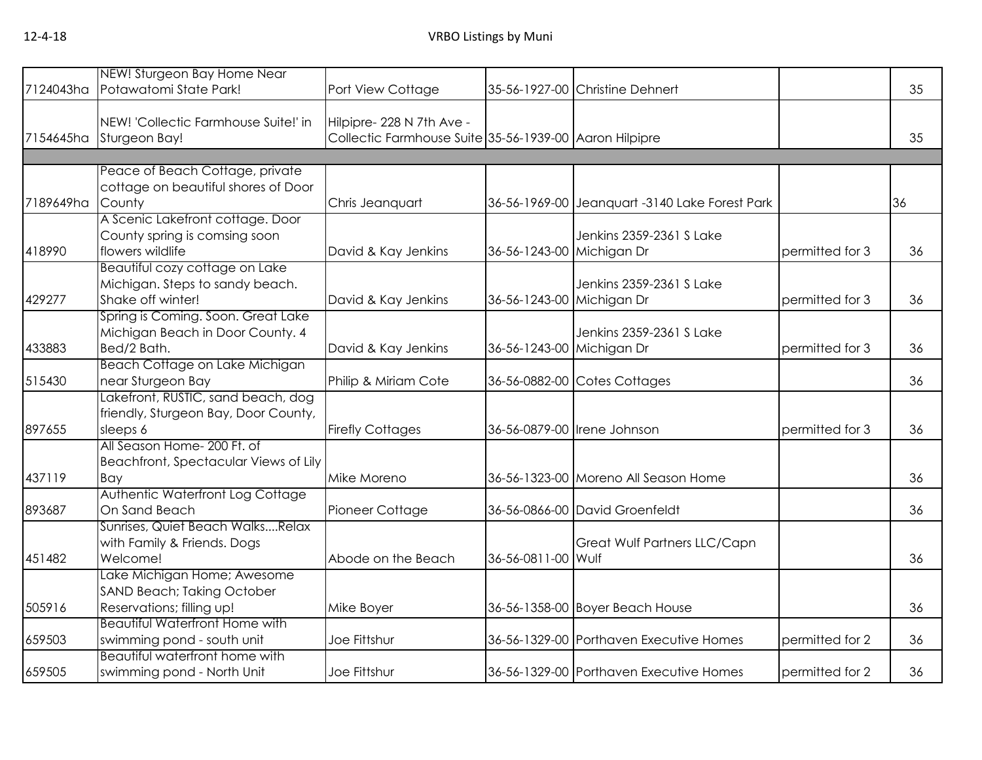| 7124043ha | NEW! Sturgeon Bay Home Near<br>Potawatomi State Park!                | Port View Cottage                                      |                           | 35-56-1927-00 Christine Dehnert                |                 | 35 |
|-----------|----------------------------------------------------------------------|--------------------------------------------------------|---------------------------|------------------------------------------------|-----------------|----|
|           |                                                                      |                                                        |                           |                                                |                 |    |
|           | NEW! 'Collectic Farmhouse Suite!' in                                 | Hilpipre- 228 N 7th Ave -                              |                           |                                                |                 |    |
| 7154645ha | Sturgeon Bay!                                                        | Collectic Farmhouse Suite 35-56-1939-00 Aaron Hilpipre |                           |                                                |                 | 35 |
|           |                                                                      |                                                        |                           |                                                |                 |    |
|           | Peace of Beach Cottage, private                                      |                                                        |                           |                                                |                 |    |
| 7189649ha | cottage on beautiful shores of Door                                  |                                                        |                           |                                                |                 |    |
|           | County<br>A Scenic Lakefront cottage. Door                           | Chris Jeanquart                                        |                           | 36-56-1969-00 Jeanquart -3140 Lake Forest Park |                 | 36 |
|           | County spring is comsing soon                                        |                                                        |                           | Jenkins 2359-2361 S Lake                       |                 |    |
| 418990    | flowers wildlife                                                     | David & Kay Jenkins                                    | 36-56-1243-00 Michigan Dr |                                                | permitted for 3 | 36 |
|           | Beautiful cozy cottage on Lake                                       |                                                        |                           |                                                |                 |    |
|           | Michigan. Steps to sandy beach.                                      |                                                        |                           | Jenkins 2359-2361 S Lake                       |                 |    |
| 429277    | Shake off winter!                                                    | David & Kay Jenkins                                    | 36-56-1243-00 Michigan Dr |                                                | permitted for 3 | 36 |
|           | Spring is Coming. Soon. Great Lake                                   |                                                        |                           |                                                |                 |    |
|           | Michigan Beach in Door County. 4                                     |                                                        |                           | Jenkins 2359-2361 S Lake                       |                 |    |
| 433883    | Bed/2 Bath.                                                          | David & Kay Jenkins                                    | 36-56-1243-00 Michigan Dr |                                                | permitted for 3 | 36 |
|           | Beach Cottage on Lake Michigan                                       |                                                        |                           |                                                |                 |    |
| 515430    | near Sturgeon Bay                                                    | Philip & Miriam Cote                                   |                           | 36-56-0882-00 Cotes Cottages                   |                 | 36 |
|           | Lakefront, RUSTIC, sand beach, dog                                   |                                                        |                           |                                                |                 |    |
|           | friendly, Sturgeon Bay, Door County,                                 |                                                        |                           |                                                |                 |    |
| 897655    | sleeps 6                                                             | <b>Firefly Cottages</b>                                |                           | 36-56-0879-00 Irene Johnson                    | permitted for 3 | 36 |
|           | All Season Home- 200 Ft. of<br>Beachfront, Spectacular Views of Lily |                                                        |                           |                                                |                 |    |
| 437119    | Bay                                                                  | Mike Moreno                                            |                           | 36-56-1323-00 Moreno All Season Home           |                 | 36 |
|           | Authentic Waterfront Log Cottage                                     |                                                        |                           |                                                |                 |    |
| 893687    | On Sand Beach                                                        | Pioneer Cottage                                        |                           | 36-56-0866-00 David Groenfeldt                 |                 | 36 |
|           | Sunrises, Quiet Beach WalksRelax                                     |                                                        |                           |                                                |                 |    |
|           | with Family & Friends. Dogs                                          |                                                        |                           | Great Wulf Partners LLC/Capn                   |                 |    |
| 451482    | Welcome!                                                             | Abode on the Beach                                     | 36-56-0811-00 Wulf        |                                                |                 | 36 |
|           | Lake Michigan Home; Awesome                                          |                                                        |                           |                                                |                 |    |
|           | SAND Beach; Taking October                                           |                                                        |                           |                                                |                 |    |
| 505916    | Reservations; filling up!                                            | Mike Boyer                                             |                           | 36-56-1358-00 Boyer Beach House                |                 | 36 |
|           | <b>Beautiful Waterfront Home with</b>                                |                                                        |                           |                                                |                 |    |
| 659503    | swimming pond - south unit                                           | Joe Fittshur                                           |                           | 36-56-1329-00 Porthaven Executive Homes        | permitted for 2 | 36 |
| 659505    | Beautiful waterfront home with<br>swimming pond - North Unit         | Joe Fittshur                                           |                           | 36-56-1329-00 Porthaven Executive Homes        | permitted for 2 | 36 |
|           |                                                                      |                                                        |                           |                                                |                 |    |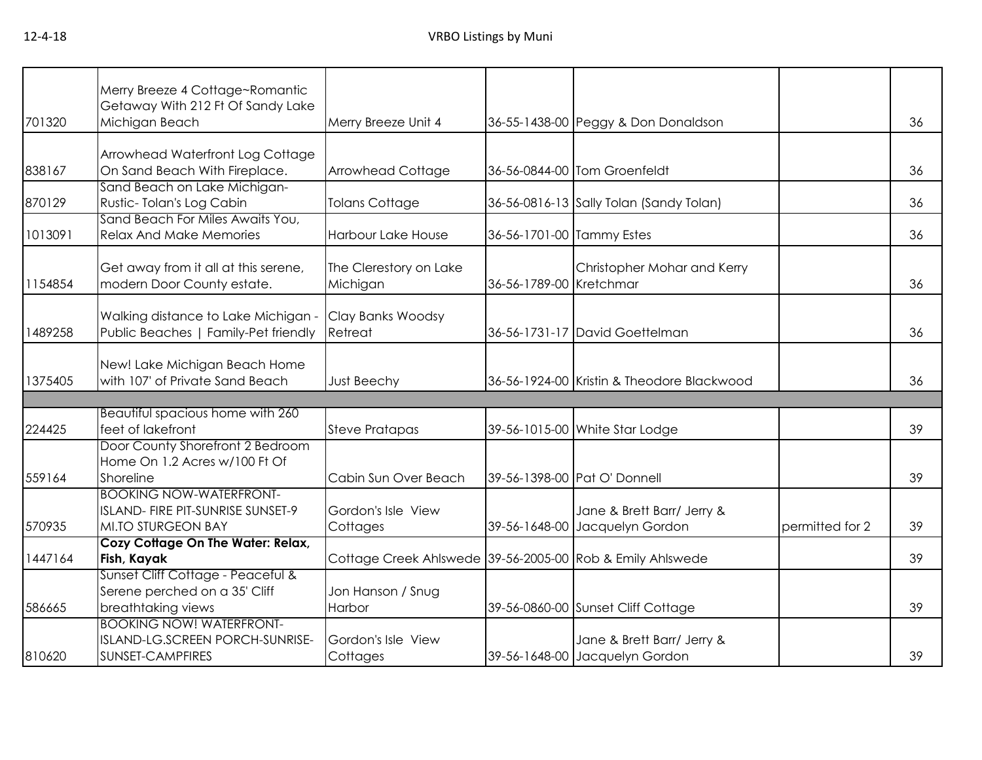|         | Merry Breeze 4 Cottage~Romantic<br>Getaway With 212 Ft Of Sandy Lake                             |                                                           |                           |                                                              |                 |    |
|---------|--------------------------------------------------------------------------------------------------|-----------------------------------------------------------|---------------------------|--------------------------------------------------------------|-----------------|----|
| 701320  | Michigan Beach                                                                                   | Merry Breeze Unit 4                                       |                           | 36-55-1438-00 Peggy & Don Donaldson                          |                 | 36 |
| 838167  | Arrowhead Waterfront Log Cottage<br>On Sand Beach With Fireplace.                                | <b>Arrowhead Cottage</b>                                  |                           | 36-56-0844-00 Tom Groenfeldt                                 |                 | 36 |
| 870129  | Sand Beach on Lake Michigan-<br>Rustic-Tolan's Log Cabin                                         | <b>Tolans Cottage</b>                                     |                           | 36-56-0816-13 Sally Tolan (Sandy Tolan)                      |                 | 36 |
| 1013091 | Sand Beach For Miles Awaits You,<br><b>Relax And Make Memories</b>                               | Harbour Lake House                                        | 36-56-1701-00 Tammy Estes |                                                              |                 | 36 |
| 1154854 | Get away from it all at this serene,<br>modern Door County estate.                               | The Clerestory on Lake<br>Michigan                        | 36-56-1789-00 Kretchmar   | Christopher Mohar and Kerry                                  |                 | 36 |
| 1489258 | Walking distance to Lake Michigan -<br>Public Beaches   Family-Pet friendly                      | Clay Banks Woodsy<br>Retreat                              |                           | 36-56-1731-17 David Goettelman                               |                 | 36 |
| 1375405 | New! Lake Michigan Beach Home<br>with 107' of Private Sand Beach                                 | Just Beechy                                               |                           | 36-56-1924-00 Kristin & Theodore Blackwood                   |                 | 36 |
|         | Beautiful spacious home with 260                                                                 |                                                           |                           |                                                              |                 |    |
| 224425  | feet of lakefront                                                                                | <b>Steve Pratapas</b>                                     |                           | 39-56-1015-00 White Star Lodge                               |                 | 39 |
| 559164  | Door County Shorefront 2 Bedroom<br>Home On 1.2 Acres w/100 Ft Of<br>Shoreline                   | Cabin Sun Over Beach                                      |                           | 39-56-1398-00 Pat O' Donnell                                 |                 | 39 |
| 570935  | <b>BOOKING NOW-WATERFRONT-</b><br>ISLAND- FIRE PIT-SUNRISE SUNSET-9<br><b>MI.TO STURGEON BAY</b> | Gordon's Isle View<br>Cottages                            |                           | Jane & Brett Barr/ Jerry &<br>39-56-1648-00 Jacquelyn Gordon | permitted for 2 | 39 |
| 1447164 | Cozy Cottage On The Water: Relax,<br>Fish, Kayak                                                 | Cottage Creek Ahlswede 39-56-2005-00 Rob & Emily Ahlswede |                           |                                                              |                 | 39 |
| 586665  | Sunset Cliff Cottage - Peaceful &<br>Serene perched on a 35' Cliff<br>breathtaking views         | Jon Hanson / Snug<br>Harbor                               |                           | 39-56-0860-00 Sunset Cliff Cottage                           |                 | 39 |
| 810620  | <b>BOOKING NOW! WATERFRONT-</b><br>ISLAND-LG.SCREEN PORCH-SUNRISE-<br>SUNSET-CAMPFIRES           | Gordon's Isle View<br>Cottages                            |                           | Jane & Brett Barr/ Jerry &<br>39-56-1648-00 Jacquelyn Gordon |                 | 39 |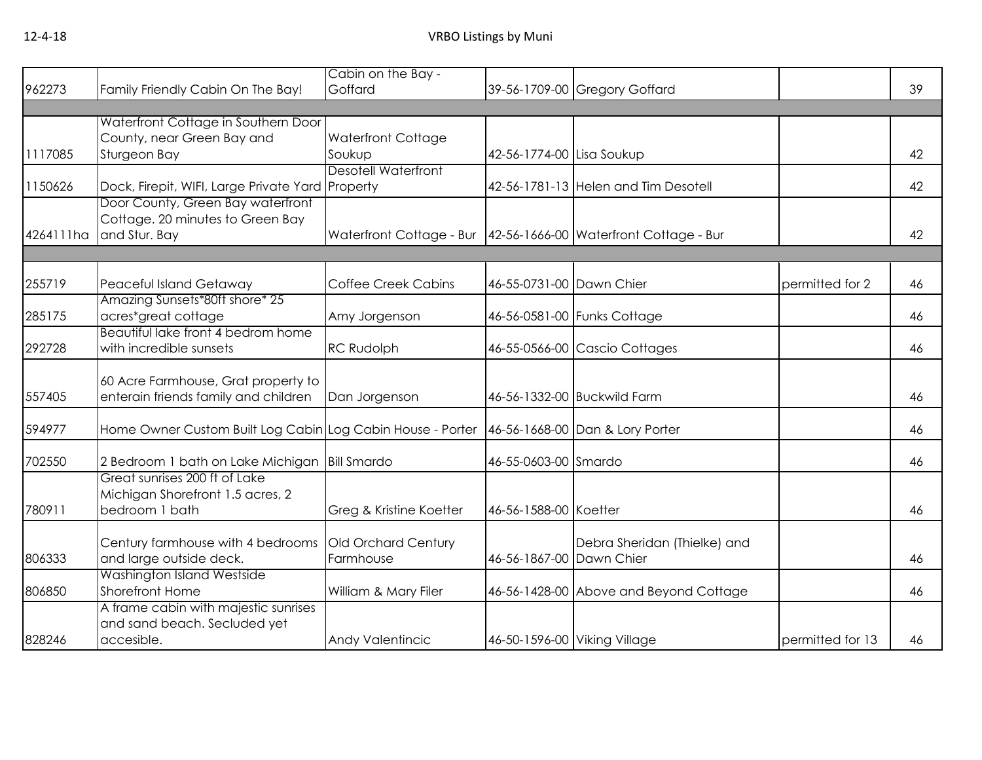|           |                                                            | Cabin on the Bay -         |                           |                                                                     |                  |    |
|-----------|------------------------------------------------------------|----------------------------|---------------------------|---------------------------------------------------------------------|------------------|----|
| 962273    | Family Friendly Cabin On The Bay!                          | Goffard                    |                           | 39-56-1709-00 Gregory Goffard                                       |                  | 39 |
|           |                                                            |                            |                           |                                                                     |                  |    |
|           | Waterfront Cottage in Southern Door                        |                            |                           |                                                                     |                  |    |
|           | County, near Green Bay and                                 | <b>Waterfront Cottage</b>  |                           |                                                                     |                  |    |
| 1117085   | Sturgeon Bay                                               | Soukup                     | 42-56-1774-00 Lisa Soukup |                                                                     |                  | 42 |
|           |                                                            | <b>Desotell Waterfront</b> |                           |                                                                     |                  |    |
| 1150626   | Dock, Firepit, WIFI, Large Private Yard Property           |                            |                           | 42-56-1781-13 Helen and Tim Desotell                                |                  | 42 |
|           | Door County, Green Bay waterfront                          |                            |                           |                                                                     |                  |    |
|           | Cottage. 20 minutes to Green Bay                           |                            |                           |                                                                     |                  |    |
| 4264111ha | and Stur. Bay                                              |                            |                           | Waterfront Cottage - Bur   42-56-1666-00   Waterfront Cottage - Bur |                  | 42 |
|           |                                                            |                            |                           |                                                                     |                  |    |
| 255719    | Peaceful Island Getaway                                    | <b>Coffee Creek Cabins</b> | 46-55-0731-00 Dawn Chier  |                                                                     | permitted for 2  | 46 |
|           | Amazing Sunsets*80ft shore* 25                             |                            |                           |                                                                     |                  |    |
| 285175    | acres*great cottage                                        | Amy Jorgenson              |                           | 46-56-0581-00 Funks Cottage                                         |                  | 46 |
|           | Beautiful lake front 4 bedrom home                         |                            |                           |                                                                     |                  |    |
| 292728    | with incredible sunsets                                    | RC Rudolph                 |                           | 46-55-0566-00 Cascio Cottages                                       |                  | 46 |
|           |                                                            |                            |                           |                                                                     |                  |    |
|           | 60 Acre Farmhouse, Grat property to                        |                            |                           |                                                                     |                  |    |
| 557405    | enterain friends family and children                       | Dan Jorgenson              |                           | 46-56-1332-00 Buckwild Farm                                         |                  | 46 |
| 594977    | Home Owner Custom Built Log Cabin Log Cabin House - Porter |                            |                           | 46-56-1668-00 Dan & Lory Porter                                     |                  | 46 |
|           |                                                            |                            |                           |                                                                     |                  |    |
| 702550    | 2 Bedroom 1 bath on Lake Michigan                          | <b>Bill Smardo</b>         | 46-55-0603-00 Smardo      |                                                                     |                  | 46 |
|           | Great sunrises 200 ft of Lake                              |                            |                           |                                                                     |                  |    |
|           | Michigan Shorefront 1.5 acres, 2                           |                            |                           |                                                                     |                  |    |
| 780911    | bedroom 1 bath                                             | Greg & Kristine Koetter    | 46-56-1588-00 Koetter     |                                                                     |                  | 46 |
|           |                                                            |                            |                           |                                                                     |                  |    |
|           | Century farmhouse with 4 bedrooms                          | Old Orchard Century        |                           | Debra Sheridan (Thielke) and                                        |                  |    |
| 806333    | and large outside deck.                                    | Farmhouse                  | 46-56-1867-00 Dawn Chier  |                                                                     |                  | 46 |
|           | Washington Island Westside                                 |                            |                           |                                                                     |                  |    |
| 806850    | Shorefront Home                                            | William & Mary Filer       |                           | 46-56-1428-00 Above and Beyond Cottage                              |                  | 46 |
|           | A frame cabin with majestic sunrises                       |                            |                           |                                                                     |                  |    |
|           | and sand beach. Secluded yet                               |                            |                           |                                                                     |                  |    |
| 828246    | accesible.                                                 | Andy Valentincic           |                           | 46-50-1596-00 Viking Village                                        | permitted for 13 | 46 |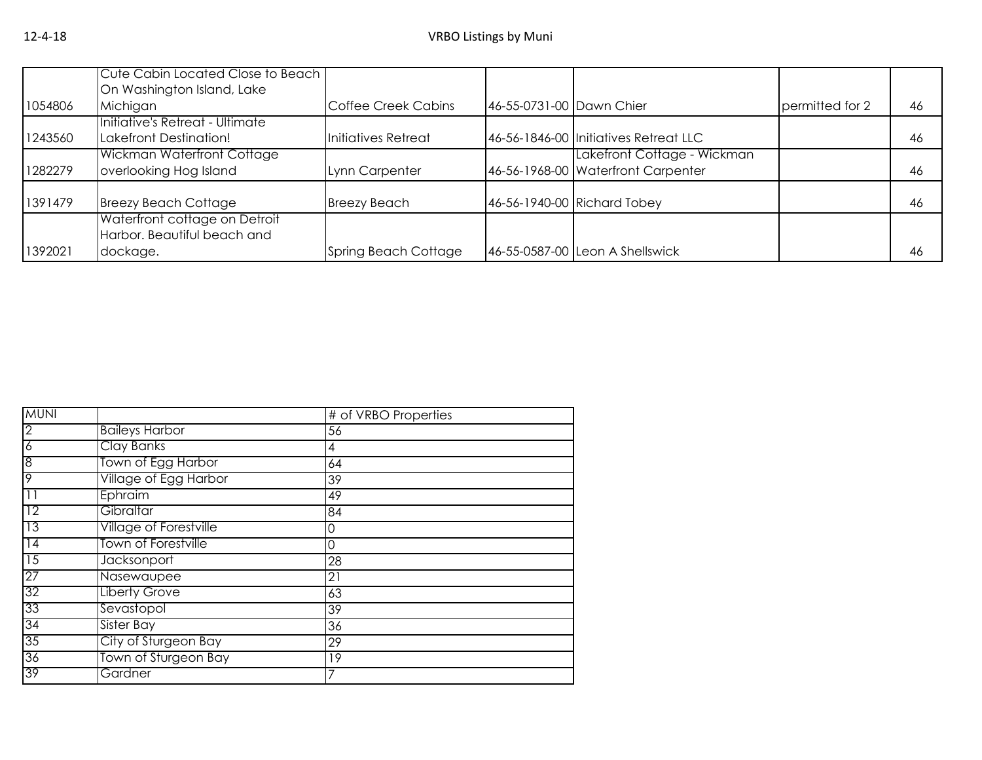|         | Cute Cabin Located Close to Beach                                        |                      |                          |                                                                   |                 |    |
|---------|--------------------------------------------------------------------------|----------------------|--------------------------|-------------------------------------------------------------------|-----------------|----|
| 1054806 | On Washington Island, Lake<br>Michigan                                   | Coffee Creek Cabins  | 46-55-0731-00 Dawn Chier |                                                                   | permitted for 2 | 46 |
| 1243560 | Initiative's Retreat - Ultimate<br>Lakefront Destination!                | Initiatives Retreat  |                          | 46-56-1846-00 Initiatives Retreat LLC                             |                 | 46 |
| 1282279 | <b>Wickman Waterfront Cottage</b><br>overlooking Hog Island              | Lynn Carpenter       |                          | Lakefront Cottage - Wickman<br>46-56-1968-00 Waterfront Carpenter |                 | 46 |
| 1391479 | <b>Breezy Beach Cottage</b>                                              | <b>Breezy Beach</b>  |                          | 46-56-1940-00 Richard Tobey                                       |                 | 46 |
| 1392021 | Waterfront cottage on Detroit<br>Harbor. Beautiful beach and<br>dockage. | Spring Beach Cottage |                          | 46-55-0587-00 Leon A Shellswick                                   |                 | 46 |

| <b>MUNI</b>     |                            | # of VRBO Properties |  |
|-----------------|----------------------------|----------------------|--|
| 2               | <b>Baileys Harbor</b>      | 56                   |  |
| $\overline{6}$  | Clay Banks                 | 4                    |  |
| 8               | Town of Egg Harbor         | 64                   |  |
| 9               | Village of Egg Harbor      | 39                   |  |
| $\overline{11}$ | Ephraim                    | 49                   |  |
| 12              | Gibraltar                  | 84                   |  |
| 13              | Village of Forestville     | 0                    |  |
| 4               | <b>Town of Forestville</b> | 0                    |  |
| $\overline{15}$ | Jacksonport                | 28                   |  |
| 27              | Nasewaupee                 | 21                   |  |
| $\overline{32}$ | <b>Liberty Grove</b>       | 63                   |  |
| 33              | Sevastopol                 | 39                   |  |
| 34              | Sister Bay                 | 36                   |  |
| 35              | City of Sturgeon Bay       | 29                   |  |
| 36              | Town of Sturgeon Bay       | 19                   |  |
| 39              | Gardner                    | 7                    |  |